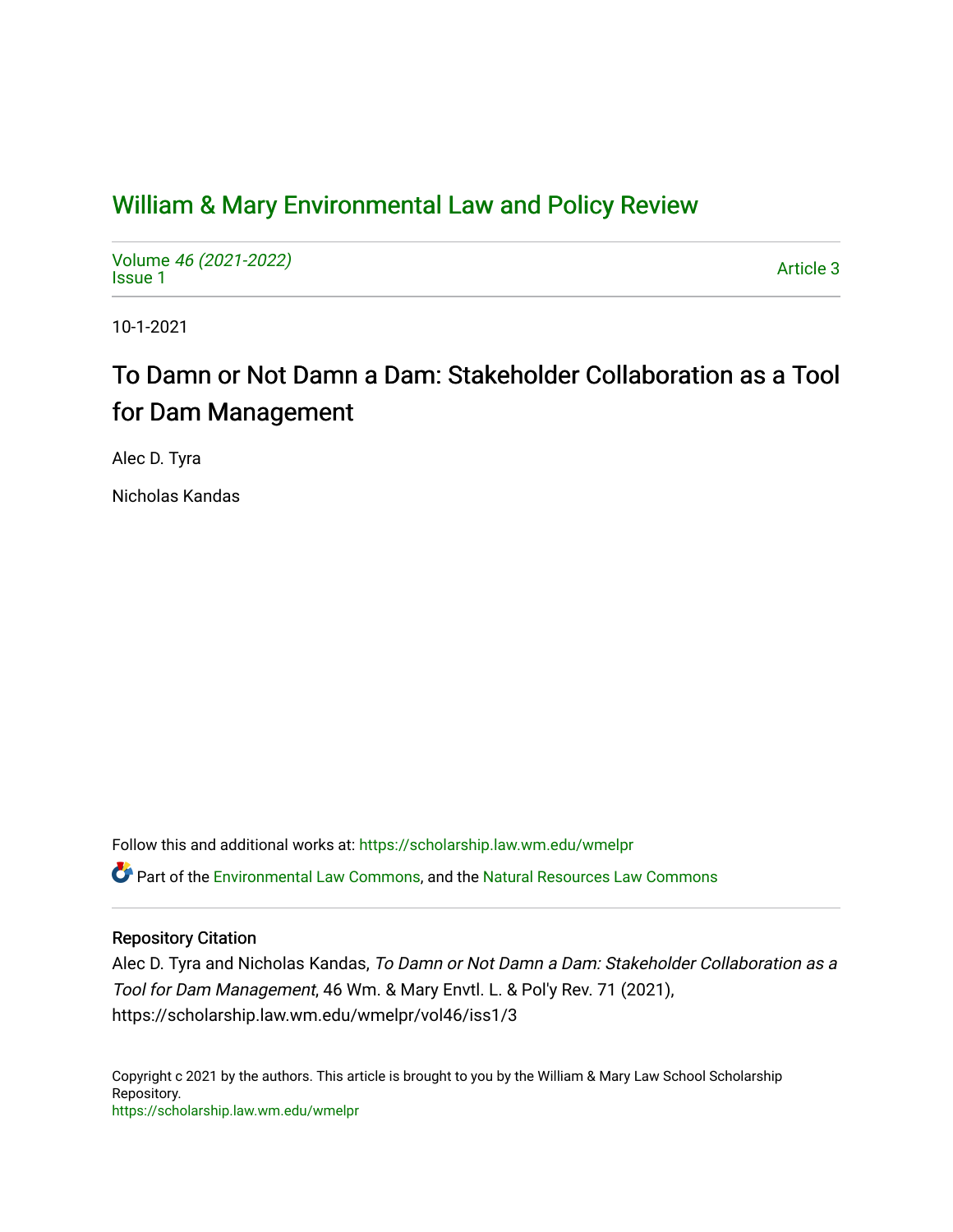## [William & Mary Environmental Law and Policy Review](https://scholarship.law.wm.edu/wmelpr)

Volume [46 \(2021-2022\)](https://scholarship.law.wm.edu/wmelpr/vol46)  volume 40 (2021-2022)<br>[Issue 1](https://scholarship.law.wm.edu/wmelpr/vol46/iss1)

10-1-2021

# To Damn or Not Damn a Dam: Stakeholder Collaboration as a Tool for Dam Management

Alec D. Tyra

Nicholas Kandas

Follow this and additional works at: [https://scholarship.law.wm.edu/wmelpr](https://scholarship.law.wm.edu/wmelpr?utm_source=scholarship.law.wm.edu%2Fwmelpr%2Fvol46%2Fiss1%2F3&utm_medium=PDF&utm_campaign=PDFCoverPages)

**C** Part of the [Environmental Law Commons](http://network.bepress.com/hgg/discipline/599?utm_source=scholarship.law.wm.edu%2Fwmelpr%2Fvol46%2Fiss1%2F3&utm_medium=PDF&utm_campaign=PDFCoverPages), and the [Natural Resources Law Commons](http://network.bepress.com/hgg/discipline/863?utm_source=scholarship.law.wm.edu%2Fwmelpr%2Fvol46%2Fiss1%2F3&utm_medium=PDF&utm_campaign=PDFCoverPages)

## Repository Citation

Alec D. Tyra and Nicholas Kandas, To Damn or Not Damn a Dam: Stakeholder Collaboration as a Tool for Dam Management, 46 Wm. & Mary Envtl. L. & Pol'y Rev. 71 (2021), https://scholarship.law.wm.edu/wmelpr/vol46/iss1/3

Copyright c 2021 by the authors. This article is brought to you by the William & Mary Law School Scholarship Repository. <https://scholarship.law.wm.edu/wmelpr>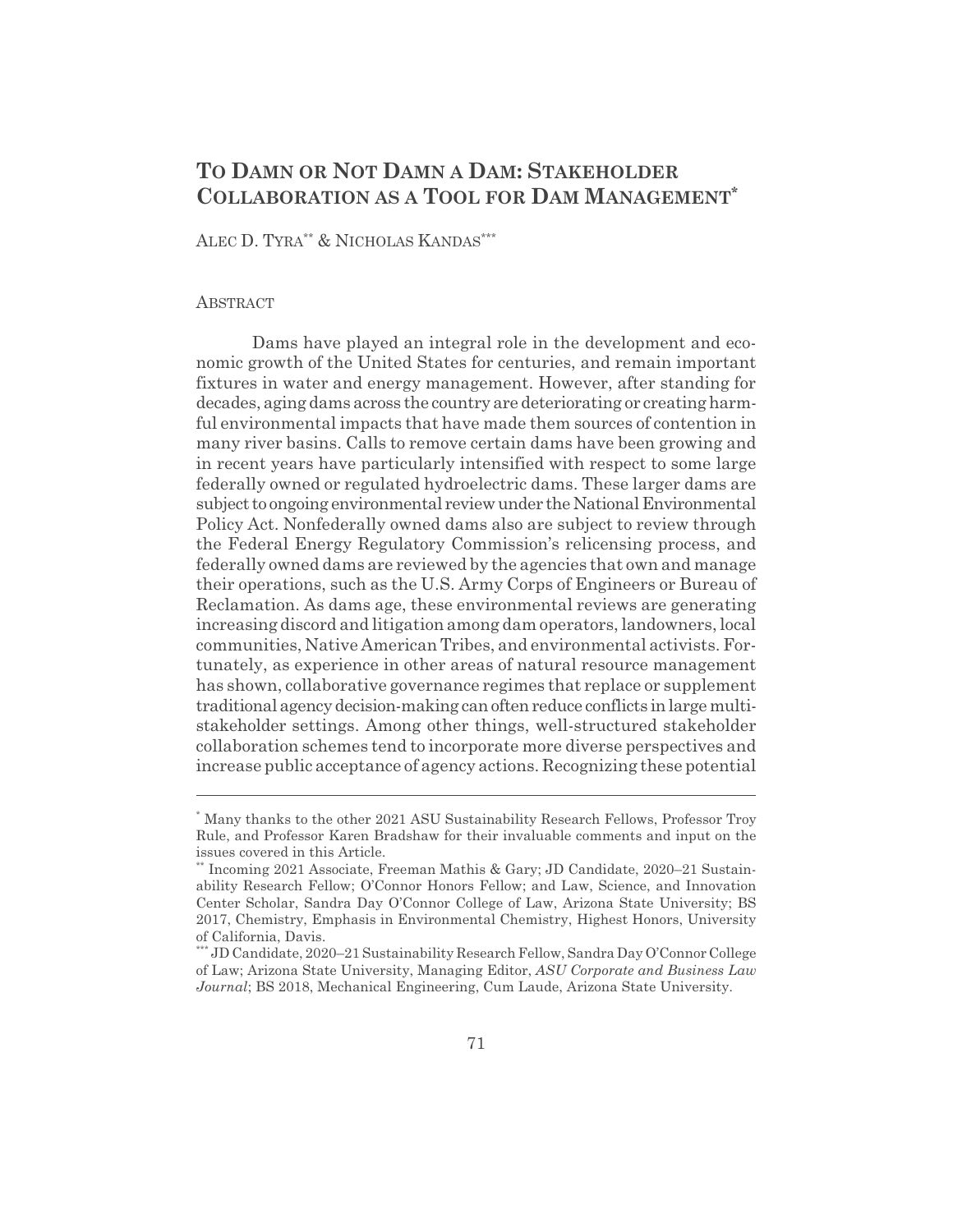## **TO DAMN OR NOT DAMN A DAM: STAKEHOLDER COLLABORATION AS A TOOL FOR DAM MANAGEMENT\***

ALEC D. TYRA\*\* & NICHOLAS KANDAS\*\*\*

#### **ABSTRACT**

Dams have played an integral role in the development and economic growth of the United States for centuries, and remain important fixtures in water and energy management. However, after standing for decades, aging dams across the country are deteriorating or creating harmful environmental impacts that have made them sources of contention in many river basins. Calls to remove certain dams have been growing and in recent years have particularly intensified with respect to some large federally owned or regulated hydroelectric dams. These larger dams are subject to ongoing environmental review under the National Environmental Policy Act. Nonfederally owned dams also are subject to review through the Federal Energy Regulatory Commission's relicensing process, and federally owned dams are reviewed by the agencies that own and manage their operations, such as the U.S. Army Corps of Engineers or Bureau of Reclamation. As dams age, these environmental reviews are generating increasing discord and litigation among dam operators, landowners, local communities, Native American Tribes, and environmental activists. Fortunately, as experience in other areas of natural resource management has shown, collaborative governance regimes that replace or supplement traditional agency decision-making can often reduce conflicts in large multistakeholder settings. Among other things, well-structured stakeholder collaboration schemes tend to incorporate more diverse perspectives and increase public acceptance of agency actions. Recognizing these potential

<sup>\*</sup> Many thanks to the other 2021 ASU Sustainability Research Fellows, Professor Troy Rule, and Professor Karen Bradshaw for their invaluable comments and input on the issues covered in this Article.

<sup>\*\*</sup> Incoming 2021 Associate, Freeman Mathis & Gary; JD Candidate, 2020–21 Sustainability Research Fellow; O'Connor Honors Fellow; and Law, Science, and Innovation Center Scholar, Sandra Day O'Connor College of Law, Arizona State University; BS 2017, Chemistry, Emphasis in Environmental Chemistry, Highest Honors, University of California, Davis.

<sup>\*\*\*</sup> JD Candidate, 2020–21 Sustainability Research Fellow, Sandra Day O'Connor College of Law; Arizona State University, Managing Editor, *ASU Corporate and Business Law Journal*; BS 2018, Mechanical Engineering, Cum Laude, Arizona State University.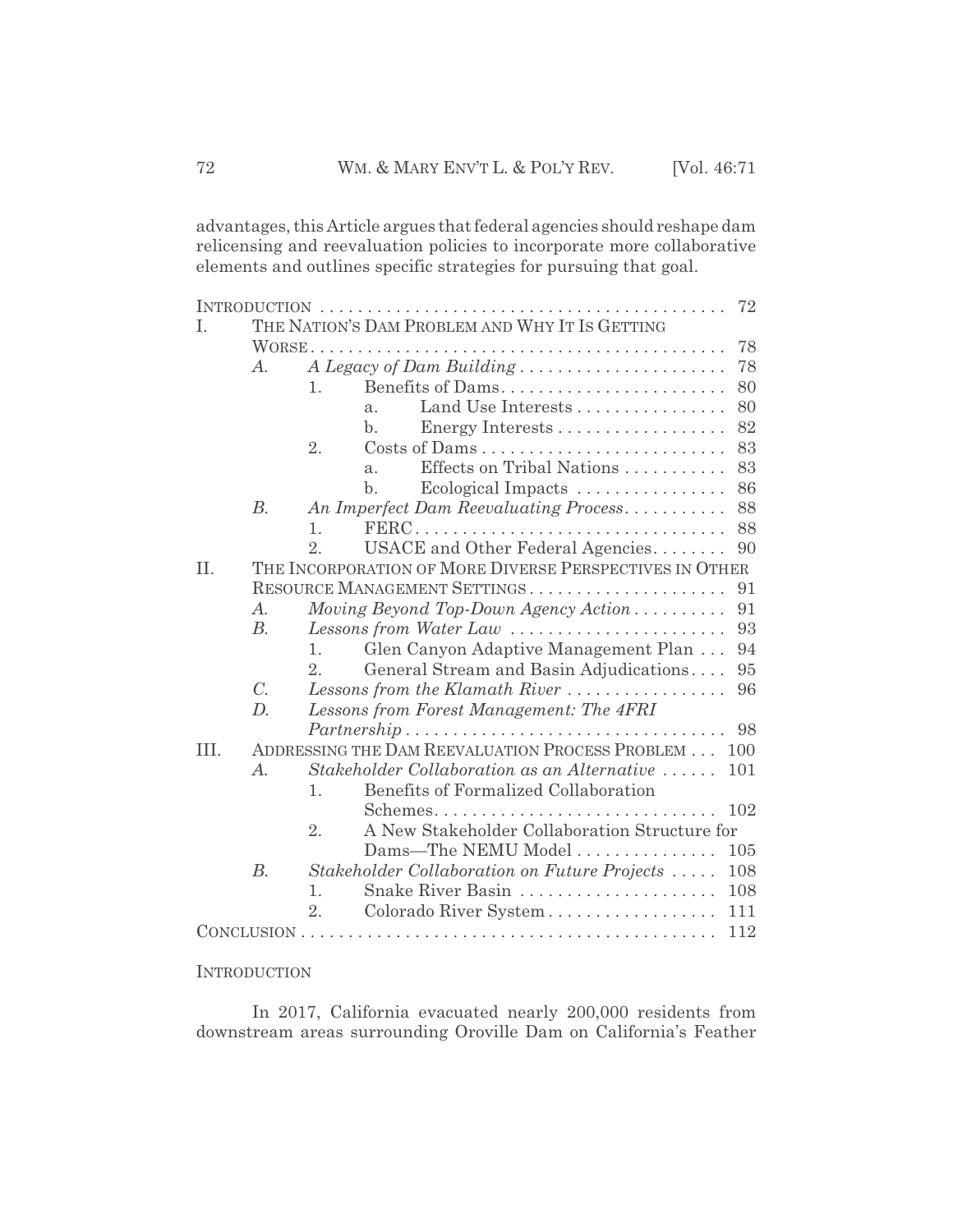advantages, this Article argues that federal agencies should reshape dam relicensing and reevaluation policies to incorporate more collaborative elements and outlines specific strategies for pursuing that goal.

| 72   |                       |                                                                           |
|------|-----------------------|---------------------------------------------------------------------------|
| T.   |                       | THE NATION'S DAM PROBLEM AND WHY IT IS GETTING                            |
|      |                       | 78                                                                        |
|      | $A_{\cdot}$           | A Legacy of Dam Building<br>78                                            |
|      |                       | Benefits of Dams<br>80<br>1.                                              |
|      |                       | Land Use Interests<br>80<br>$a$ .                                         |
|      |                       | 82<br>$\mathbf{b}$ .                                                      |
|      |                       | 2.<br>83                                                                  |
|      |                       | Effects on Tribal Nations<br>83<br>a <sub>x</sub>                         |
|      |                       | $\mathbf{b}$ .<br>86<br>Ecological Impacts                                |
|      | $B$ .                 | An Imperfect Dam Reevaluating Process<br>88                               |
|      |                       | 88<br>$\mathbf{1}$ .                                                      |
|      |                       | 2.<br>USACE and Other Federal Agencies<br>90                              |
| II.  |                       | THE INCORPORATION OF MORE DIVERSE PERSPECTIVES IN OTHER                   |
|      |                       | RESOURCE MANAGEMENT SETTINGS<br>91                                        |
|      | A.                    | Moving Beyond Top-Down Agency Action<br>91                                |
|      | B.                    | Lessons from Water Law $\ldots \ldots \ldots \ldots \ldots \ldots$<br>93  |
|      |                       | Glen Canyon Adaptive Management Plan<br>94<br>$\mathbf{1}$ .              |
|      |                       | 2.<br>General Stream and Basin Adjudications<br>95                        |
|      | $C_{\cdot}$           | Lessons from the Klamath River $\ldots \ldots \ldots \ldots \ldots$<br>96 |
|      | D.                    | Lessons from Forest Management: The 4FRI                                  |
|      |                       |                                                                           |
| III. |                       | ADDRESSING THE DAM REEVALUATION PROCESS PROBLEM<br>100                    |
|      | $\mathcal{A}_{\cdot}$ | Stakeholder Collaboration as an Alternative<br>101                        |
|      |                       | Benefits of Formalized Collaboration<br>1.                                |
|      |                       | 102                                                                       |
|      |                       | A New Stakeholder Collaboration Structure for<br>2.                       |
|      |                       | Dams-The NEMU Model<br>105                                                |
|      | $B$ .                 | Stakeholder Collaboration on Future Projects<br>108                       |
|      |                       | Snake River Basin<br>108<br>1.                                            |
|      |                       | Colorado River System<br>2.<br>111                                        |
| 112  |                       |                                                                           |
|      |                       |                                                                           |

**INTRODUCTION** 

In 2017, California evacuated nearly 200,000 residents from downstream areas surrounding Oroville Dam on California's Feather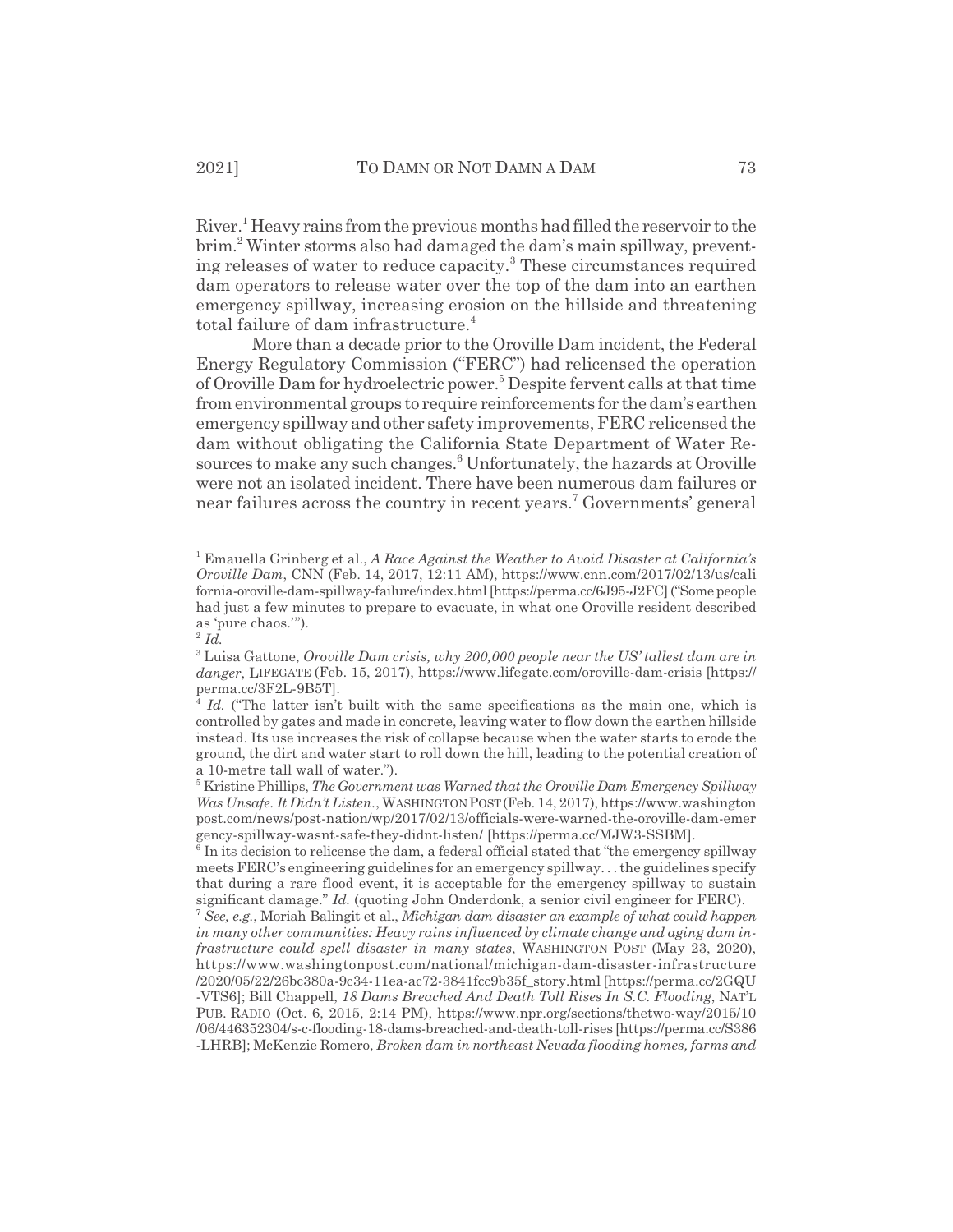River.<sup>1</sup> Heavy rains from the previous months had filled the reservoir to the brim.<sup>2</sup> Winter storms also had damaged the dam's main spillway, preventing releases of water to reduce capacity.<sup>3</sup> These circumstances required dam operators to release water over the top of the dam into an earthen emergency spillway, increasing erosion on the hillside and threatening total failure of dam infrastructure. $4$ 

More than a decade prior to the Oroville Dam incident, the Federal Energy Regulatory Commission ("FERC") had relicensed the operation of Oroville Dam for hydroelectric power.<sup>5</sup> Despite fervent calls at that time from environmental groups to require reinforcements for the dam's earthen emergency spillway and other safety improvements, FERC relicensed the dam without obligating the California State Department of Water Resources to make any such changes.<sup>6</sup> Unfortunately, the hazards at Oroville were not an isolated incident. There have been numerous dam failures or near failures across the country in recent years.<sup>7</sup> Governments' general

<sup>1</sup> Emauella Grinberg et al., *A Race Against the Weather to Avoid Disaster at California's Oroville Dam*, CNN (Feb. 14, 2017, 12:11 AM), https://www.cnn.com/2017/02/13/us/cali fornia-oroville-dam-spillway-failure/index.html [https://perma.cc/6J95-J2FC] ("Some people had just a few minutes to prepare to evacuate, in what one Oroville resident described as 'pure chaos.'").

<sup>2</sup> *Id.*

<sup>3</sup> Luisa Gattone, *Oroville Dam crisis, why 200,000 people near the US' tallest dam are in danger*, LIFEGATE (Feb. 15, 2017), https://www.lifegate.com/oroville-dam-crisis [https:// perma.cc/3F2L-9B5T].

Id. ("The latter isn't built with the same specifications as the main one, which is controlled by gates and made in concrete, leaving water to flow down the earthen hillside instead. Its use increases the risk of collapse because when the water starts to erode the ground, the dirt and water start to roll down the hill, leading to the potential creation of a 10-metre tall wall of water.").

<sup>5</sup> Kristine Phillips, *The Government was Warned that the Oroville Dam Emergency Spillway Was Unsafe. It Didn't Listen.*, WASHINGTON POST(Feb. 14, 2017), https://www.washington post.com/news/post-nation/wp/2017/02/13/officials-were-warned-the-oroville-dam-emer gency-spillway-wasnt-safe-they-didnt-listen/ [https://perma.cc/MJW3-SSBM].

<sup>&</sup>lt;sup>6</sup> In its decision to relicense the dam, a federal official stated that "the emergency spillway meets FERC's engineering guidelines for an emergency spillway. . . the guidelines specify that during a rare flood event, it is acceptable for the emergency spillway to sustain significant damage." *Id.* (quoting John Onderdonk, a senior civil engineer for FERC).

<sup>7</sup> *See, e.g.*, Moriah Balingit et al., *Michigan dam disaster an example of what could happen in many other communities: Heavy rains influenced by climate change and aging dam infrastructure could spell disaster in many states*, WASHINGTON POST (May 23, 2020), https://www.washingtonpost.com/national/michigan-dam-disaster-infrastructure /2020/05/22/26bc380a-9c34-11ea-ac72-3841fcc9b35f\_story.html [https://perma.cc/2GQU -VTS6]; Bill Chappell, *18 Dams Breached And Death Toll Rises In S.C. Flooding*, NAT'L PUB. RADIO (Oct. 6, 2015, 2:14 PM), https://www.npr.org/sections/thetwo-way/2015/10 /06/446352304/s-c-flooding-18-dams-breached-and-death-toll-rises [https://perma.cc/S386 -LHRB]; McKenzie Romero, *Broken dam in northeast Nevada flooding homes, farms and*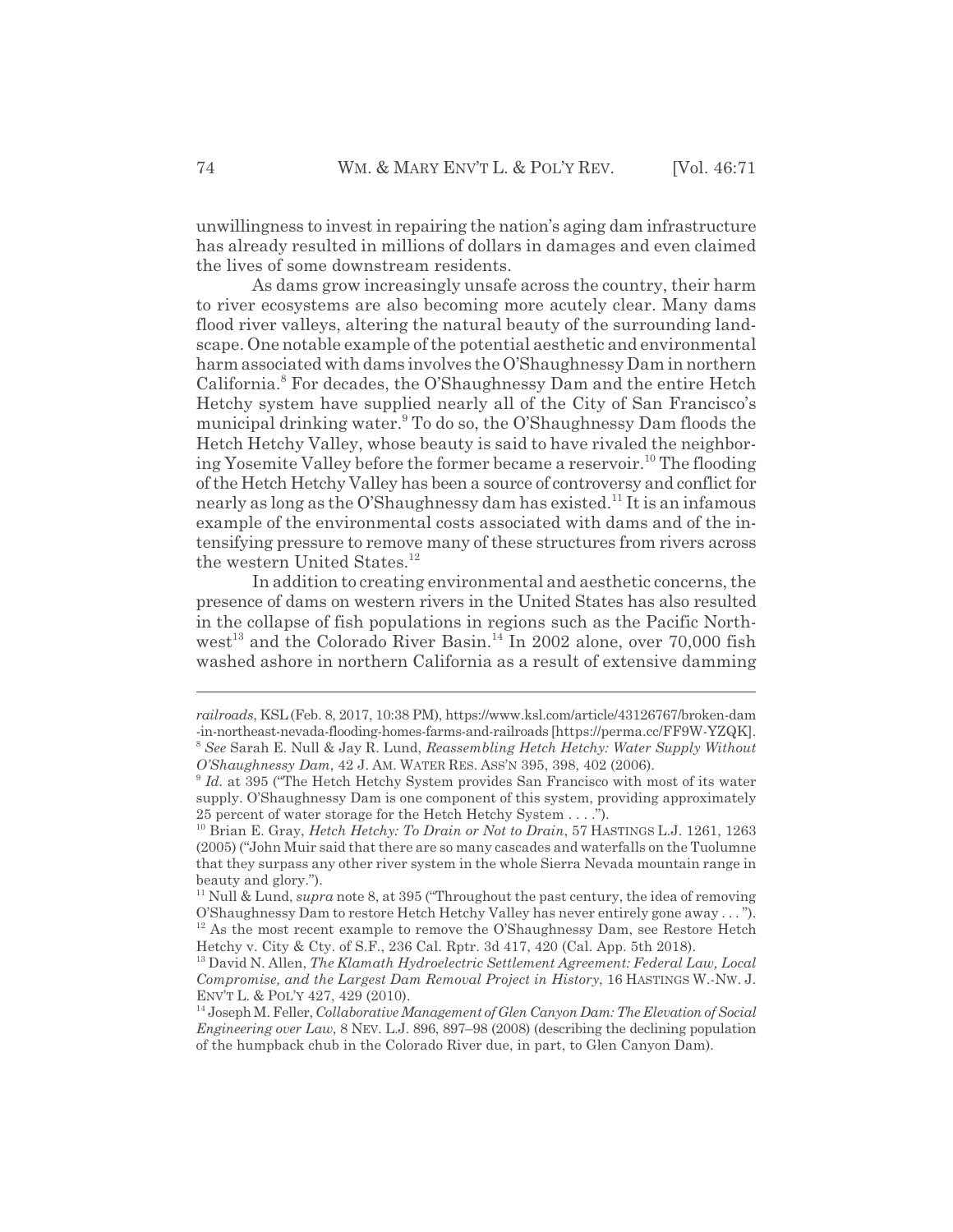unwillingness to invest in repairing the nation's aging dam infrastructure has already resulted in millions of dollars in damages and even claimed the lives of some downstream residents.

As dams grow increasingly unsafe across the country, their harm to river ecosystems are also becoming more acutely clear. Many dams flood river valleys, altering the natural beauty of the surrounding landscape. One notable example of the potential aesthetic and environmental harm associated with dams involves the O'Shaughnessy Dam in northern California.<sup>8</sup> For decades, the O'Shaughnessy Dam and the entire Hetch Hetchy system have supplied nearly all of the City of San Francisco's municipal drinking water.<sup>9</sup> To do so, the O'Shaughnessy Dam floods the Hetch Hetchy Valley, whose beauty is said to have rivaled the neighboring Yosemite Valley before the former became a reservoir.10 The flooding of the Hetch Hetchy Valley has been a source of controversy and conflict for nearly as long as the O'Shaughnessy dam has existed.<sup>11</sup> It is an infamous example of the environmental costs associated with dams and of the intensifying pressure to remove many of these structures from rivers across the western United States.<sup>12</sup>

In addition to creating environmental and aesthetic concerns, the presence of dams on western rivers in the United States has also resulted in the collapse of fish populations in regions such as the Pacific Northwest<sup>13</sup> and the Colorado River Basin.<sup>14</sup> In 2002 alone, over 70,000 fish washed ashore in northern California as a result of extensive damming

*railroads*, KSL(Feb. 8, 2017, 10:38 PM), https://www.ksl.com/article/43126767/broken-dam -in-northeast-nevada-flooding-homes-farms-and-railroads [https://perma.cc/FF9W-YZQK]. <sup>8</sup> *See* Sarah E. Null & Jay R. Lund, *Reassembling Hetch Hetchy: Water Supply Without O'Shaughnessy Dam*, 42 J. AM. WATER RES. ASS'N 395, 398, 402 (2006).

<sup>9</sup> *Id.* at 395 ("The Hetch Hetchy System provides San Francisco with most of its water supply. O'Shaughnessy Dam is one component of this system, providing approximately 25 percent of water storage for the Hetch Hetchy System . . . .").

<sup>&</sup>lt;sup>10</sup> Brian E. Gray, *Hetch Hetchy: To Drain or Not to Drain*, 57 HASTINGS L.J. 1261, 1263 (2005) ("John Muir said that there are so many cascades and waterfalls on the Tuolumne that they surpass any other river system in the whole Sierra Nevada mountain range in beauty and glory.").

<sup>11</sup> Null & Lund, *supra* note 8, at 395 ("Throughout the past century, the idea of removing O'Shaughnessy Dam to restore Hetch Hetchy Valley has never entirely gone away . . . ").  $12$  As the most recent example to remove the O'Shaughnessy Dam, see Restore Hetch Hetchy v. City & Cty. of S.F., 236 Cal. Rptr. 3d 417, 420 (Cal. App. 5th 2018).

<sup>13</sup> David N. Allen, *The Klamath Hydroelectric Settlement Agreement: Federal Law, Local Compromise, and the Largest Dam Removal Project in History*, 16 HASTINGS W.-NW. J. ENV'T L. & POL'Y 427, 429 (2010).

<sup>14</sup> Joseph M. Feller, *Collaborative Management of Glen Canyon Dam: The Elevation of Social Engineering over Law*, 8 NEV. L.J. 896, 897–98 (2008) (describing the declining population of the humpback chub in the Colorado River due, in part, to Glen Canyon Dam).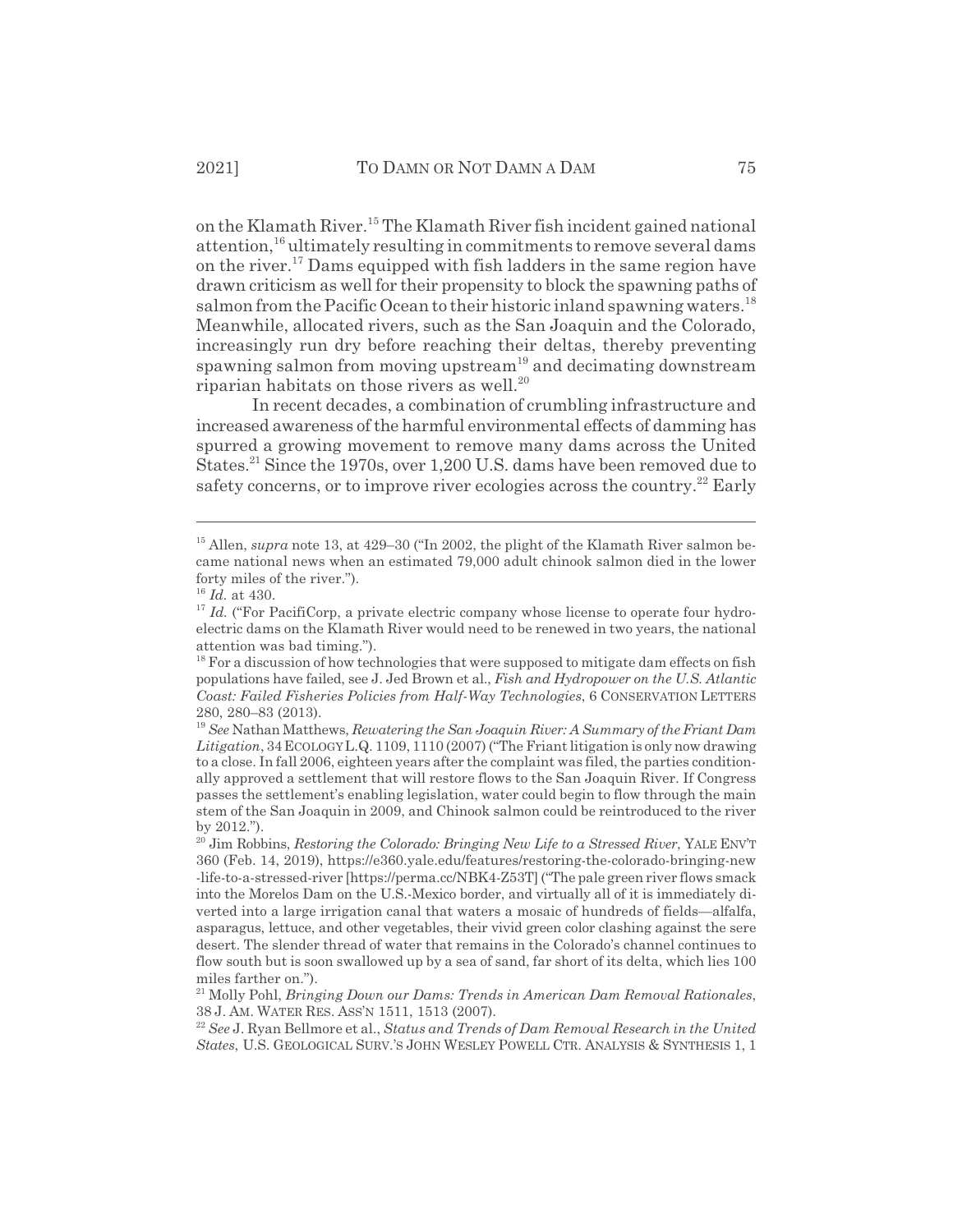on the Klamath River.15 The Klamath River fish incident gained national attention,16 ultimately resulting in commitments to remove several dams on the river.<sup>17</sup> Dams equipped with fish ladders in the same region have drawn criticism as well for their propensity to block the spawning paths of salmon from the Pacific Ocean to their historic inland spawning waters.<sup>18</sup> Meanwhile, allocated rivers, such as the San Joaquin and the Colorado, increasingly run dry before reaching their deltas, thereby preventing spawning salmon from moving upstream<sup>19</sup> and decimating downstream riparian habitats on those rivers as well. $^{20}$ 

In recent decades, a combination of crumbling infrastructure and increased awareness of the harmful environmental effects of damming has spurred a growing movement to remove many dams across the United States.<sup>21</sup> Since the 1970s, over 1,200 U.S. dams have been removed due to safety concerns, or to improve river ecologies across the country.<sup>22</sup> Early

<sup>&</sup>lt;sup>15</sup> Allen, *supra* note 13, at 429–30 ("In 2002, the plight of the Klamath River salmon became national news when an estimated 79,000 adult chinook salmon died in the lower forty miles of the river.").

<sup>16</sup> *Id.* at 430.

 $17$  *Id.* ("For PacifiCorp, a private electric company whose license to operate four hydroelectric dams on the Klamath River would need to be renewed in two years, the national attention was bad timing.").

 $18$  For a discussion of how technologies that were supposed to mitigate dam effects on fish populations have failed, see J. Jed Brown et al., *Fish and Hydropower on the U.S. Atlantic Coast: Failed Fisheries Policies from Half-Way Technologies*, 6 CONSERVATION LETTERS 280, 280–83 (2013).

<sup>19</sup> *See* Nathan Matthews, *Rewatering the San Joaquin River: A Summary of the Friant Dam Litigation*, 34ECOLOGYL.Q. 1109, 1110 (2007) ("The Friant litigation is only now drawing to a close. In fall 2006, eighteen years after the complaint was filed, the parties conditionally approved a settlement that will restore flows to the San Joaquin River. If Congress passes the settlement's enabling legislation, water could begin to flow through the main stem of the San Joaquin in 2009, and Chinook salmon could be reintroduced to the river by 2012.").

<sup>20</sup> Jim Robbins, *Restoring the Colorado: Bringing New Life to a Stressed River*, YALE ENV'T 360 (Feb. 14, 2019), https://e360.yale.edu/features/restoring-the-colorado-bringing-new -life-to-a-stressed-river [https://perma.cc/NBK4-Z53T] ("The pale green river flows smack into the Morelos Dam on the U.S.-Mexico border, and virtually all of it is immediately diverted into a large irrigation canal that waters a mosaic of hundreds of fields—alfalfa, asparagus, lettuce, and other vegetables, their vivid green color clashing against the sere desert. The slender thread of water that remains in the Colorado's channel continues to flow south but is soon swallowed up by a sea of sand, far short of its delta, which lies 100 miles farther on.").

<sup>21</sup> Molly Pohl, *Bringing Down our Dams: Trends in American Dam Removal Rationales*, 38 J. AM. WATER RES. ASS'N 1511, 1513 (2007).

<sup>22</sup> *See* J. Ryan Bellmore et al., *Status and Trends of Dam Removal Research in the United States*, U.S. GEOLOGICAL SURV.'S JOHN WESLEY POWELL CTR. ANALYSIS & SYNTHESIS 1, 1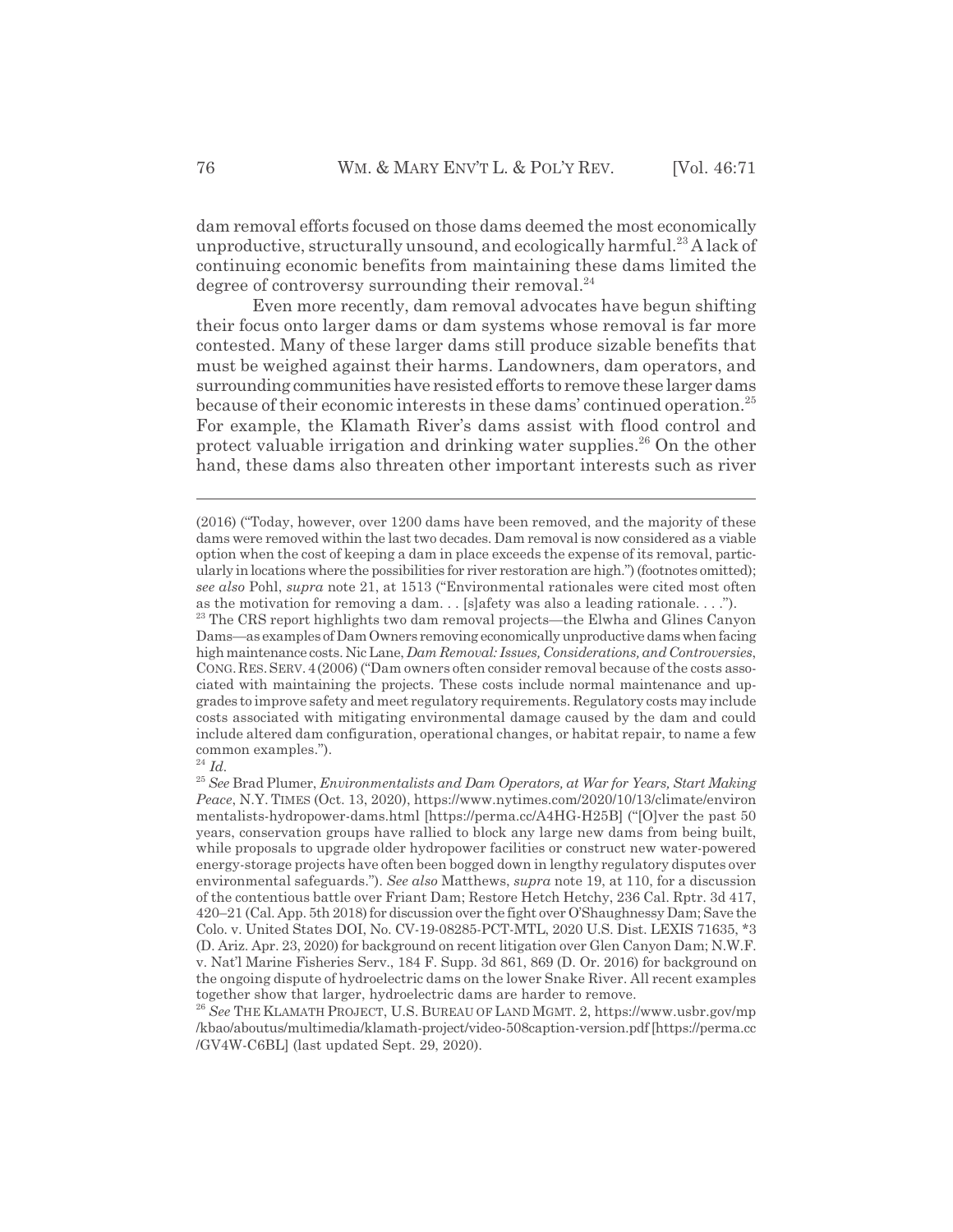dam removal efforts focused on those dams deemed the most economically unproductive, structurally unsound, and ecologically harmful.<sup>23</sup> A lack of continuing economic benefits from maintaining these dams limited the degree of controversy surrounding their removal. $^{24}$ 

Even more recently, dam removal advocates have begun shifting their focus onto larger dams or dam systems whose removal is far more contested. Many of these larger dams still produce sizable benefits that must be weighed against their harms. Landowners, dam operators, and surrounding communities have resisted efforts to remove these larger dams because of their economic interests in these dams' continued operation.<sup>25</sup> For example, the Klamath River's dams assist with flood control and protect valuable irrigation and drinking water supplies.<sup>26</sup> On the other hand, these dams also threaten other important interests such as river

<sup>(2016) (&</sup>quot;Today, however, over 1200 dams have been removed, and the majority of these dams were removed within the last two decades. Dam removal is now considered as a viable option when the cost of keeping a dam in place exceeds the expense of its removal, particularly in locations where the possibilities for river restoration are high.") (footnotes omitted); *see also* Pohl, *supra* note 21, at 1513 ("Environmental rationales were cited most often as the motivation for removing a dam. . . [s]afety was also a leading rationale. . . .").

<sup>&</sup>lt;sup>23</sup> The CRS report highlights two dam removal projects—the Elwha and Glines Canyon Dams—as examples of Dam Owners removing economically unproductive dams when facing high maintenance costs. Nic Lane, *Dam Removal: Issues, Considerations, and Controversies*, CONG.RES.SERV.4(2006) ("Dam owners often consider removal because of the costs associated with maintaining the projects. These costs include normal maintenance and upgrades to improve safety and meet regulatory requirements. Regulatory costs may include costs associated with mitigating environmental damage caused by the dam and could include altered dam configuration, operational changes, or habitat repair, to name a few common examples.").

<sup>24</sup> *Id.*

<sup>25</sup> *See* Brad Plumer, *Environmentalists and Dam Operators, at War for Years, Start Making Peace*, N.Y. TIMES (Oct. 13, 2020), https://www.nytimes.com/2020/10/13/climate/environ mentalists-hydropower-dams.html [https://perma.cc/A4HG-H25B] ("[O]ver the past 50 years, conservation groups have rallied to block any large new dams from being built, while proposals to upgrade older hydropower facilities or construct new water-powered energy-storage projects have often been bogged down in lengthy regulatory disputes over environmental safeguards."). *See also* Matthews, *supra* note 19, at 110, for a discussion of the contentious battle over Friant Dam; Restore Hetch Hetchy, 236 Cal. Rptr. 3d 417, 420–21 (Cal. App. 5th 2018) for discussion over the fight over O'Shaughnessy Dam; Save the Colo. v. United States DOI, No. CV-19-08285-PCT-MTL, 2020 U.S. Dist. LEXIS 71635, \*3 (D. Ariz. Apr. 23, 2020) for background on recent litigation over Glen Canyon Dam; N.W.F. v. Nat'l Marine Fisheries Serv., 184 F. Supp. 3d 861, 869 (D. Or. 2016) for background on the ongoing dispute of hydroelectric dams on the lower Snake River. All recent examples together show that larger, hydroelectric dams are harder to remove.

<sup>26</sup> *See* THE KLAMATH PROJECT, U.S. BUREAU OF LAND MGMT. 2, https://www.usbr.gov/mp /kbao/aboutus/multimedia/klamath-project/video-508caption-version.pdf [https://perma.cc /GV4W-C6BL] (last updated Sept. 29, 2020).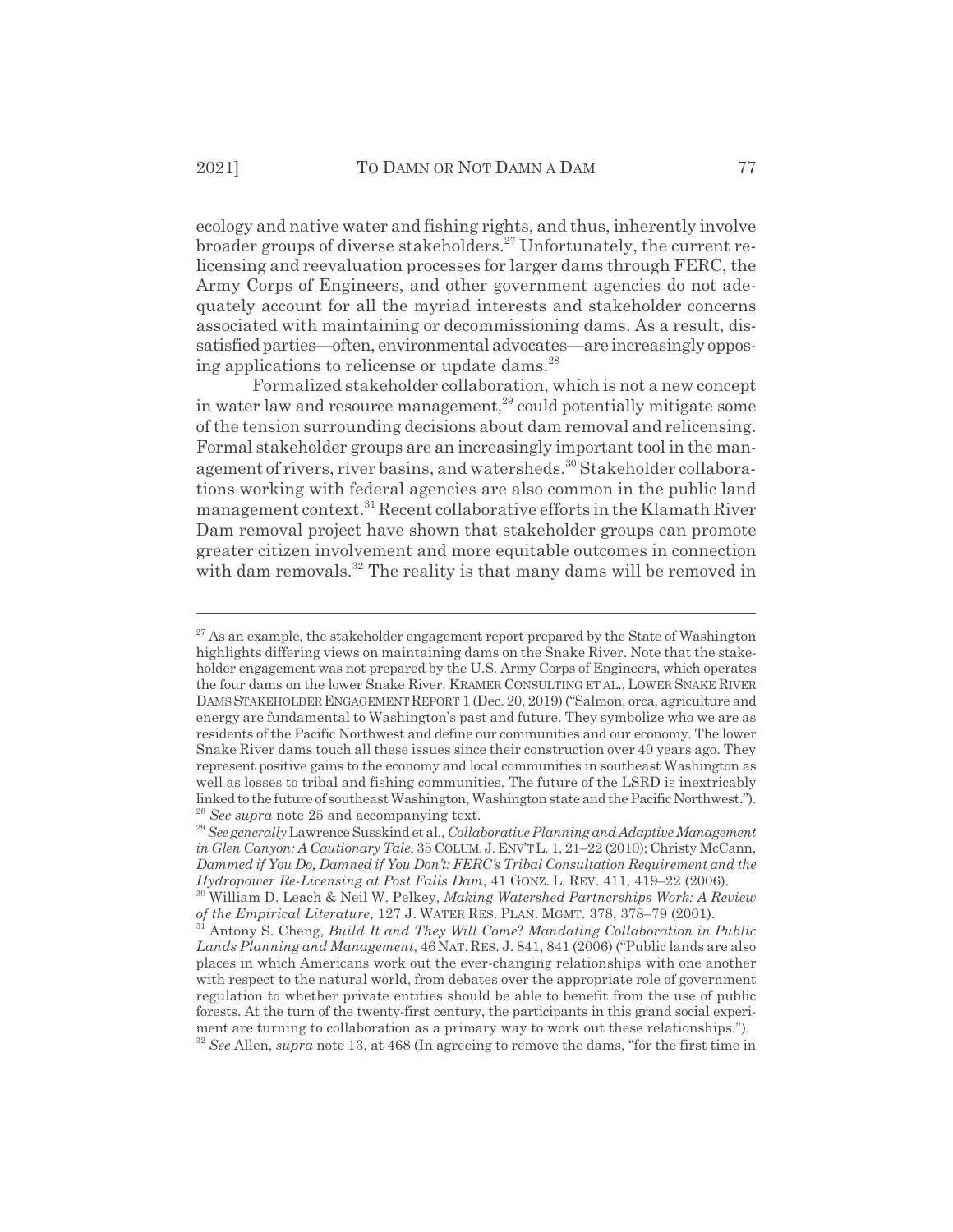ecology and native water and fishing rights, and thus, inherently involve broader groups of diverse stakeholders.27 Unfortunately, the current relicensing and reevaluation processes for larger dams through FERC, the Army Corps of Engineers, and other government agencies do not adequately account for all the myriad interests and stakeholder concerns associated with maintaining or decommissioning dams. As a result, dissatisfied parties—often, environmental advocates—are increasingly opposing applications to relicense or update dams.<sup>28</sup>

Formalized stakeholder collaboration, which is not a new concept in water law and resource management,<sup>29</sup> could potentially mitigate some of the tension surrounding decisions about dam removal and relicensing. Formal stakeholder groups are an increasingly important tool in the management of rivers, river basins, and watersheds.<sup>30</sup> Stakeholder collaborations working with federal agencies are also common in the public land management context.31 Recent collaborative efforts in the Klamath River Dam removal project have shown that stakeholder groups can promote greater citizen involvement and more equitable outcomes in connection with dam removals.<sup>32</sup> The reality is that many dams will be removed in

 $27$  As an example, the stakeholder engagement report prepared by the State of Washington highlights differing views on maintaining dams on the Snake River. Note that the stakeholder engagement was not prepared by the U.S. Army Corps of Engineers, which operates the four dams on the lower Snake River. KRAMER CONSULTING ET AL., LOWER SNAKE RIVER DAMS STAKEHOLDER ENGAGEMENT REPORT 1 (Dec. 20, 2019) ("Salmon, orca, agriculture and energy are fundamental to Washington's past and future. They symbolize who we are as residents of the Pacific Northwest and define our communities and our economy. The lower Snake River dams touch all these issues since their construction over 40 years ago. They represent positive gains to the economy and local communities in southeast Washington as well as losses to tribal and fishing communities. The future of the LSRD is inextricably linked to the future of southeast Washington, Washington state and the Pacific Northwest."). <sup>28</sup> *See supra* note 25 and accompanying text.

<sup>29</sup>*See generally* Lawrence Susskind et al., *Collaborative Planning and Adaptive Management in Glen Canyon: A Cautionary Tale*, 35 COLUM.J.ENV'TL. 1, 21–22 (2010); Christy McCann, *Dammed if You Do, Damned if You Don't: FERC's Tribal Consultation Requirement and the Hydropower Re-Licensing at Post Falls Dam*, 41 GONZ. L. REV. 411, 419–22 (2006).

<sup>30</sup> William D. Leach & Neil W. Pelkey, *Making Watershed Partnerships Work: A Review of the Empirical Literature*, 127 J. WATER RES. PLAN. MGMT. 378, 378–79 (2001).

<sup>31</sup> Antony S. Cheng, *Build It and They Will Come*? *Mandating Collaboration in Public Lands Planning and Management*, 46NAT.RES. J. 841, 841 (2006) ("Public lands are also places in which Americans work out the ever-changing relationships with one another with respect to the natural world, from debates over the appropriate role of government regulation to whether private entities should be able to benefit from the use of public forests. At the turn of the twenty-first century, the participants in this grand social experiment are turning to collaboration as a primary way to work out these relationships."). <sup>32</sup> *See* Allen, *supra* note 13, at 468 (In agreeing to remove the dams, "for the first time in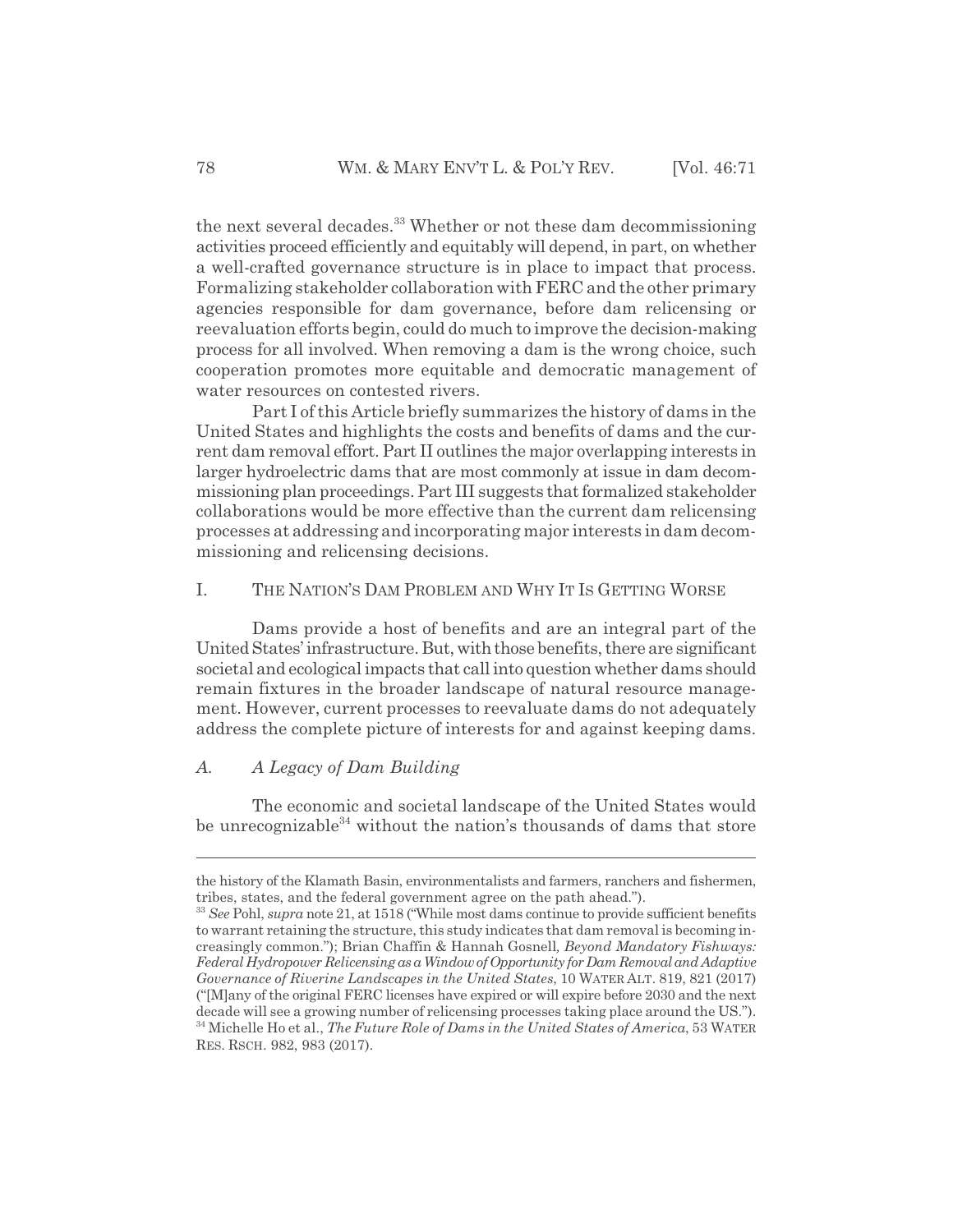the next several decades.<sup>33</sup> Whether or not these dam decommissioning activities proceed efficiently and equitably will depend, in part, on whether a well-crafted governance structure is in place to impact that process. Formalizing stakeholder collaboration with FERC and the other primary agencies responsible for dam governance, before dam relicensing or reevaluation efforts begin, could do much to improve the decision-making process for all involved. When removing a dam is the wrong choice, such cooperation promotes more equitable and democratic management of water resources on contested rivers.

Part I of this Article briefly summarizes the history of dams in the United States and highlights the costs and benefits of dams and the current dam removal effort. Part II outlines the major overlapping interests in larger hydroelectric dams that are most commonly at issue in dam decommissioning plan proceedings. Part III suggests that formalized stakeholder collaborations would be more effective than the current dam relicensing processes at addressing and incorporating major interests in dam decommissioning and relicensing decisions.

#### I. THE NATION'S DAM PROBLEM AND WHY IT IS GETTING WORSE

Dams provide a host of benefits and are an integral part of the United States' infrastructure. But, with those benefits, there are significant societal and ecological impacts that call into question whether dams should remain fixtures in the broader landscape of natural resource management. However, current processes to reevaluate dams do not adequately address the complete picture of interests for and against keeping dams.

#### *A. A Legacy of Dam Building*

The economic and societal landscape of the United States would be unrecognizable<sup>34</sup> without the nation's thousands of dams that store

the history of the Klamath Basin, environmentalists and farmers, ranchers and fishermen, tribes, states, and the federal government agree on the path ahead.").

<sup>33</sup> *See* Pohl, *supra* note 21, at 1518 ("While most dams continue to provide sufficient benefits to warrant retaining the structure, this study indicates that dam removal is becoming increasingly common."); Brian Chaffin & Hannah Gosnell*, Beyond Mandatory Fishways: Federal Hydropower Relicensing as a Window of Opportunity for Dam Removal and Adaptive Governance of Riverine Landscapes in the United States*, 10 WATER ALT. 819, 821 (2017) ("[M]any of the original FERC licenses have expired or will expire before 2030 and the next decade will see a growing number of relicensing processes taking place around the US."). 34 Michelle Ho et al., *The Future Role of Dams in the United States of America*, 53 WATER RES. RSCH. 982, 983 (2017).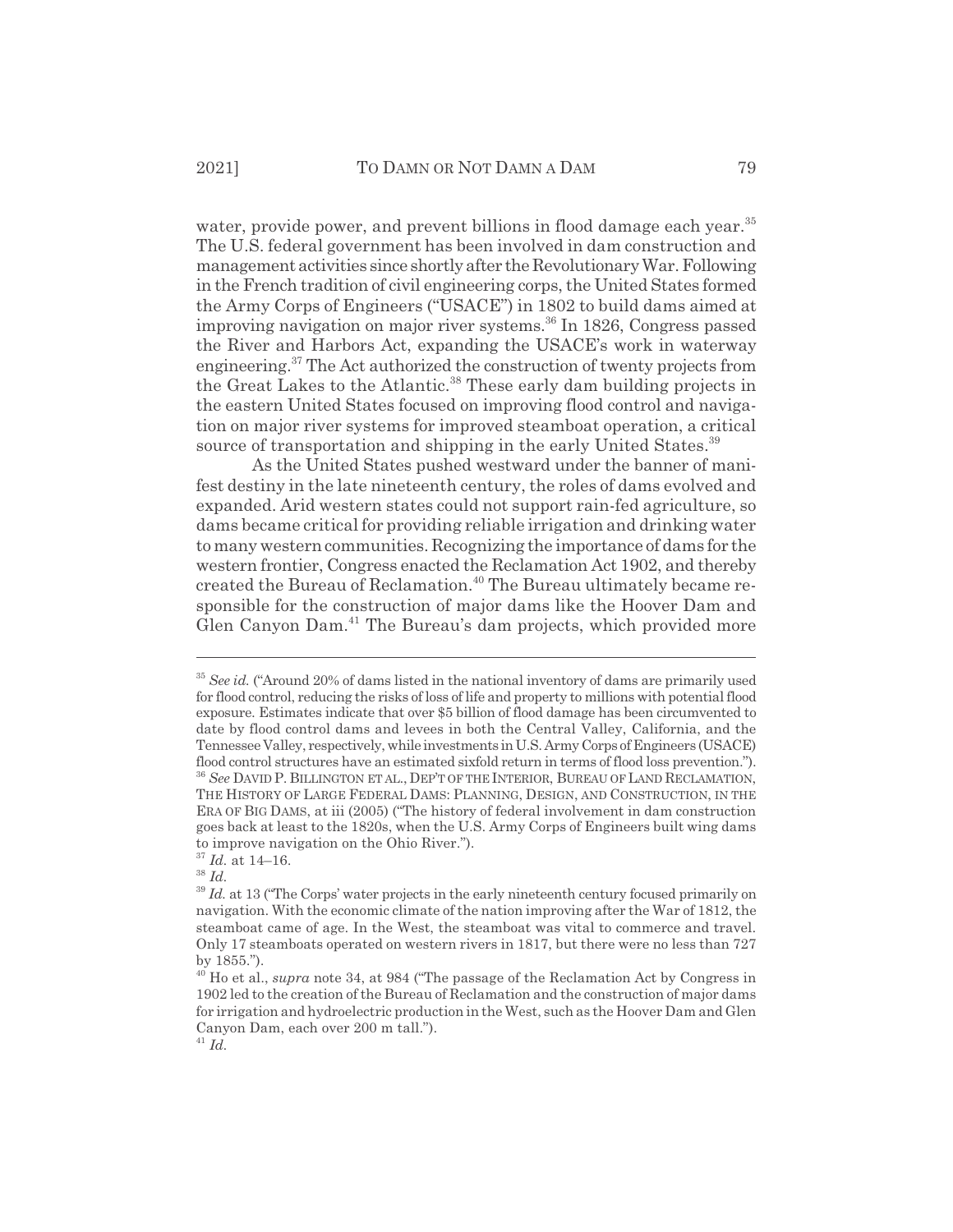water, provide power, and prevent billions in flood damage each year.<sup>35</sup> The U.S. federal government has been involved in dam construction and management activities since shortly after the Revolutionary War. Following in the French tradition of civil engineering corps, the United States formed the Army Corps of Engineers ("USACE") in 1802 to build dams aimed at improving navigation on major river systems.<sup>36</sup> In 1826, Congress passed the River and Harbors Act, expanding the USACE's work in waterway engineering.37 The Act authorized the construction of twenty projects from the Great Lakes to the Atlantic.<sup>38</sup> These early dam building projects in the eastern United States focused on improving flood control and navigation on major river systems for improved steamboat operation, a critical source of transportation and shipping in the early United States.<sup>39</sup>

As the United States pushed westward under the banner of manifest destiny in the late nineteenth century, the roles of dams evolved and expanded. Arid western states could not support rain-fed agriculture, so dams became critical for providing reliable irrigation and drinking water to many western communities. Recognizing the importance of dams for the western frontier, Congress enacted the Reclamation Act 1902, and thereby created the Bureau of Reclamation.40 The Bureau ultimately became responsible for the construction of major dams like the Hoover Dam and Glen Canyon Dam.<sup>41</sup> The Bureau's dam projects, which provided more

<sup>&</sup>lt;sup>35</sup> See id. ("Around 20% of dams listed in the national inventory of dams are primarily used for flood control, reducing the risks of loss of life and property to millions with potential flood exposure. Estimates indicate that over \$5 billion of flood damage has been circumvented to date by flood control dams and levees in both the Central Valley, California, and the Tennessee Valley, respectively, while investments in U.S. Army Corps of Engineers (USACE) flood control structures have an estimated sixfold return in terms of flood loss prevention."). <sup>36</sup> *See* DAVID P. BILLINGTON ET AL., DEP'T OF THE INTERIOR, BUREAU OF LAND RECLAMATION, THE HISTORY OF LARGE FEDERAL DAMS: PLANNING, DESIGN, AND CONSTRUCTION, IN THE ERA OF BIG DAMS, at iii (2005) ("The history of federal involvement in dam construction goes back at least to the 1820s, when the U.S. Army Corps of Engineers built wing dams to improve navigation on the Ohio River.").

<sup>37</sup> *Id.* at 14–16.

<sup>38</sup> *Id.*

<sup>&</sup>lt;sup>39</sup> *Id.* at 13 ("The Corps' water projects in the early nineteenth century focused primarily on navigation. With the economic climate of the nation improving after the War of 1812, the steamboat came of age. In the West, the steamboat was vital to commerce and travel. Only 17 steamboats operated on western rivers in 1817, but there were no less than 727 by 1855.").

<sup>&</sup>lt;sup>40</sup> Ho et al., *supra* note 34, at 984 ("The passage of the Reclamation Act by Congress in 1902 led to the creation of the Bureau of Reclamation and the construction of major dams for irrigation and hydroelectric production in the West, such as the Hoover Dam and Glen Canyon Dam, each over 200 m tall.").

 $^{41}$  *Id.*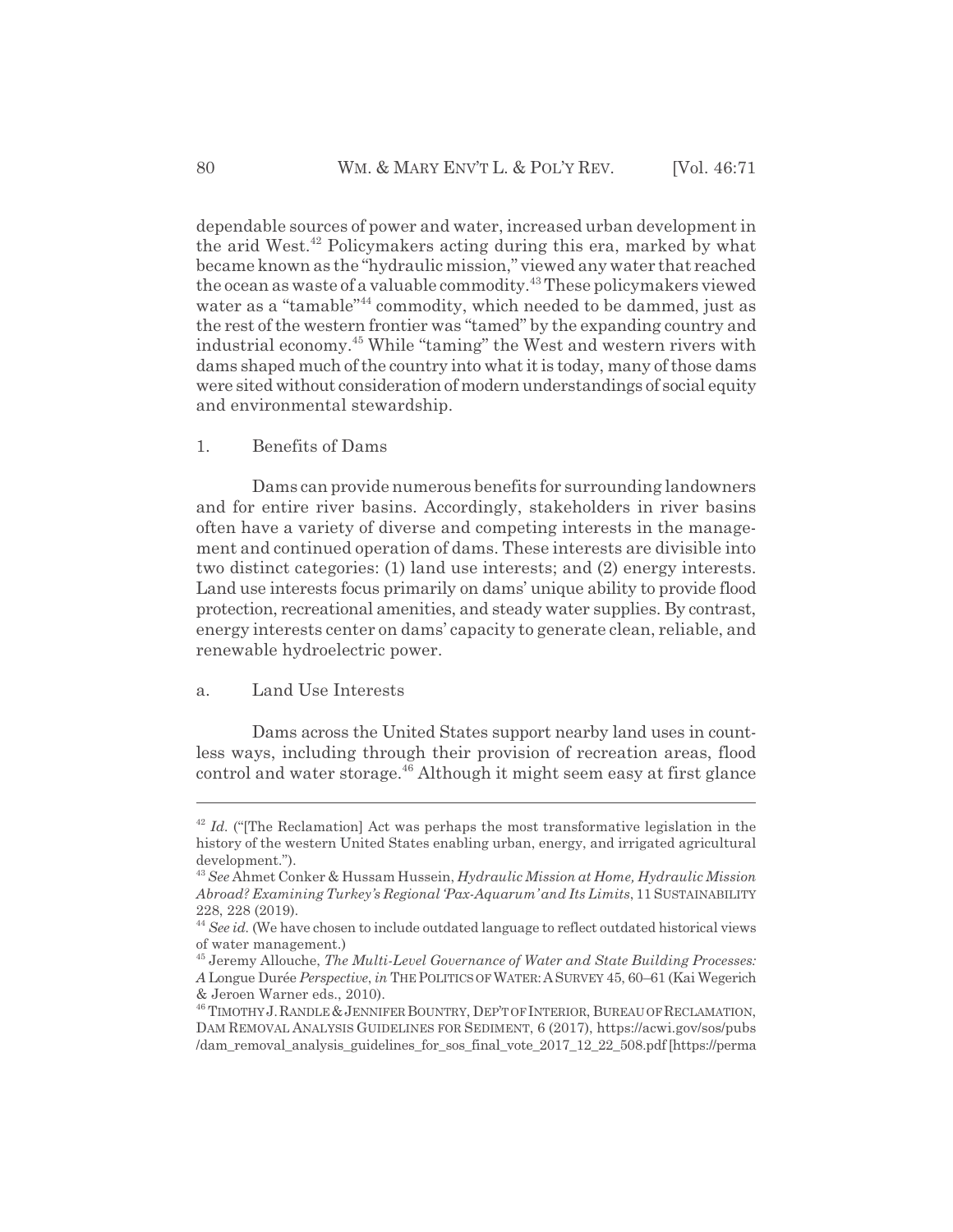dependable sources of power and water, increased urban development in the arid West.<sup>42</sup> Policymakers acting during this era, marked by what became known as the "hydraulic mission," viewed any water that reached the ocean as waste of a valuable commodity.<sup>43</sup> These policymakers viewed water as a "tamable"<sup>44</sup> commodity, which needed to be dammed, just as the rest of the western frontier was "tamed" by the expanding country and industrial economy.45 While "taming" the West and western rivers with dams shaped much of the country into what it is today, many of those dams were sited without consideration of modern understandings of social equity and environmental stewardship.

#### 1. Benefits of Dams

Dams can provide numerous benefits for surrounding landowners and for entire river basins. Accordingly, stakeholders in river basins often have a variety of diverse and competing interests in the management and continued operation of dams. These interests are divisible into two distinct categories: (1) land use interests; and (2) energy interests. Land use interests focus primarily on dams' unique ability to provide flood protection, recreational amenities, and steady water supplies. By contrast, energy interests center on dams' capacity to generate clean, reliable, and renewable hydroelectric power.

#### a. Land Use Interests

Dams across the United States support nearby land uses in countless ways, including through their provision of recreation areas, flood control and water storage.46 Although it might seem easy at first glance

<sup>&</sup>lt;sup>42</sup> *Id.* ("The Reclamation] Act was perhaps the most transformative legislation in the history of the western United States enabling urban, energy, and irrigated agricultural development.").

<sup>43</sup> *See* Ahmet Conker & Hussam Hussein, *Hydraulic Mission at Home, Hydraulic Mission Abroad? Examining Turkey's Regional 'Pax-Aquarum' and Its Limits*, 11 SUSTAINABILITY 228, 228 (2019).

<sup>44</sup> *See id.* (We have chosen to include outdated language to reflect outdated historical views of water management.)

<sup>45</sup> Jeremy Allouche, *The Multi-Level Governance of Water and State Building Processes: A* Longue Durée *Perspective*, *in* THE POLITICS OF WATER:ASURVEY 45, 60–61 (Kai Wegerich & Jeroen Warner eds., 2010).

<sup>&</sup>lt;sup>46</sup> TIMOTHY J. RANDLE & JENNIFER BOUNTRY, DEP'T OF INTERIOR, BUREAU OF RECLAMATION, DAM REMOVAL ANALYSIS GUIDELINES FOR SEDIMENT, 6 (2017), https://acwi.gov/sos/pubs /dam\_removal\_analysis\_guidelines\_for\_sos\_final\_vote\_2017\_12\_22\_508.pdf [https://perma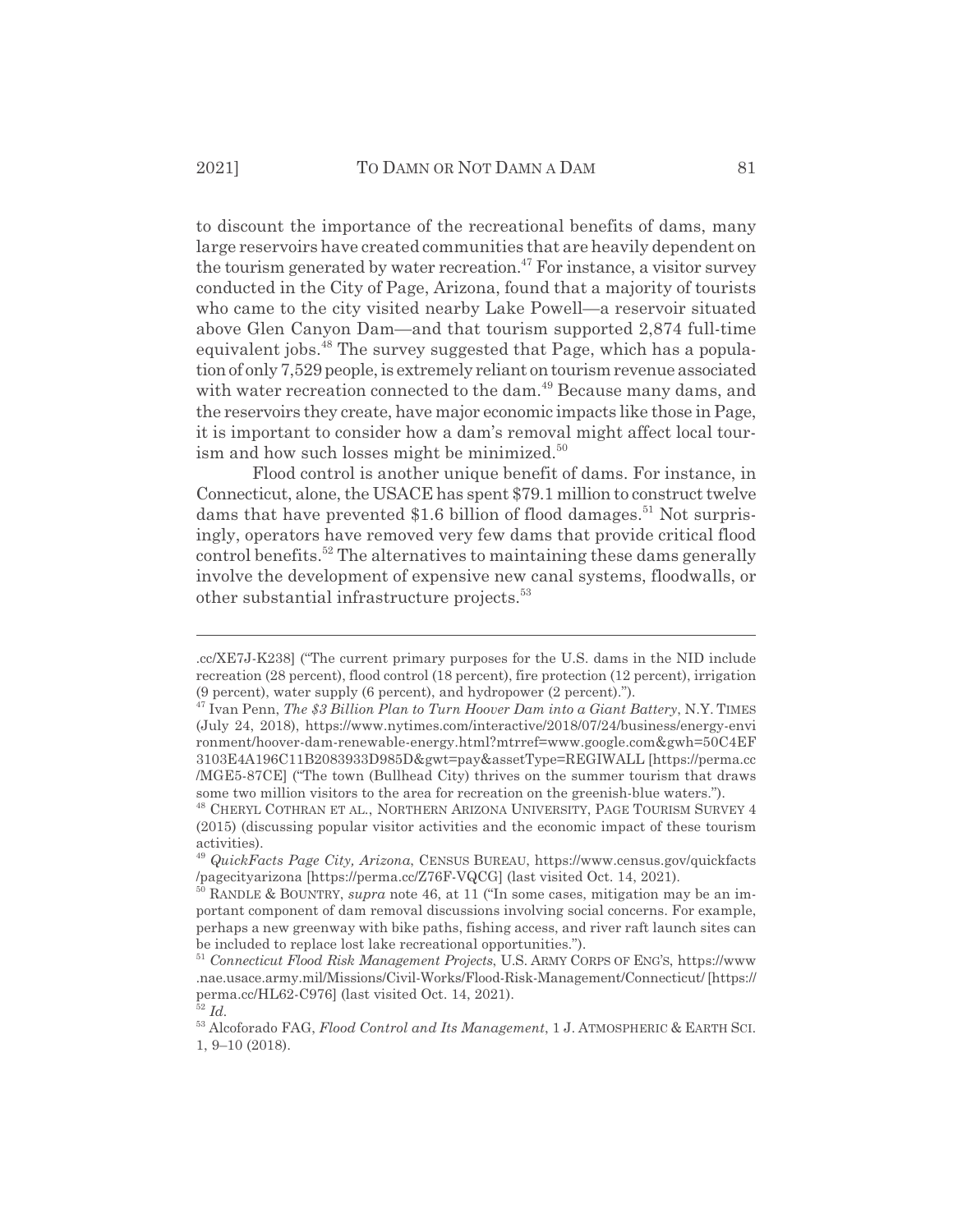to discount the importance of the recreational benefits of dams, many large reservoirs have created communities that are heavily dependent on the tourism generated by water recreation.<sup>47</sup> For instance, a visitor survey conducted in the City of Page, Arizona, found that a majority of tourists who came to the city visited nearby Lake Powell—a reservoir situated above Glen Canyon Dam—and that tourism supported 2,874 full-time equivalent jobs.<sup>48</sup> The survey suggested that Page, which has a population of only 7,529 people, is extremely reliant on tourism revenue associated with water recreation connected to the dam.<sup>49</sup> Because many dams, and the reservoirs they create, have major economic impacts like those in Page, it is important to consider how a dam's removal might affect local tourism and how such losses might be minimized.<sup>50</sup>

Flood control is another unique benefit of dams. For instance, in Connecticut, alone, the USACE has spent \$79.1 million to construct twelve dams that have prevented  $$1.6$  billion of flood damages.<sup>51</sup> Not surprisingly, operators have removed very few dams that provide critical flood control benefits. $52$  The alternatives to maintaining these dams generally involve the development of expensive new canal systems, floodwalls, or other substantial infrastructure projects.<sup>53</sup>

<sup>.</sup>cc/XE7J-K238] ("The current primary purposes for the U.S. dams in the NID include recreation (28 percent), flood control (18 percent), fire protection (12 percent), irrigation (9 percent), water supply (6 percent), and hydropower (2 percent).").

<sup>47</sup> Ivan Penn, *The \$3 Billion Plan to Turn Hoover Dam into a Giant Battery*, N.Y. TIMES (July 24, 2018), https://www.nytimes.com/interactive/2018/07/24/business/energy-envi ronment/hoover-dam-renewable-energy.html?mtrref=www.google.com&gwh=50C4EF 3103E4A196C11B2083933D985D&gwt=pay&assetType=REGIWALL [https://perma.cc /MGE5-87CE] ("The town (Bullhead City) thrives on the summer tourism that draws some two million visitors to the area for recreation on the greenish-blue waters.").

<sup>48</sup> CHERYL COTHRAN ET AL., NORTHERN ARIZONA UNIVERSITY, PAGE TOURISM SURVEY 4 (2015) (discussing popular visitor activities and the economic impact of these tourism activities).

<sup>49</sup> *QuickFacts Page City, Arizona*, CENSUS BUREAU, https://www.census.gov/quickfacts /pagecityarizona [https://perma.cc/Z76F-VQCG] (last visited Oct. 14, 2021).

<sup>50</sup> RANDLE & BOUNTRY, *supra* note 46, at 11 ("In some cases, mitigation may be an important component of dam removal discussions involving social concerns. For example, perhaps a new greenway with bike paths, fishing access, and river raft launch sites can be included to replace lost lake recreational opportunities.").

<sup>51</sup> *Connecticut Flood Risk Management Projects*, U.S. ARMY CORPS OF ENG'S, https://www .nae.usace.army.mil/Missions/Civil-Works/Flood-Risk-Management/Connecticut/ [https:// perma.cc/HL62-C976] (last visited Oct. 14, 2021). <sup>52</sup> *Id.*

<sup>53</sup> Alcoforado FAG, *Flood Control and Its Management*, 1 J. ATMOSPHERIC & EARTH SCI. 1, 9–10 (2018).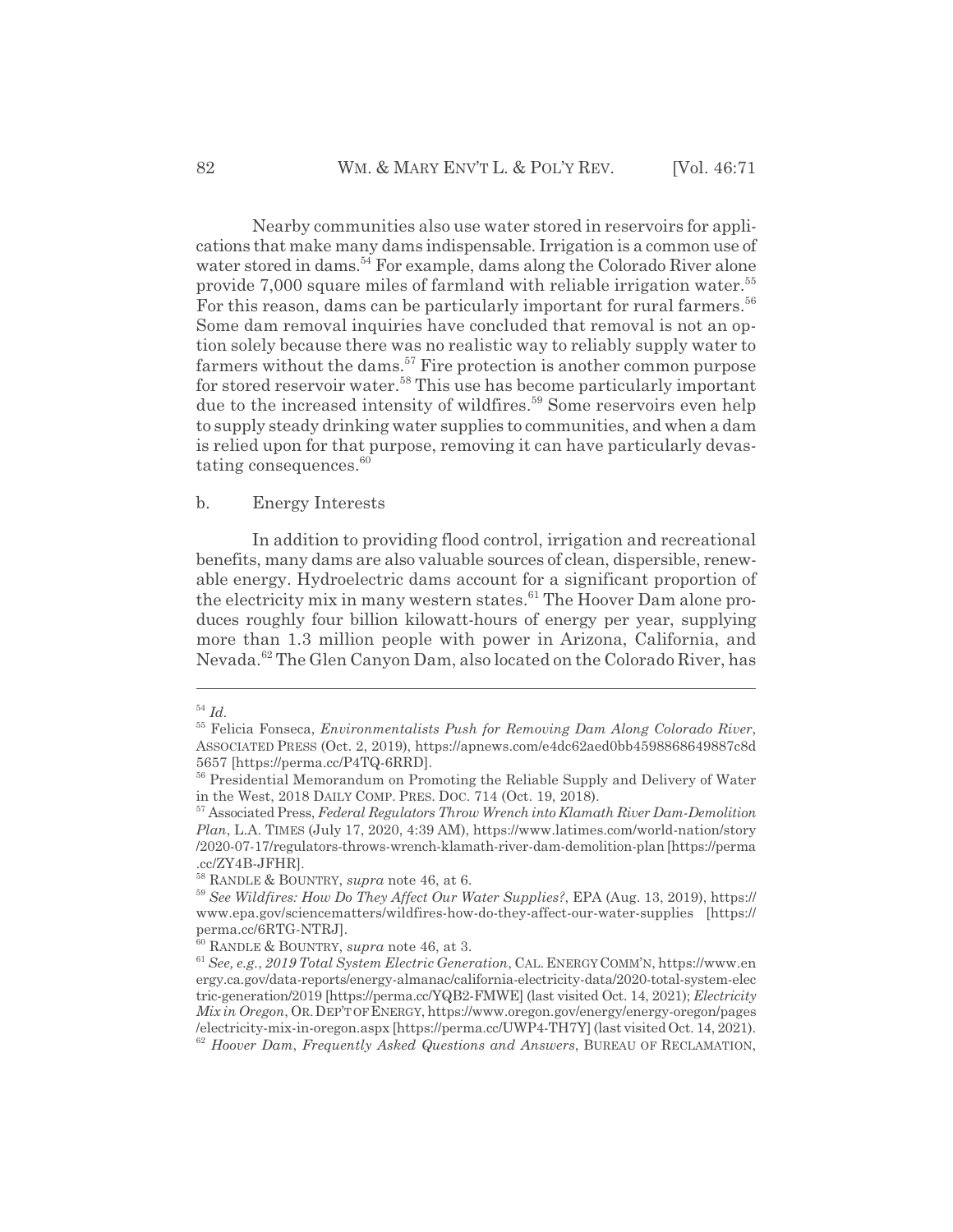Nearby communities also use water stored in reservoirs for applications that make many dams indispensable. Irrigation is a common use of water stored in dams.<sup>54</sup> For example, dams along the Colorado River alone provide 7,000 square miles of farmland with reliable irrigation water.<sup>55</sup> For this reason, dams can be particularly important for rural farmers.<sup>56</sup> Some dam removal inquiries have concluded that removal is not an option solely because there was no realistic way to reliably supply water to farmers without the dams.<sup>57</sup> Fire protection is another common purpose for stored reservoir water.58 This use has become particularly important due to the increased intensity of wildfires.<sup>59</sup> Some reservoirs even help to supply steady drinking water supplies to communities, and when a dam is relied upon for that purpose, removing it can have particularly devastating consequences.<sup>60</sup>

#### b. Energy Interests

In addition to providing flood control, irrigation and recreational benefits, many dams are also valuable sources of clean, dispersible, renewable energy. Hydroelectric dams account for a significant proportion of the electricity mix in many western states.<sup>61</sup> The Hoover Dam alone produces roughly four billion kilowatt-hours of energy per year, supplying more than 1.3 million people with power in Arizona, California, and Nevada.<sup>62</sup> The Glen Canyon Dam, also located on the Colorado River, has

<sup>54</sup> *Id.*

<sup>55</sup> Felicia Fonseca, *Environmentalists Push for Removing Dam Along Colorado River*, ASSOCIATED PRESS (Oct. 2, 2019), https://apnews.com/e4dc62aed0bb4598868649887c8d 5657 [https://perma.cc/P4TQ-6RRD].

<sup>&</sup>lt;sup>56</sup> Presidential Memorandum on Promoting the Reliable Supply and Delivery of Water in the West, 2018 DAILY COMP. PRES. DOC. 714 (Oct. 19, 2018).

<sup>57</sup> Associated Press, *Federal Regulators Throw Wrench into Klamath River Dam-Demolition Plan*, L.A. TIMES (July 17, 2020, 4:39 AM), https://www.latimes.com/world-nation/story /2020-07-17/regulators-throws-wrench-klamath-river-dam-demolition-plan [https://perma .cc/ZY4B-JFHR].

<sup>58</sup> RANDLE & BOUNTRY, *supra* note 46, at 6.

<sup>59</sup> *See Wildfires: How Do They Affect Our Water Supplies?*, EPA (Aug. 13, 2019), https:// www.epa.gov/sciencematters/wildfires-how-do-they-affect-our-water-supplies [https:// perma.cc/6RTG-NTRJ].

<sup>60</sup> RANDLE & BOUNTRY, *supra* note 46, at 3.

<sup>61</sup> *See, e.g.*, *2019 Total System Electric Generation*, CAL.ENERGY COMM'N, https://www.en ergy.ca.gov/data-reports/energy-almanac/california-electricity-data/2020-total-system-elec tric-generation/2019 [https://perma.cc/YQB2-FMWE] (last visited Oct. 14, 2021); *Electricity Mix in Oregon*, OR.DEP'T OF ENERGY, https://www.oregon.gov/energy/energy-oregon/pages /electricity-mix-in-oregon.aspx [https://perma.cc/UWP4-TH7Y] (last visited Oct. 14, 2021). <sup>62</sup> *Hoover Dam*, *Frequently Asked Questions and Answers*, BUREAU OF RECLAMATION,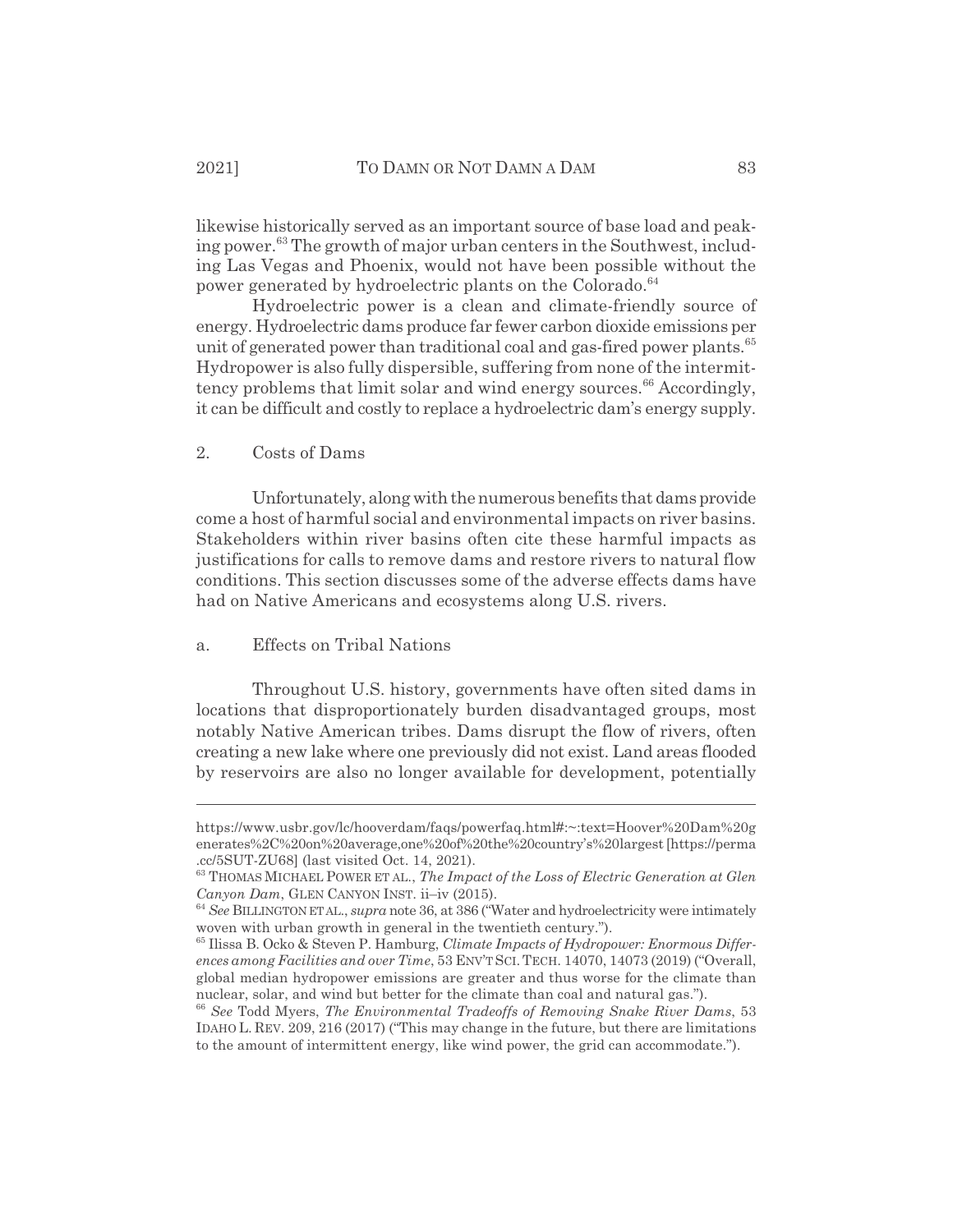likewise historically served as an important source of base load and peaking power.<sup>63</sup> The growth of major urban centers in the Southwest, including Las Vegas and Phoenix, would not have been possible without the power generated by hydroelectric plants on the Colorado.<sup>64</sup>

Hydroelectric power is a clean and climate-friendly source of energy. Hydroelectric dams produce far fewer carbon dioxide emissions per unit of generated power than traditional coal and gas-fired power plants.<sup>65</sup> Hydropower is also fully dispersible, suffering from none of the intermittency problems that limit solar and wind energy sources.<sup>66</sup> Accordingly, it can be difficult and costly to replace a hydroelectric dam's energy supply.

#### 2. Costs of Dams

Unfortunately, along with the numerous benefits that dams provide come a host of harmful social and environmental impacts on river basins. Stakeholders within river basins often cite these harmful impacts as justifications for calls to remove dams and restore rivers to natural flow conditions. This section discusses some of the adverse effects dams have had on Native Americans and ecosystems along U.S. rivers.

## a. Effects on Tribal Nations

Throughout U.S. history, governments have often sited dams in locations that disproportionately burden disadvantaged groups, most notably Native American tribes. Dams disrupt the flow of rivers, often creating a new lake where one previously did not exist. Land areas flooded by reservoirs are also no longer available for development, potentially

https://www.usbr.gov/lc/hooverdam/faqs/powerfaq.html#:~:text=Hoover%20Dam%20g enerates%2C%20on%20average,one%20of%20the%20country's%20largest [https://perma .cc/5SUT-ZU68] (last visited Oct. 14, 2021).

<sup>63</sup> THOMAS MICHAEL POWER ET AL., *The Impact of the Loss of Electric Generation at Glen Canyon Dam*, GLEN CANYON INST. ii–iv (2015).

<sup>64</sup> *See* BILLINGTON ET AL., *supra* note 36, at 386 ("Water and hydroelectricity were intimately woven with urban growth in general in the twentieth century.").

<sup>65</sup> Ilissa B. Ocko & Steven P. Hamburg, *Climate Impacts of Hydropower: Enormous Differences among Facilities and over Time*, 53 ENV'T SCI. TECH. 14070, 14073 (2019) ("Overall, global median hydropower emissions are greater and thus worse for the climate than nuclear, solar, and wind but better for the climate than coal and natural gas.").

<sup>66</sup> *See* Todd Myers, *The Environmental Tradeoffs of Removing Snake River Dams*, 53 IDAHO L. REV. 209, 216 (2017) ("This may change in the future, but there are limitations to the amount of intermittent energy, like wind power, the grid can accommodate.").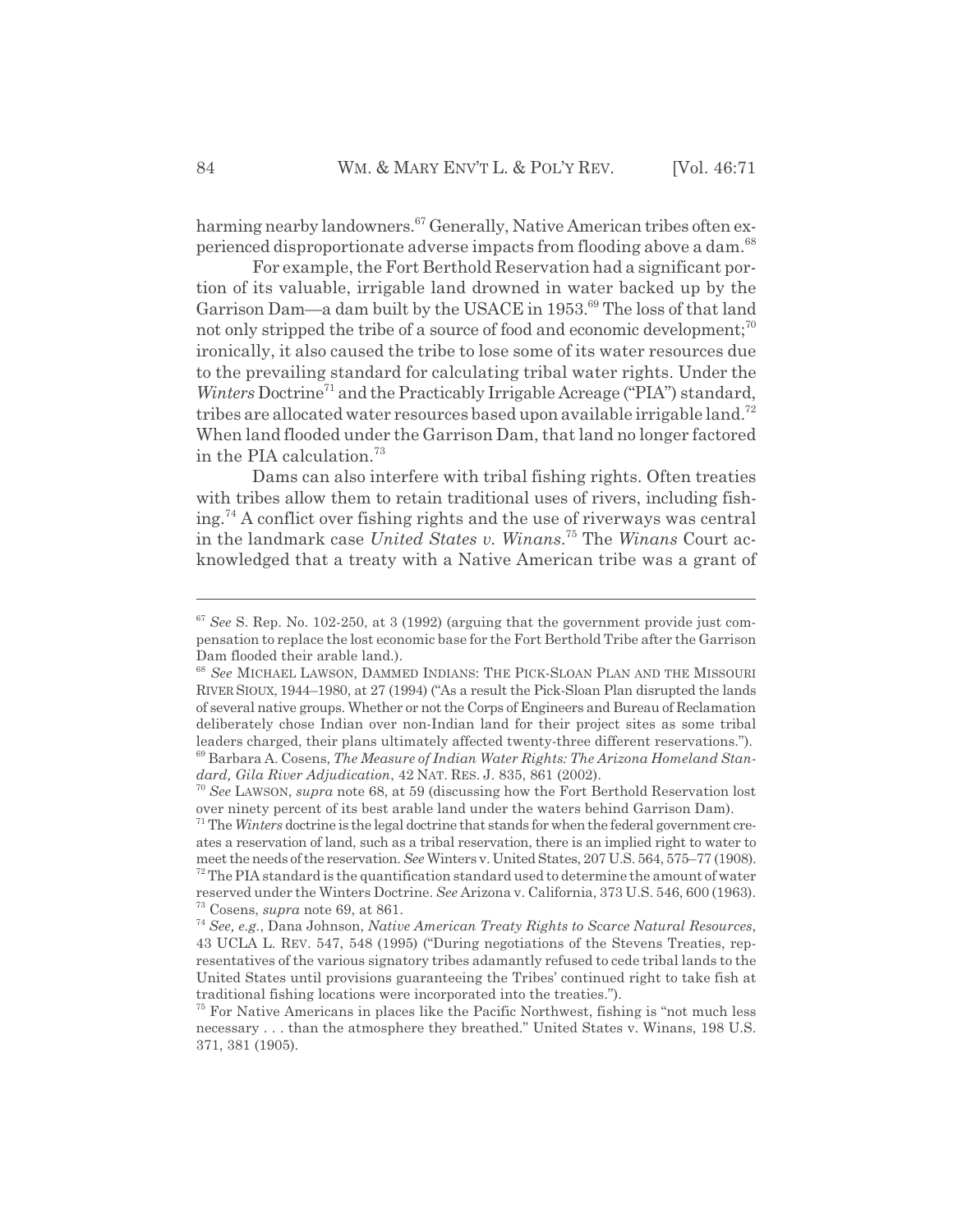harming nearby landowners.<sup>67</sup> Generally, Native American tribes often experienced disproportionate adverse impacts from flooding above a dam.<sup>68</sup>

For example, the Fort Berthold Reservation had a significant portion of its valuable, irrigable land drowned in water backed up by the Garrison Dam—a dam built by the USACE in 1953.<sup>69</sup> The loss of that land not only stripped the tribe of a source of food and economic development;<sup>70</sup> ironically, it also caused the tribe to lose some of its water resources due to the prevailing standard for calculating tribal water rights. Under the *Winters* Doctrine<sup>71</sup> and the Practicably Irrigable Acreage ("PIA") standard, tribes are allocated water resources based upon available irrigable land.<sup>72</sup> When land flooded under the Garrison Dam, that land no longer factored in the PIA calculation.<sup>73</sup>

Dams can also interfere with tribal fishing rights. Often treaties with tribes allow them to retain traditional uses of rivers, including fishing.74 A conflict over fishing rights and the use of riverways was central in the landmark case *United States v. Winans*. 75 The *Winans* Court acknowledged that a treaty with a Native American tribe was a grant of

<sup>67</sup> *See* S. Rep. No. 102-250, at 3 (1992) (arguing that the government provide just compensation to replace the lost economic base for the Fort Berthold Tribe after the Garrison Dam flooded their arable land.).

<sup>68</sup> *See* MICHAEL LAWSON, DAMMED INDIANS: THE PICK-SLOAN PLAN AND THE MISSOURI RIVER SIOUX, 1944–1980, at 27 (1994) ("As a result the Pick-Sloan Plan disrupted the lands of several native groups. Whether or not the Corps of Engineers and Bureau of Reclamation deliberately chose Indian over non-Indian land for their project sites as some tribal leaders charged, their plans ultimately affected twenty-three different reservations."). 69 Barbara A. Cosens, *The Measure of Indian Water Rights: The Arizona Homeland Stan-*

*dard, Gila River Adjudication*, 42 NAT. RES. J. 835, 861 (2002).

<sup>70</sup> *See* LAWSON, *supra* note 68, at 59 (discussing how the Fort Berthold Reservation lost over ninety percent of its best arable land under the waters behind Garrison Dam).

<sup>71</sup> The *Winters* doctrine is the legal doctrine that stands for when the federal government creates a reservation of land, such as a tribal reservation, there is an implied right to water to meet the needs of the reservation. *See* Winters v. United States, 207 U.S. 564, 575–77 (1908).  $72$  The PIA standard is the quantification standard used to determine the amount of water reserved under the Winters Doctrine. *See* Arizona v. California, 373 U.S. 546, 600 (1963). 73 Cosens, *supra* note 69, at 861.

<sup>74</sup> *See, e.g.*, Dana Johnson, *Native American Treaty Rights to Scarce Natural Resources*, 43 UCLA L. REV. 547, 548 (1995) ("During negotiations of the Stevens Treaties, representatives of the various signatory tribes adamantly refused to cede tribal lands to the United States until provisions guaranteeing the Tribes' continued right to take fish at traditional fishing locations were incorporated into the treaties.").

 $75$  For Native Americans in places like the Pacific Northwest, fishing is "not much less" necessary . . . than the atmosphere they breathed." United States v. Winans, 198 U.S. 371, 381 (1905).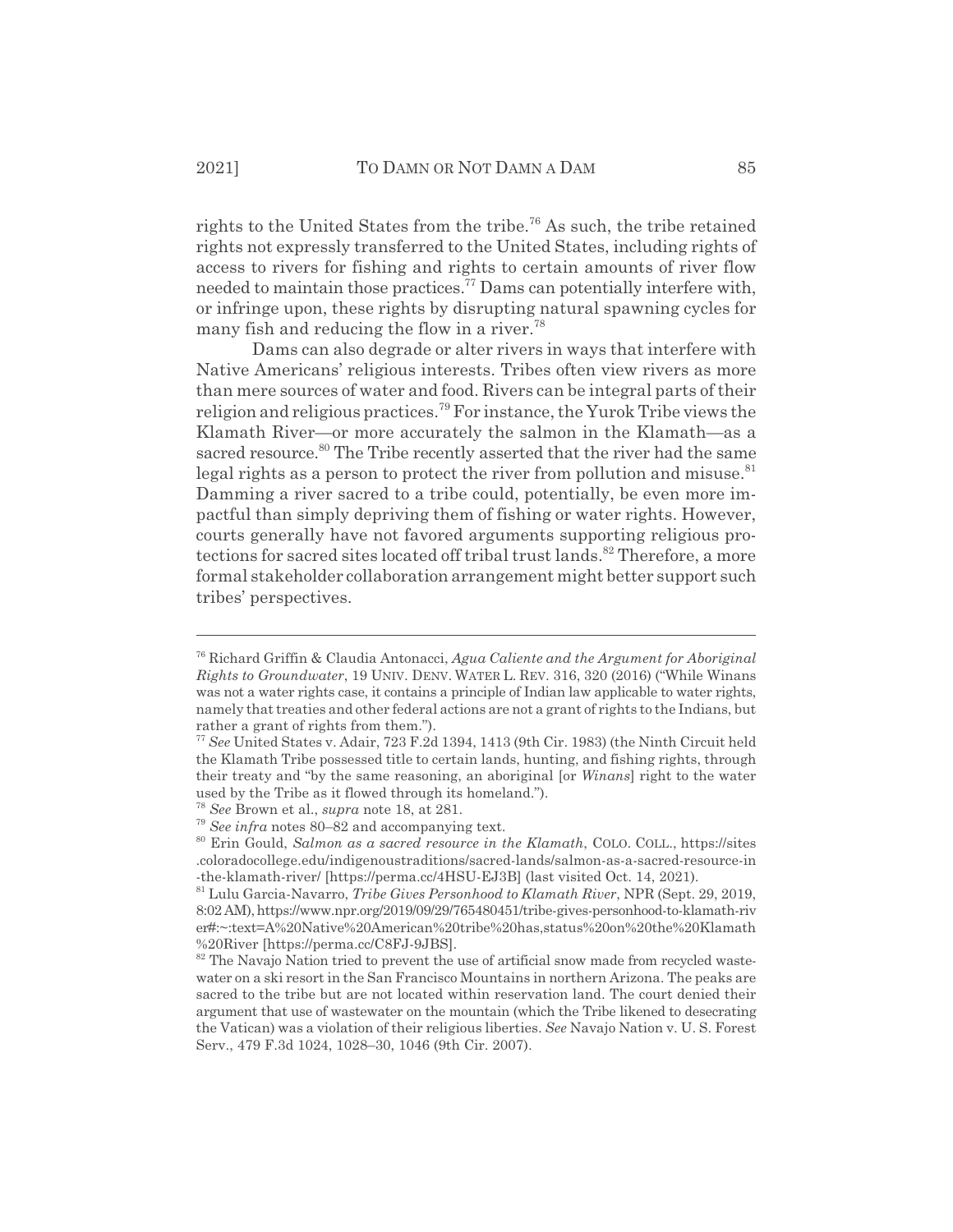rights to the United States from the tribe.<sup>76</sup> As such, the tribe retained rights not expressly transferred to the United States, including rights of access to rivers for fishing and rights to certain amounts of river flow needed to maintain those practices.77 Dams can potentially interfere with, or infringe upon, these rights by disrupting natural spawning cycles for many fish and reducing the flow in a river.<sup>78</sup>

Dams can also degrade or alter rivers in ways that interfere with Native Americans' religious interests. Tribes often view rivers as more than mere sources of water and food. Rivers can be integral parts of their religion and religious practices.79 For instance, the Yurok Tribe views the Klamath River—or more accurately the salmon in the Klamath—as a sacred resource.<sup>80</sup> The Tribe recently asserted that the river had the same legal rights as a person to protect the river from pollution and misuse. $81$ Damming a river sacred to a tribe could, potentially, be even more impactful than simply depriving them of fishing or water rights. However, courts generally have not favored arguments supporting religious protections for sacred sites located off tribal trust lands.<sup>82</sup> Therefore, a more formal stakeholder collaboration arrangement might better support such tribes' perspectives.

<sup>76</sup> Richard Griffin & Claudia Antonacci, *Agua Caliente and the Argument for Aboriginal Rights to Groundwater*, 19 UNIV. DENV. WATER L. REV. 316, 320 (2016) ("While Winans was not a water rights case, it contains a principle of Indian law applicable to water rights, namely that treaties and other federal actions are not a grant of rights to the Indians, but rather a grant of rights from them.").

<sup>77</sup> *See* United States v. Adair, 723 F.2d 1394, 1413 (9th Cir. 1983) (the Ninth Circuit held the Klamath Tribe possessed title to certain lands, hunting, and fishing rights, through their treaty and "by the same reasoning, an aboriginal [or *Winans*] right to the water used by the Tribe as it flowed through its homeland.").

<sup>78</sup> *See* Brown et al., *supra* note 18, at 281.

<sup>79</sup> *See infra* notes 80–82 and accompanying text.

<sup>80</sup> Erin Gould, *Salmon as a sacred resource in the Klamath*, COLO. COLL., https://sites .coloradocollege.edu/indigenoustraditions/sacred-lands/salmon-as-a-sacred-resource-in -the-klamath-river/ [https://perma.cc/4HSU-EJ3B] (last visited Oct. 14, 2021).

<sup>81</sup> Lulu Garcia-Navarro, *Tribe Gives Personhood to Klamath River*, NPR (Sept. 29, 2019, 8:02 AM), https://www.npr.org/2019/09/29/765480451/tribe-gives-personhood-to-klamath-riv er#:~:text=A%20Native%20American%20tribe%20has,status%20on%20the%20Klamath %20River [https://perma.cc/C8FJ-9JBS].

 $82$  The Navajo Nation tried to prevent the use of artificial snow made from recycled wastewater on a ski resort in the San Francisco Mountains in northern Arizona. The peaks are sacred to the tribe but are not located within reservation land. The court denied their argument that use of wastewater on the mountain (which the Tribe likened to desecrating the Vatican) was a violation of their religious liberties. *See* Navajo Nation v. U. S. Forest Serv., 479 F.3d 1024, 1028–30, 1046 (9th Cir. 2007).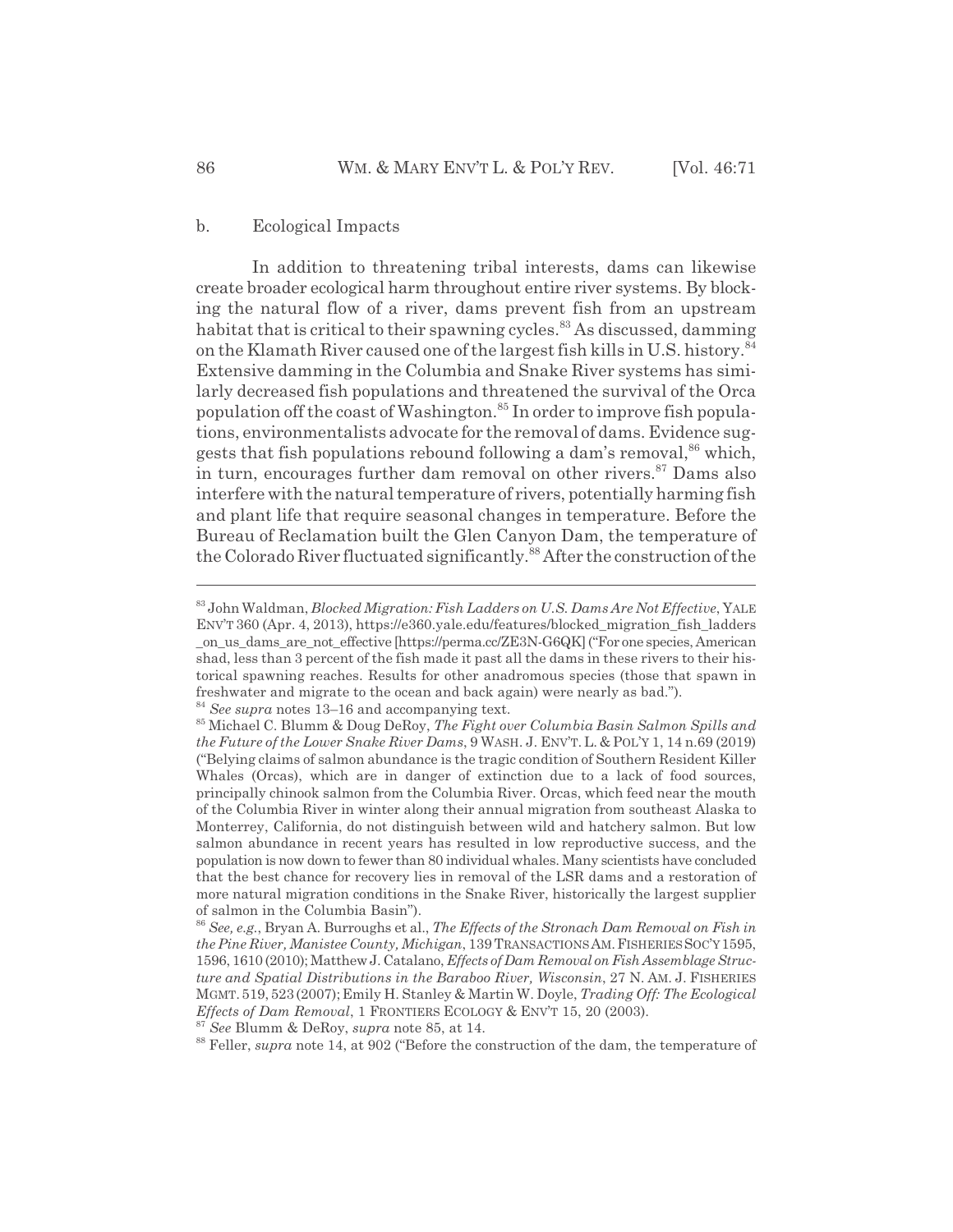In addition to threatening tribal interests, dams can likewise create broader ecological harm throughout entire river systems. By blocking the natural flow of a river, dams prevent fish from an upstream habitat that is critical to their spawning cycles.<sup>83</sup> As discussed, damming on the Klamath River caused one of the largest fish kills in U.S. history.<sup>84</sup> Extensive damming in the Columbia and Snake River systems has similarly decreased fish populations and threatened the survival of the Orca population off the coast of Washington.<sup>85</sup> In order to improve fish populations, environmentalists advocate for the removal of dams. Evidence suggests that fish populations rebound following a dam's removal,<sup>86</sup> which, in turn, encourages further dam removal on other rivers.<sup>87</sup> Dams also interfere with the natural temperature of rivers, potentially harming fish and plant life that require seasonal changes in temperature. Before the Bureau of Reclamation built the Glen Canyon Dam, the temperature of the Colorado River fluctuated significantly.<sup>88</sup> After the construction of the

<sup>83</sup> John Waldman, *Blocked Migration: Fish Ladders on U.S. Dams Are Not Effective*, YALE ENV'T 360 (Apr. 4, 2013), https://e360.yale.edu/features/blocked\_migration\_fish\_ladders \_on\_us\_dams\_are\_not\_effective [https://perma.cc/ZE3N-G6QK] ("For one species, American shad, less than 3 percent of the fish made it past all the dams in these rivers to their historical spawning reaches. Results for other anadromous species (those that spawn in freshwater and migrate to the ocean and back again) were nearly as bad."). <sup>84</sup> *See supra* notes 13–16 and accompanying text.

<sup>85</sup> Michael C. Blumm & Doug DeRoy, *The Fight over Columbia Basin Salmon Spills and the Future of the Lower Snake River Dams*, 9 WASH. J. ENV'T. L. & POL'Y 1, 14 n.69 (2019) ("Belying claims of salmon abundance is the tragic condition of Southern Resident Killer Whales (Orcas), which are in danger of extinction due to a lack of food sources, principally chinook salmon from the Columbia River. Orcas, which feed near the mouth of the Columbia River in winter along their annual migration from southeast Alaska to Monterrey, California, do not distinguish between wild and hatchery salmon. But low salmon abundance in recent years has resulted in low reproductive success, and the population is now down to fewer than 80 individual whales. Many scientists have concluded that the best chance for recovery lies in removal of the LSR dams and a restoration of more natural migration conditions in the Snake River, historically the largest supplier of salmon in the Columbia Basin").

<sup>86</sup> *See, e.g.*, Bryan A. Burroughs et al., *The Effects of the Stronach Dam Removal on Fish in the Pine River, Manistee County, Michigan*, 139 TRANSACTIONSAM.FISHERIESSOC'Y1595, 1596, 1610 (2010); Matthew J. Catalano, *Effects of Dam Removal on Fish Assemblage Structure and Spatial Distributions in the Baraboo River, Wisconsin*, 27 N. AM. J. FISHERIES MGMT.519,523(2007);Emily H. Stanley & Martin W. Doyle, *Trading Off: The Ecological Effects of Dam Removal*, 1 FRONTIERS ECOLOGY & ENV'T 15, 20 (2003).

<sup>87</sup> *See* Blumm & DeRoy, *supra* note 85, at 14.

<sup>&</sup>lt;sup>88</sup> Feller, *supra* note 14, at 902 ("Before the construction of the dam, the temperature of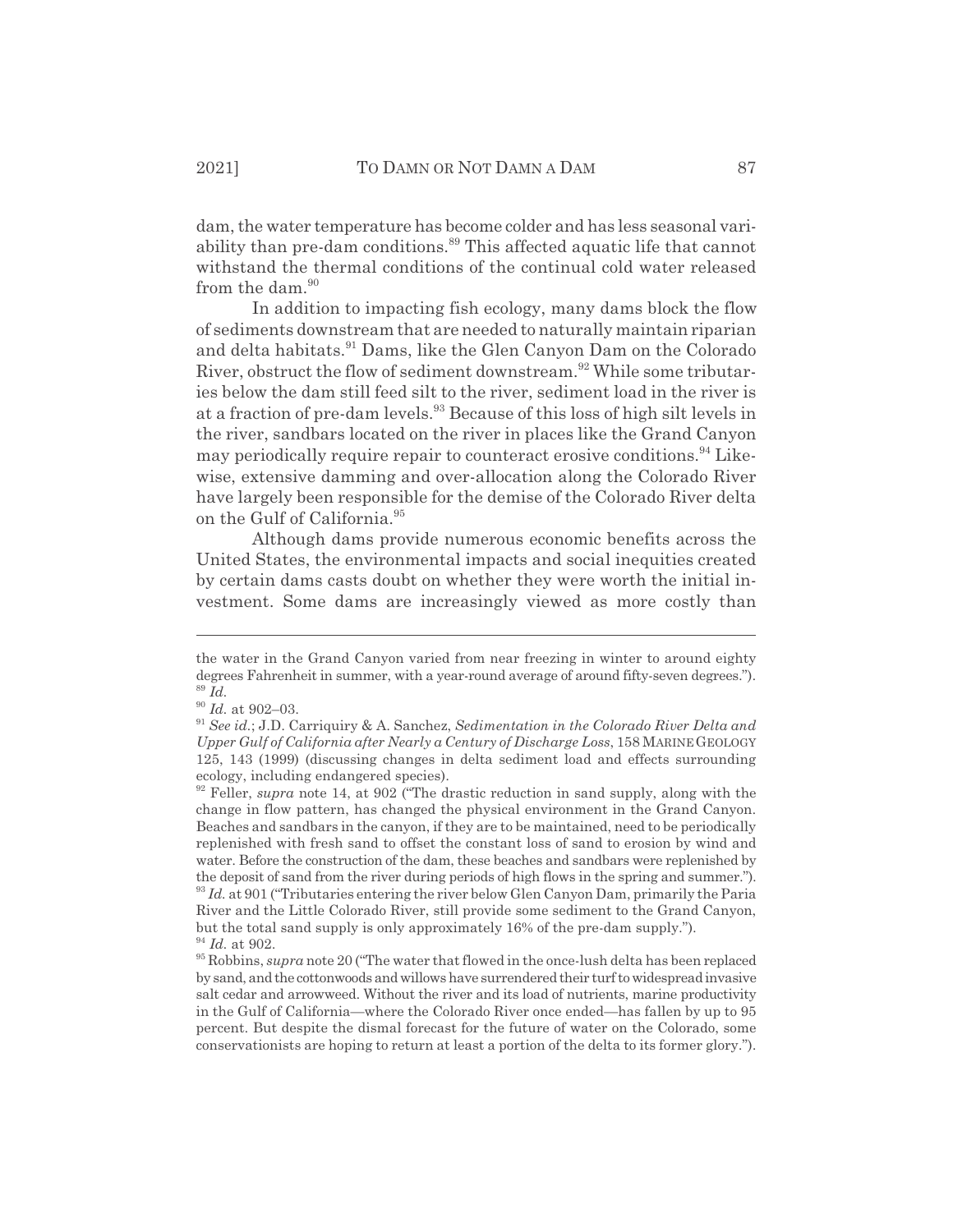dam, the water temperature has become colder and has less seasonal variability than pre-dam conditions.<sup>89</sup> This affected aquatic life that cannot withstand the thermal conditions of the continual cold water released from the dam.<sup>90</sup>

In addition to impacting fish ecology, many dams block the flow of sediments downstream that are needed to naturally maintain riparian and delta habitats.<sup>91</sup> Dams, like the Glen Canyon Dam on the Colorado River, obstruct the flow of sediment downstream.<sup>92</sup> While some tributaries below the dam still feed silt to the river, sediment load in the river is at a fraction of pre-dam levels.<sup>93</sup> Because of this loss of high silt levels in the river, sandbars located on the river in places like the Grand Canyon may periodically require repair to counteract erosive conditions.<sup>94</sup> Likewise, extensive damming and over-allocation along the Colorado River have largely been responsible for the demise of the Colorado River delta on the Gulf of California.<sup>95</sup>

Although dams provide numerous economic benefits across the United States, the environmental impacts and social inequities created by certain dams casts doubt on whether they were worth the initial investment. Some dams are increasingly viewed as more costly than

the water in the Grand Canyon varied from near freezing in winter to around eighty degrees Fahrenheit in summer, with a year-round average of around fifty-seven degrees."). <sup>89</sup> *Id.*

 $\real^{90}$   $Id.$  at 902–03.

<sup>91</sup> *See id.*; J.D. Carriquiry & A. Sanchez, *Sedimentation in the Colorado River Delta and Upper Gulf of California after Nearly a Century of Discharge Loss*, 158 MARINEGEOLOGY 125, 143 (1999) (discussing changes in delta sediment load and effects surrounding ecology, including endangered species).

<sup>92</sup> Feller, *supra* note 14, at 902 ("The drastic reduction in sand supply, along with the change in flow pattern, has changed the physical environment in the Grand Canyon. Beaches and sandbars in the canyon, if they are to be maintained, need to be periodically replenished with fresh sand to offset the constant loss of sand to erosion by wind and water. Before the construction of the dam, these beaches and sandbars were replenished by the deposit of sand from the river during periods of high flows in the spring and summer."). <sup>93</sup> *Id.* at 901 ("Tributaries entering the river below Glen Canyon Dam, primarily the Paria River and the Little Colorado River, still provide some sediment to the Grand Canyon, but the total sand supply is only approximately 16% of the pre-dam supply."). <sup>94</sup> *Id.* at 902.

<sup>95</sup> Robbins, *supra* note 20 ("The water that flowed in the once-lush delta has been replaced by sand, and the cottonwoods and willows have surrendered their turf to widespread invasive salt cedar and arrowweed. Without the river and its load of nutrients, marine productivity in the Gulf of California—where the Colorado River once ended—has fallen by up to 95 percent. But despite the dismal forecast for the future of water on the Colorado, some conservationists are hoping to return at least a portion of the delta to its former glory.").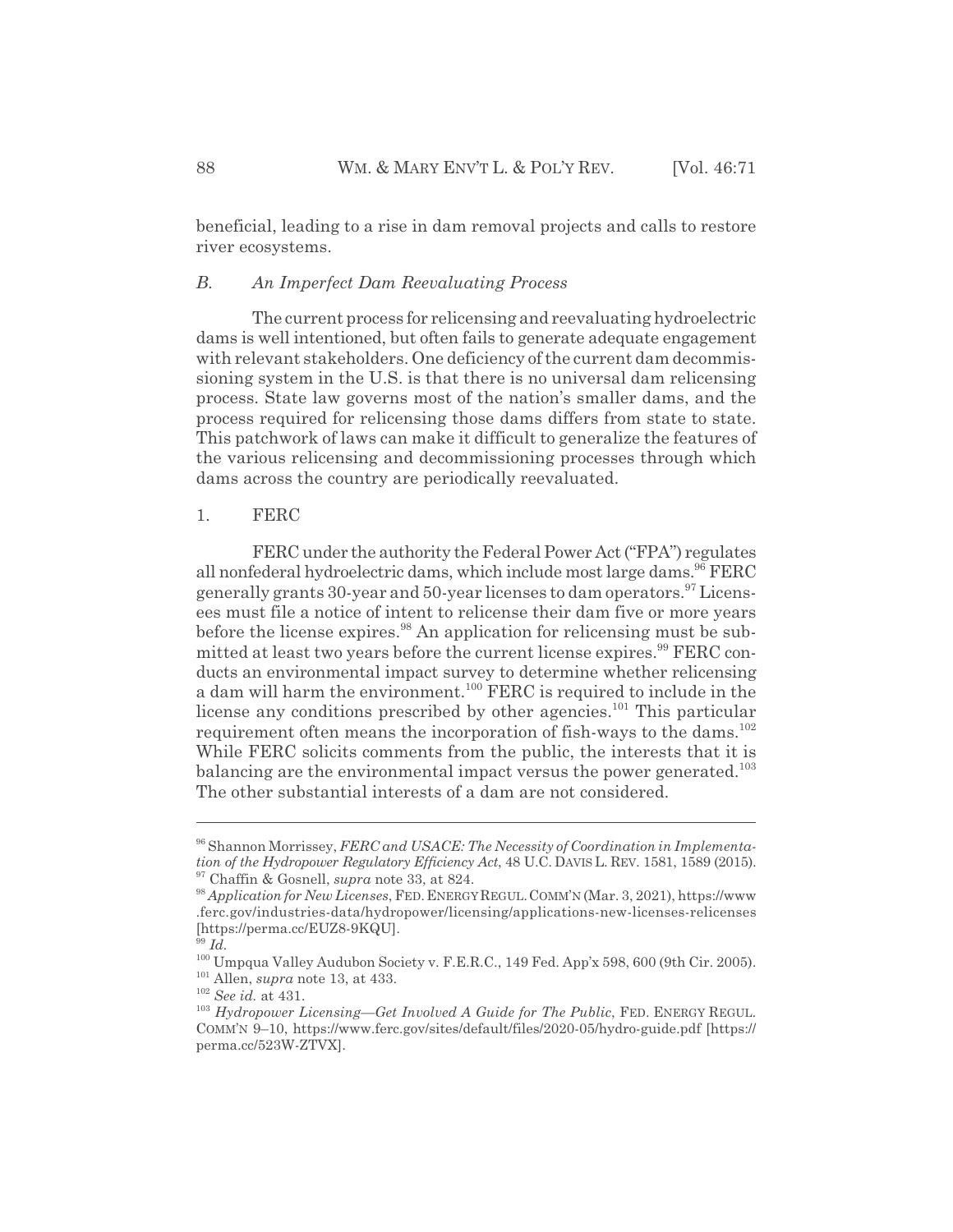beneficial, leading to a rise in dam removal projects and calls to restore river ecosystems.

## *B. An Imperfect Dam Reevaluating Process*

The current process for relicensing and reevaluating hydroelectric dams is well intentioned, but often fails to generate adequate engagement with relevant stakeholders. One deficiency of the current dam decommissioning system in the U.S. is that there is no universal dam relicensing process. State law governs most of the nation's smaller dams, and the process required for relicensing those dams differs from state to state. This patchwork of laws can make it difficult to generalize the features of the various relicensing and decommissioning processes through which dams across the country are periodically reevaluated.

#### 1. FERC

FERC under the authority the Federal Power Act ("FPA") regulates all nonfederal hydroelectric dams, which include most large dams.  $96$  FERC generally grants 30-year and 50-year licenses to dam operators.<sup>97</sup> Licensees must file a notice of intent to relicense their dam five or more years before the license expires.<sup>98</sup> An application for relicensing must be submitted at least two years before the current license expires.<sup>99</sup> FERC conducts an environmental impact survey to determine whether relicensing a dam will harm the environment.<sup>100</sup> FERC is required to include in the license any conditions prescribed by other agencies.<sup>101</sup> This particular requirement often means the incorporation of fish-ways to the dams.<sup>102</sup> While FERC solicits comments from the public, the interests that it is balancing are the environmental impact versus the power generated.<sup>103</sup> The other substantial interests of a dam are not considered.

<sup>96</sup> Shannon Morrissey, *FERC and USACE: The Necessity of Coordination in Implementation of the Hydropower Regulatory Efficiency Act*, 48 U.C. DAVIS L. REV. 1581, 1589 (2015). 97 Chaffin & Gosnell, *supra* note 33, at 824.

<sup>98</sup> *Application for New Licenses*, FED.ENERGY REGUL.COMM'N (Mar. 3, 2021), https://www .ferc.gov/industries-data/hydropower/licensing/applications-new-licenses-relicenses [https://perma.cc/EUZ8-9KQU].

<sup>99</sup> *Id.*

<sup>100</sup> Umpqua Valley Audubon Society v. F.E.R.C., 149 Fed. App'x 598, 600 (9th Cir. 2005). 101 Allen, *supra* note 13, at 433.

<sup>102</sup> *See id.* at 431.

<sup>103</sup> *Hydropower Licensing*—*Get Involved A Guide for The Public*, FED. ENERGY REGUL. COMM'N 9–10, https://www.ferc.gov/sites/default/files/2020-05/hydro-guide.pdf [https:// perma.cc/523W-ZTVX].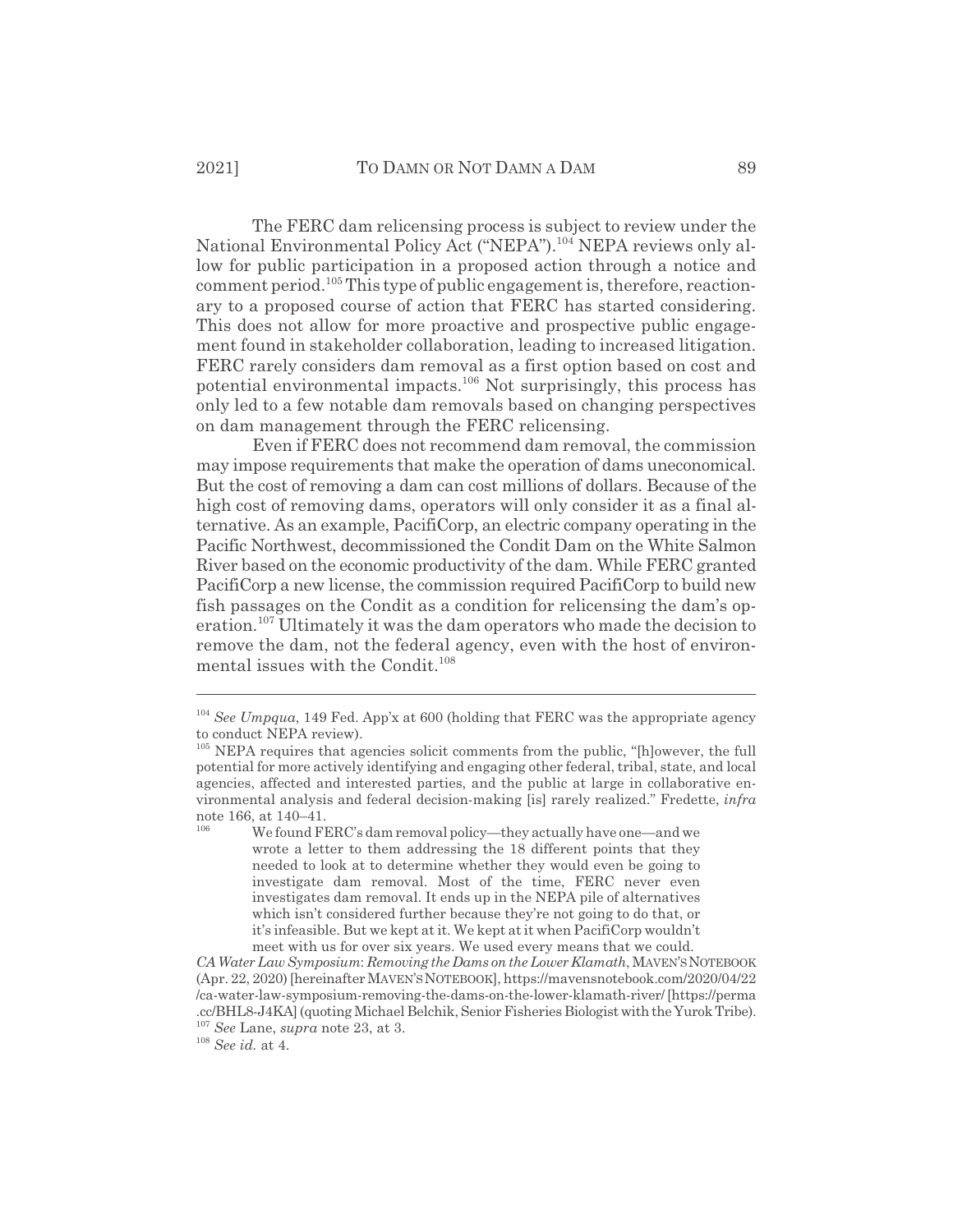The FERC dam relicensing process is subject to review under the National Environmental Policy Act ("NEPA").104 NEPA reviews only allow for public participation in a proposed action through a notice and comment period.<sup>105</sup> This type of public engagement is, therefore, reactionary to a proposed course of action that FERC has started considering. This does not allow for more proactive and prospective public engagement found in stakeholder collaboration, leading to increased litigation. FERC rarely considers dam removal as a first option based on cost and potential environmental impacts.106 Not surprisingly, this process has only led to a few notable dam removals based on changing perspectives on dam management through the FERC relicensing.

Even if FERC does not recommend dam removal, the commission may impose requirements that make the operation of dams uneconomical. But the cost of removing a dam can cost millions of dollars. Because of the high cost of removing dams, operators will only consider it as a final alternative. As an example, PacifiCorp, an electric company operating in the Pacific Northwest, decommissioned the Condit Dam on the White Salmon River based on the economic productivity of the dam. While FERC granted PacifiCorp a new license, the commission required PacifiCorp to build new fish passages on the Condit as a condition for relicensing the dam's operation.107 Ultimately it was the dam operators who made the decision to remove the dam, not the federal agency, even with the host of environmental issues with the Condit.<sup>108</sup>

<sup>108</sup> *See id.* at 4.

<sup>104</sup> *See Umpqua*, 149 Fed. App'x at 600 (holding that FERC was the appropriate agency to conduct NEPA review).

<sup>&</sup>lt;sup>105</sup> NEPA requires that agencies solicit comments from the public, "[h]owever, the full potential for more actively identifying and engaging other federal, tribal, state, and local agencies, affected and interested parties, and the public at large in collaborative environmental analysis and federal decision-making [is] rarely realized." Fredette, *infra* note 166, at  $140-41$ .

We found FERC's dam removal policy—they actually have one—and we wrote a letter to them addressing the 18 different points that they needed to look at to determine whether they would even be going to investigate dam removal. Most of the time, FERC never even investigates dam removal. It ends up in the NEPA pile of alternatives which isn't considered further because they're not going to do that, or it's infeasible. But we kept at it. We kept at it when PacifiCorp wouldn't meet with us for over six years. We used every means that we could.

*CA Water Law Symposium*: *Removing the Dams on the Lower Klamath*, MAVEN'SNOTEBOOK (Apr. 22, 2020) [hereinafter MAVEN'SNOTEBOOK], https://mavensnotebook.com/2020/04/22 /ca-water-law-symposium-removing-the-dams-on-the-lower-klamath-river/ [https://perma .cc/BHL8-J4KA] (quoting Michael Belchik, Senior Fisheries Biologist with the Yurok Tribe). <sup>107</sup> *See* Lane, *supra* note 23, at 3.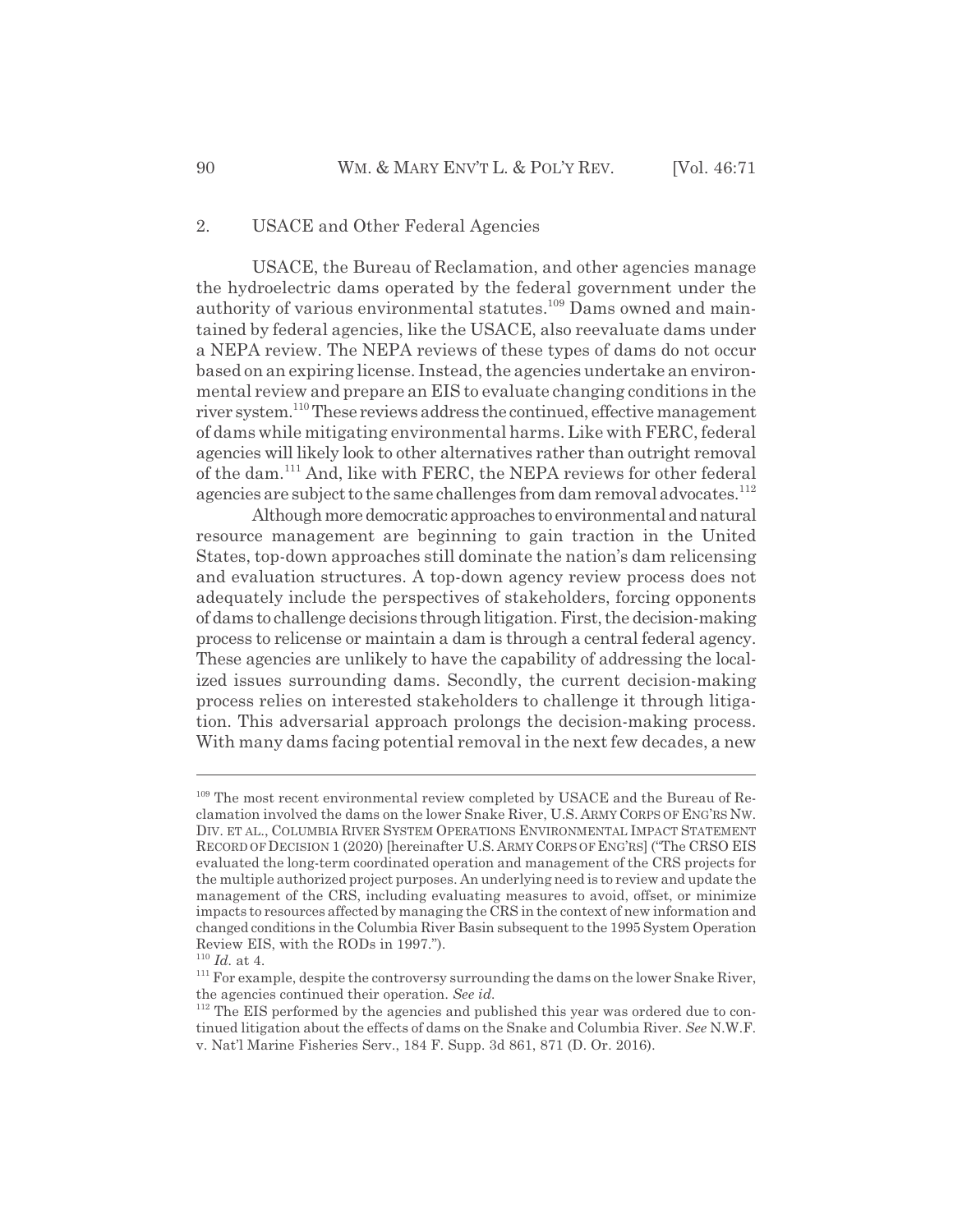#### 2. USACE and Other Federal Agencies

USACE, the Bureau of Reclamation, and other agencies manage the hydroelectric dams operated by the federal government under the authority of various environmental statutes.<sup>109</sup> Dams owned and maintained by federal agencies, like the USACE, also reevaluate dams under a NEPA review. The NEPA reviews of these types of dams do not occur based on an expiring license. Instead, the agencies undertake an environmental review and prepare an EIS to evaluate changing conditions in the river system.<sup>110</sup> These reviews address the continued, effective management of dams while mitigating environmental harms. Like with FERC, federal agencies will likely look to other alternatives rather than outright removal of the dam.111 And, like with FERC, the NEPA reviews for other federal agencies are subject to the same challenges from dam removal advocates.<sup>112</sup>

Although more democratic approaches to environmental and natural resource management are beginning to gain traction in the United States, top-down approaches still dominate the nation's dam relicensing and evaluation structures. A top-down agency review process does not adequately include the perspectives of stakeholders, forcing opponents of dams to challenge decisions through litigation. First, the decision-making process to relicense or maintain a dam is through a central federal agency. These agencies are unlikely to have the capability of addressing the localized issues surrounding dams. Secondly, the current decision-making process relies on interested stakeholders to challenge it through litigation. This adversarial approach prolongs the decision-making process. With many dams facing potential removal in the next few decades, a new

<sup>&</sup>lt;sup>109</sup> The most recent environmental review completed by USACE and the Bureau of Reclamation involved the dams on the lower Snake River, U.S. ARMY CORPS OF ENG'RS NW. DIV. ET AL., COLUMBIA RIVER SYSTEM OPERATIONS ENVIRONMENTAL IMPACT STATEMENT RECORD OF DECISION 1 (2020) [hereinafter U.S. ARMY CORPS OF ENG'RS] ("The CRSO EIS evaluated the long-term coordinated operation and management of the CRS projects for the multiple authorized project purposes. An underlying need is to review and update the management of the CRS, including evaluating measures to avoid, offset, or minimize impacts to resources affected by managing the CRS in the context of new information and changed conditions in the Columbia River Basin subsequent to the 1995 System Operation Review EIS, with the RODs in 1997.").

 $^{110}$   $\emph{Id.}$  at 4.

<sup>&</sup>lt;sup>111</sup> For example, despite the controversy surrounding the dams on the lower Snake River, the agencies continued their operation. *See id.*

<sup>&</sup>lt;sup>112</sup> The EIS performed by the agencies and published this year was ordered due to continued litigation about the effects of dams on the Snake and Columbia River. *See* N.W.F. v. Nat'l Marine Fisheries Serv., 184 F. Supp. 3d 861, 871 (D. Or. 2016).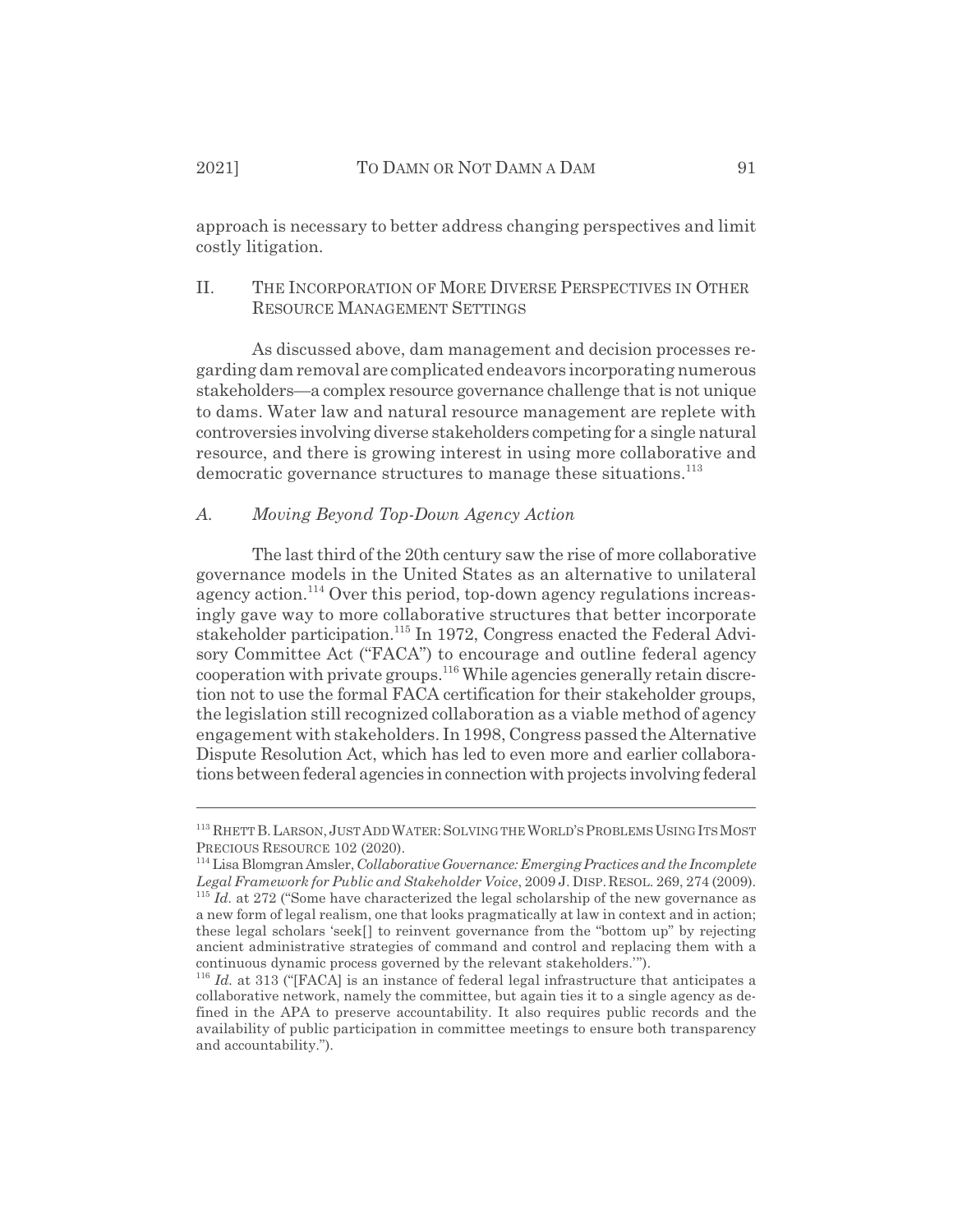approach is necessary to better address changing perspectives and limit costly litigation.

#### II. THE INCORPORATION OF MORE DIVERSE PERSPECTIVES IN OTHER RESOURCE MANAGEMENT SETTINGS

As discussed above, dam management and decision processes regarding dam removal are complicated endeavors incorporating numerous stakeholders—a complex resource governance challenge that is not unique to dams. Water law and natural resource management are replete with controversies involving diverse stakeholders competing for a single natural resource, and there is growing interest in using more collaborative and democratic governance structures to manage these situations.<sup>113</sup>

## *A. Moving Beyond Top-Down Agency Action*

The last third of the 20th century saw the rise of more collaborative governance models in the United States as an alternative to unilateral agency action.<sup>114</sup> Over this period, top-down agency regulations increasingly gave way to more collaborative structures that better incorporate stakeholder participation.115 In 1972, Congress enacted the Federal Advisory Committee Act ("FACA") to encourage and outline federal agency cooperation with private groups.116 While agencies generally retain discretion not to use the formal FACA certification for their stakeholder groups, the legislation still recognized collaboration as a viable method of agency engagement with stakeholders. In 1998, Congress passed the Alternative Dispute Resolution Act, which has led to even more and earlier collaborations between federal agencies in connection with projects involving federal

<sup>&</sup>lt;sup>113</sup> RHETT B. LARSON, JUST ADD WATER: SOLVING THE WORLD'S PROBLEMS USING ITS MOST PRECIOUS RESOURCE 102 (2020).

<sup>114</sup> Lisa Blomgran Amsler, *Collaborative Governance: Emerging Practices and the Incomplete Legal Framework for Public and Stakeholder Voice*, 2009 J. DISP.RESOL. 269, 274 (2009).

 $115$  *Id.* at 272 ("Some have characterized the legal scholarship of the new governance as a new form of legal realism, one that looks pragmatically at law in context and in action; these legal scholars 'seek[] to reinvent governance from the "bottom up" by rejecting ancient administrative strategies of command and control and replacing them with a continuous dynamic process governed by the relevant stakeholders.'").

<sup>&</sup>lt;sup>116</sup> *Id.* at 313 ("[FACA] is an instance of federal legal infrastructure that anticipates a collaborative network, namely the committee, but again ties it to a single agency as defined in the APA to preserve accountability. It also requires public records and the availability of public participation in committee meetings to ensure both transparency and accountability.").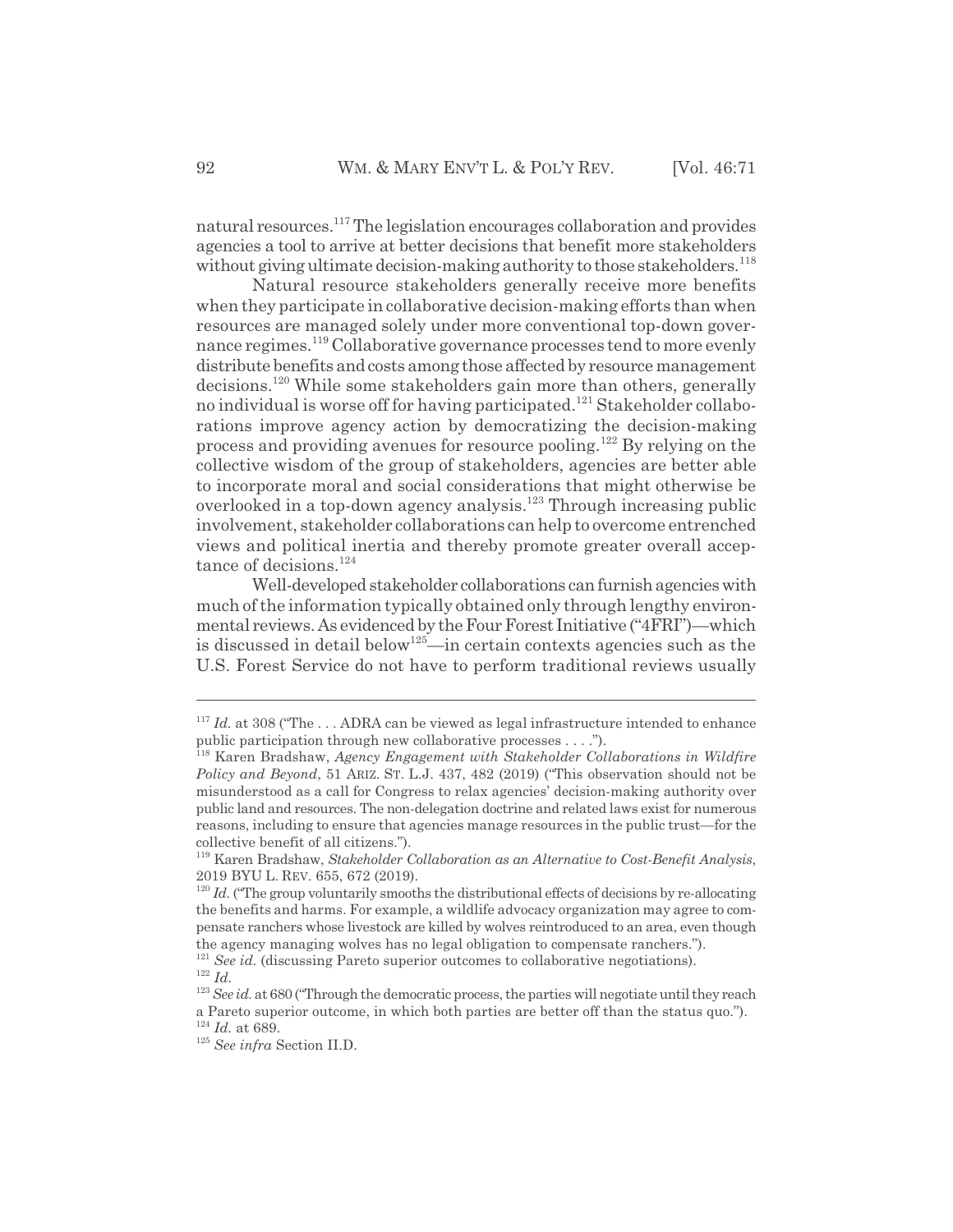natural resources.<sup>117</sup> The legislation encourages collaboration and provides agencies a tool to arrive at better decisions that benefit more stakeholders without giving ultimate decision-making authority to those stakeholders.<sup>118</sup>

Natural resource stakeholders generally receive more benefits when they participate in collaborative decision-making efforts than when resources are managed solely under more conventional top-down governance regimes.119 Collaborative governance processes tend to more evenly distribute benefits and costs among those affected by resource management decisions.120 While some stakeholders gain more than others, generally no individual is worse off for having participated.<sup>121</sup> Stakeholder collaborations improve agency action by democratizing the decision-making process and providing avenues for resource pooling.<sup>122</sup> By relying on the collective wisdom of the group of stakeholders, agencies are better able to incorporate moral and social considerations that might otherwise be overlooked in a top-down agency analysis.<sup>123</sup> Through increasing public involvement, stakeholder collaborations can help to overcome entrenched views and political inertia and thereby promote greater overall acceptance of decisions.<sup>124</sup>

Well-developed stakeholder collaborations can furnish agencies with much of the information typically obtained only through lengthy environmental reviews. As evidenced by the Four Forest Initiative ("4FRI")—which is discussed in detail below<sup>125</sup>—in certain contexts agencies such as the U.S. Forest Service do not have to perform traditional reviews usually

<sup>117</sup> *Id.* at 308 ("The . . . ADRA can be viewed as legal infrastructure intended to enhance public participation through new collaborative processes . . . .").

<sup>118</sup> Karen Bradshaw, *Agency Engagement with Stakeholder Collaborations in Wildfire Policy and Beyond*, 51 ARIZ. ST. L.J. 437, 482 (2019) ("This observation should not be misunderstood as a call for Congress to relax agencies' decision-making authority over public land and resources. The non-delegation doctrine and related laws exist for numerous reasons, including to ensure that agencies manage resources in the public trust—for the collective benefit of all citizens.").

<sup>119</sup> Karen Bradshaw, *Stakeholder Collaboration as an Alternative to Cost-Benefit Analysis*, 2019 BYU L. REV. 655, 672 (2019).

<sup>&</sup>lt;sup>120</sup> *Id.* ("The group voluntarily smooths the distributional effects of decisions by re-allocating the benefits and harms. For example, a wildlife advocacy organization may agree to compensate ranchers whose livestock are killed by wolves reintroduced to an area, even though the agency managing wolves has no legal obligation to compensate ranchers.").

<sup>&</sup>lt;sup>121</sup> *See id.* (discussing Pareto superior outcomes to collaborative negotiations). <sup>122</sup> *Id.*

<sup>&</sup>lt;sup>123</sup> See id. at 680 ("Through the democratic process, the parties will negotiate until they reach a Pareto superior outcome, in which both parties are better off than the status quo."). <sup>124</sup> *Id.* at 689.

<sup>125</sup> *See infra* Section II.D.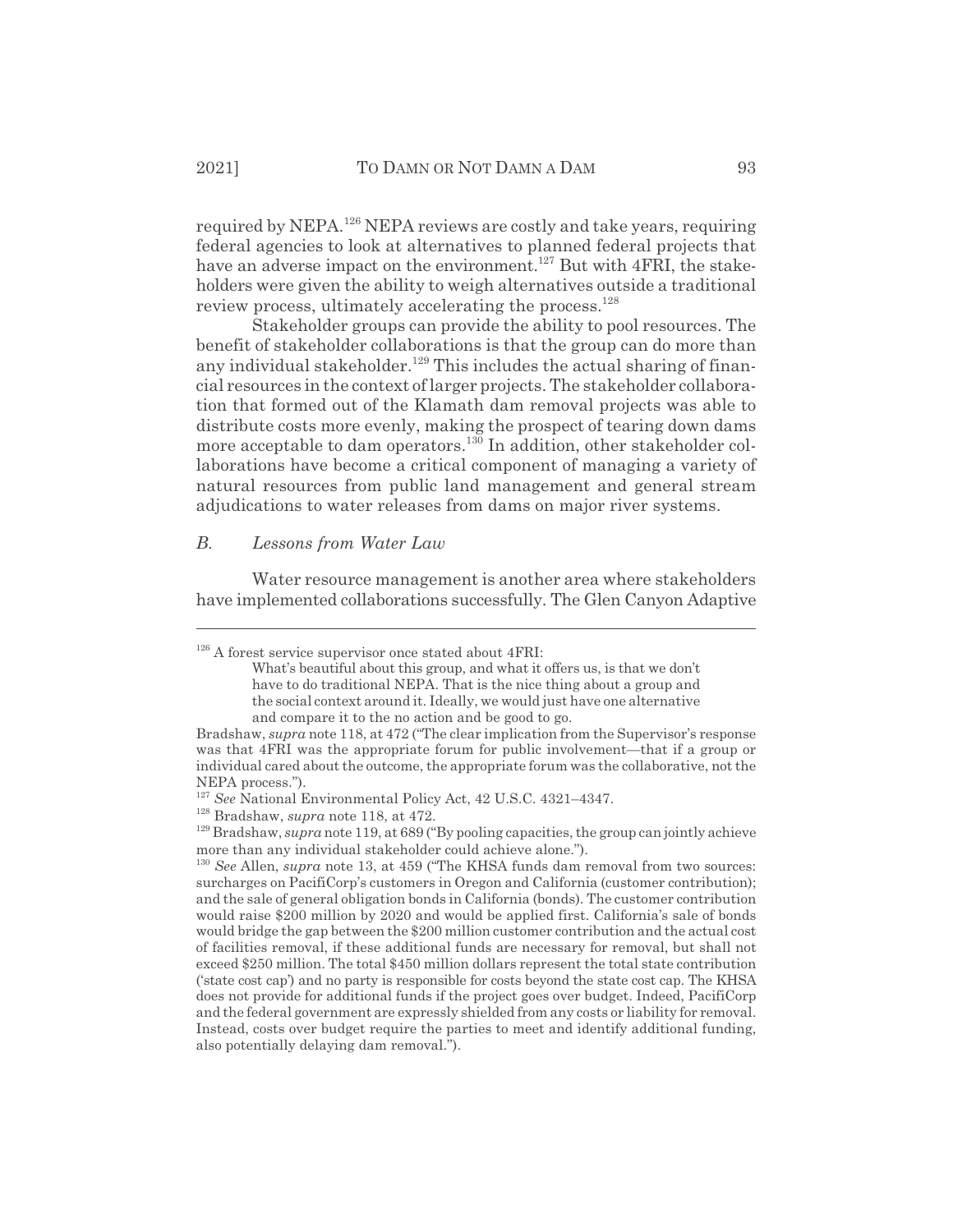required by NEPA.126 NEPA reviews are costly and take years, requiring federal agencies to look at alternatives to planned federal projects that have an adverse impact on the environment.<sup>127</sup> But with 4FRI, the stakeholders were given the ability to weigh alternatives outside a traditional review process, ultimately accelerating the process.<sup>128</sup>

Stakeholder groups can provide the ability to pool resources. The benefit of stakeholder collaborations is that the group can do more than any individual stakeholder.<sup>129</sup> This includes the actual sharing of financial resources in the context of larger projects. The stakeholder collaboration that formed out of the Klamath dam removal projects was able to distribute costs more evenly, making the prospect of tearing down dams more acceptable to dam operators.<sup>130</sup> In addition, other stakeholder collaborations have become a critical component of managing a variety of natural resources from public land management and general stream adjudications to water releases from dams on major river systems.

#### *B. Lessons from Water Law*

Water resource management is another area where stakeholders have implemented collaborations successfully. The Glen Canyon Adaptive

 $126$  A forest service supervisor once stated about 4FRI:

What's beautiful about this group, and what it offers us, is that we don't have to do traditional NEPA. That is the nice thing about a group and the social context around it. Ideally, we would just have one alternative and compare it to the no action and be good to go.

Bradshaw, *supra* note 118, at 472 ("The clear implication from the Supervisor's response was that 4FRI was the appropriate forum for public involvement—that if a group or individual cared about the outcome, the appropriate forum was the collaborative, not the NEPA process.").

<sup>127</sup> *See* National Environmental Policy Act, 42 U.S.C. 4321–4347.

<sup>128</sup> Bradshaw, *supra* note 118, at 472.

<sup>129</sup> Bradshaw, *supra* note 119, at 689 ("By pooling capacities, the group can jointly achieve more than any individual stakeholder could achieve alone.").

<sup>130</sup> *See* Allen, *supra* note 13, at 459 ("The KHSA funds dam removal from two sources: surcharges on PacifiCorp's customers in Oregon and California (customer contribution); and the sale of general obligation bonds in California (bonds). The customer contribution would raise \$200 million by 2020 and would be applied first. California's sale of bonds would bridge the gap between the \$200 million customer contribution and the actual cost of facilities removal, if these additional funds are necessary for removal, but shall not exceed \$250 million. The total \$450 million dollars represent the total state contribution ('state cost cap') and no party is responsible for costs beyond the state cost cap. The KHSA does not provide for additional funds if the project goes over budget. Indeed, PacifiCorp and the federal government are expressly shielded from any costs or liability for removal. Instead, costs over budget require the parties to meet and identify additional funding, also potentially delaying dam removal.").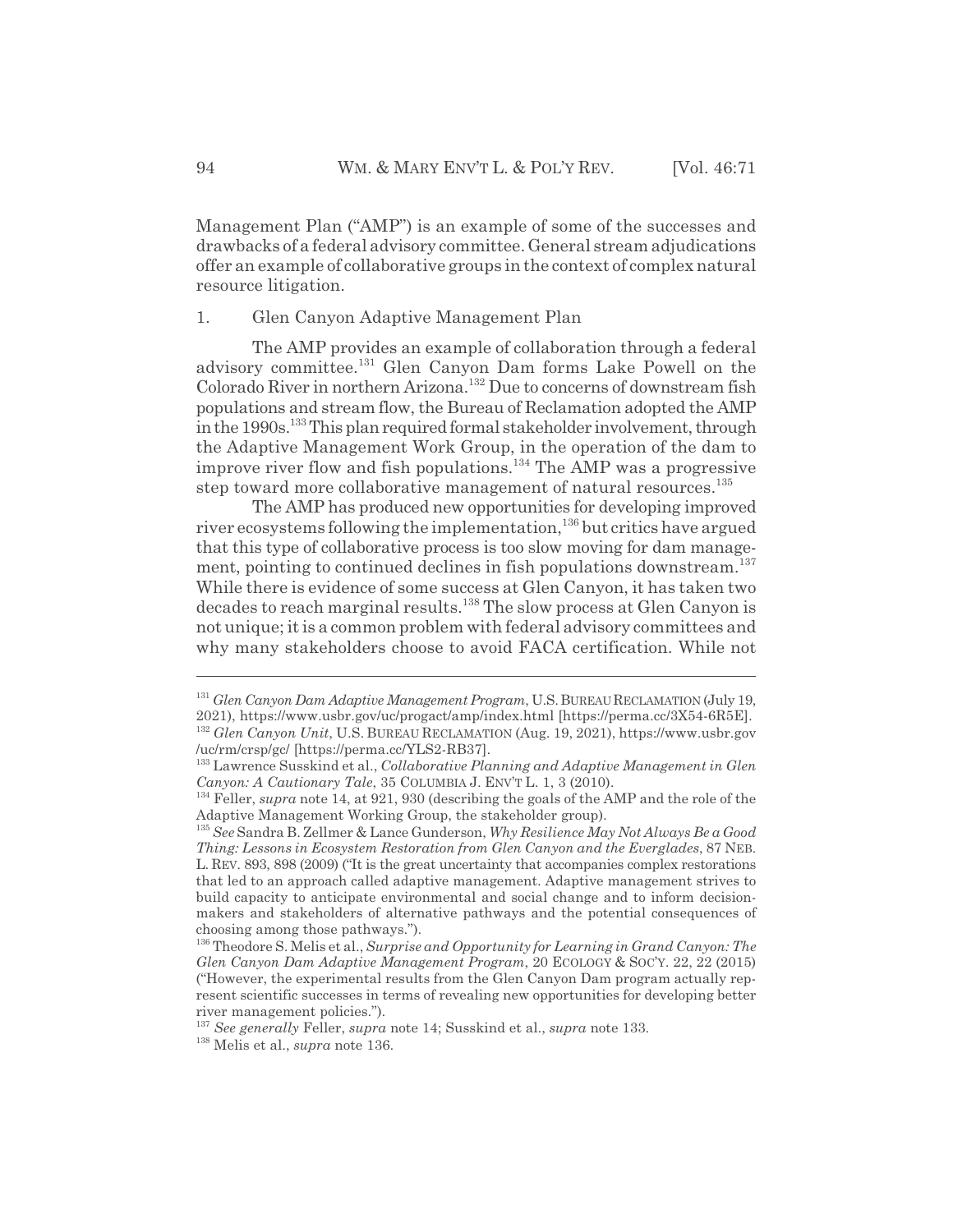Management Plan ("AMP") is an example of some of the successes and drawbacks of a federal advisory committee. General stream adjudications offer an example of collaborative groups in the context of complex natural resource litigation.

#### 1. Glen Canyon Adaptive Management Plan

The AMP provides an example of collaboration through a federal advisory committee.131 Glen Canyon Dam forms Lake Powell on the Colorado River in northern Arizona.132 Due to concerns of downstream fish populations and stream flow, the Bureau of Reclamation adopted the AMP in the 1990s.<sup>133</sup> This plan required formal stakeholder involvement, through the Adaptive Management Work Group, in the operation of the dam to improve river flow and fish populations.<sup>134</sup> The AMP was a progressive step toward more collaborative management of natural resources.<sup>135</sup>

The AMP has produced new opportunities for developing improved river ecosystems following the implementation,<sup>136</sup> but critics have argued that this type of collaborative process is too slow moving for dam management, pointing to continued declines in fish populations downstream.<sup>137</sup> While there is evidence of some success at Glen Canyon, it has taken two decades to reach marginal results.<sup>138</sup> The slow process at Glen Canyon is not unique; it is a common problem with federal advisory committees and why many stakeholders choose to avoid FACA certification. While not

<sup>131</sup> *Glen Canyon Dam Adaptive Management Program*, U.S.BUREAU RECLAMATION (July 19, 2021), https://www.usbr.gov/uc/progact/amp/index.html [https://perma.cc/3X54-6R5E]. <sup>132</sup> *Glen Canyon Unit*, U.S. BUREAU RECLAMATION (Aug. 19, 2021), https://www.usbr.gov /uc/rm/crsp/gc/ [https://perma.cc/YLS2-RB37].

<sup>133</sup> Lawrence Susskind et al., *Collaborative Planning and Adaptive Management in Glen Canyon: A Cautionary Tale*, 35 COLUMBIA J. ENV'T L. 1, 3 (2010).

<sup>134</sup> Feller, *supra* note 14, at 921, 930 (describing the goals of the AMP and the role of the Adaptive Management Working Group, the stakeholder group).

<sup>135</sup> *See* Sandra B. Zellmer & Lance Gunderson, *Why Resilience May Not Always Be a Good Thing: Lessons in Ecosystem Restoration from Glen Canyon and the Everglades*, 87 NEB. L. REV. 893, 898 (2009) ("It is the great uncertainty that accompanies complex restorations that led to an approach called adaptive management. Adaptive management strives to build capacity to anticipate environmental and social change and to inform decisionmakers and stakeholders of alternative pathways and the potential consequences of choosing among those pathways.").

<sup>136</sup> Theodore S. Melis et al., *Surprise and Opportunity for Learning in Grand Canyon: The Glen Canyon Dam Adaptive Management Program*, 20 ECOLOGY & SOC'Y. 22, 22 (2015) ("However, the experimental results from the Glen Canyon Dam program actually represent scientific successes in terms of revealing new opportunities for developing better river management policies.").

<sup>137</sup> *See generally* Feller, *supra* note 14; Susskind et al., *supra* note 133.

<sup>138</sup> Melis et al., *supra* note 136.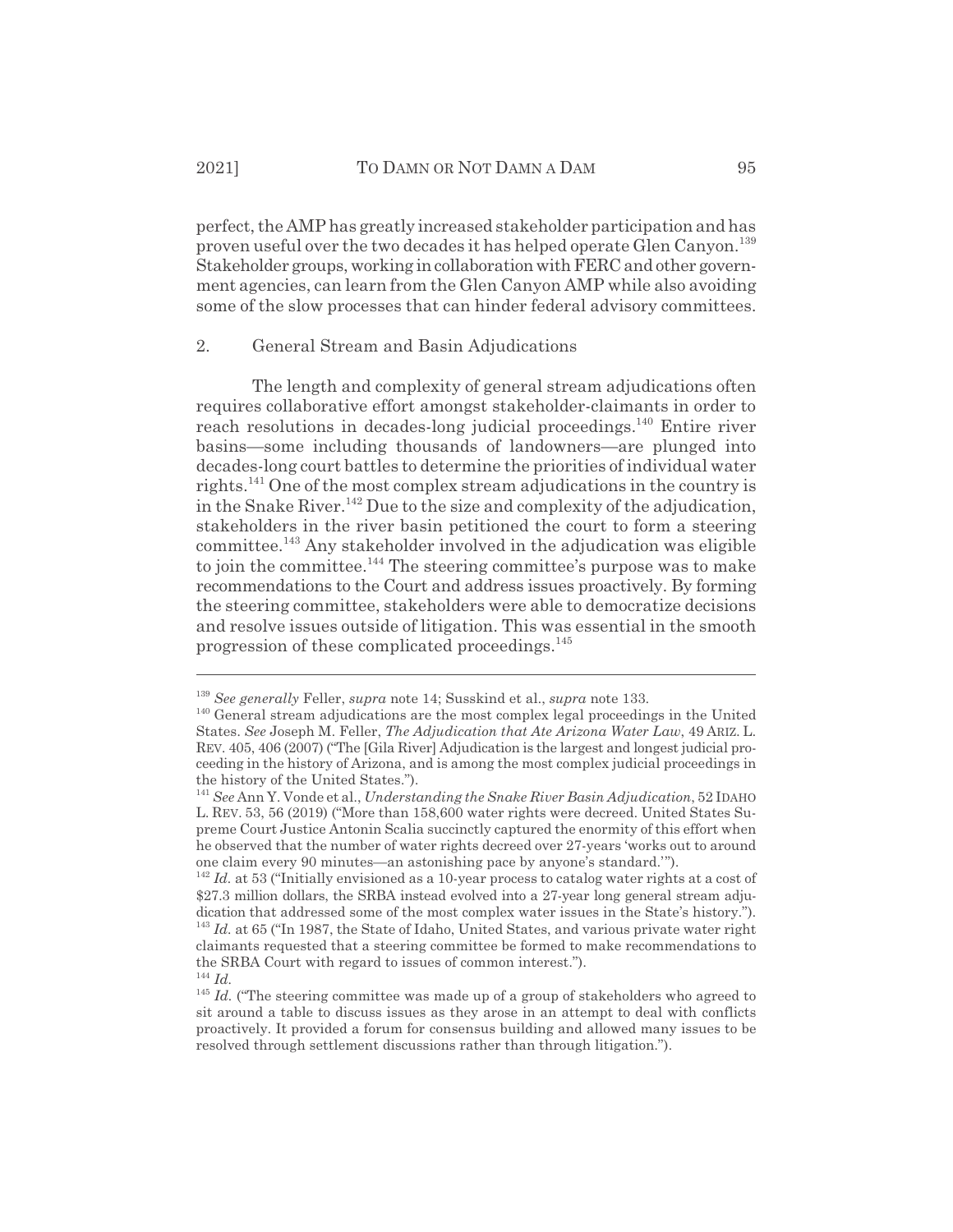perfect, the AMP has greatly increased stakeholder participation and has proven useful over the two decades it has helped operate Glen Canyon.<sup>139</sup> Stakeholder groups, working in collaboration with FERC and other government agencies, can learn from the Glen Canyon AMP while also avoiding some of the slow processes that can hinder federal advisory committees.

#### 2. General Stream and Basin Adjudications

The length and complexity of general stream adjudications often requires collaborative effort amongst stakeholder-claimants in order to reach resolutions in decades-long judicial proceedings.<sup>140</sup> Entire river basins—some including thousands of landowners—are plunged into decades-long court battles to determine the priorities of individual water rights.141 One of the most complex stream adjudications in the country is in the Snake River.<sup>142</sup> Due to the size and complexity of the adjudication, stakeholders in the river basin petitioned the court to form a steering committee.143 Any stakeholder involved in the adjudication was eligible to join the committee.<sup>144</sup> The steering committee's purpose was to make recommendations to the Court and address issues proactively. By forming the steering committee, stakeholders were able to democratize decisions and resolve issues outside of litigation. This was essential in the smooth progression of these complicated proceedings.<sup>145</sup>

<sup>139</sup> *See generally* Feller, *supra* note 14; Susskind et al., *supra* note 133.

<sup>&</sup>lt;sup>140</sup> General stream adjudications are the most complex legal proceedings in the United States. *See* Joseph M. Feller, *The Adjudication that Ate Arizona Water Law*, 49 ARIZ. L. REV. 405, 406 (2007) ("The [Gila River] Adjudication is the largest and longest judicial proceeding in the history of Arizona, and is among the most complex judicial proceedings in the history of the United States.").

<sup>141</sup> *See* Ann Y. Vonde et al., *Understanding the Snake River Basin Adjudication*, 52 IDAHO L. REV. 53, 56 (2019) ("More than 158,600 water rights were decreed. United States Supreme Court Justice Antonin Scalia succinctly captured the enormity of this effort when he observed that the number of water rights decreed over 27-years 'works out to around one claim every 90 minutes—an astonishing pace by anyone's standard.'").

<sup>&</sup>lt;sup>142</sup> *Id.* at 53 ("Initially envisioned as a 10-year process to catalog water rights at a cost of \$27.3 million dollars, the SRBA instead evolved into a 27-year long general stream adjudication that addressed some of the most complex water issues in the State's history."). <sup>143</sup> *Id.* at 65 ("In 1987, the State of Idaho, United States, and various private water right claimants requested that a steering committee be formed to make recommendations to the SRBA Court with regard to issues of common interest.").

<sup>144</sup> *Id.*

<sup>&</sup>lt;sup>145</sup> *Id.* ("The steering committee was made up of a group of stakeholders who agreed to sit around a table to discuss issues as they arose in an attempt to deal with conflicts proactively. It provided a forum for consensus building and allowed many issues to be resolved through settlement discussions rather than through litigation.").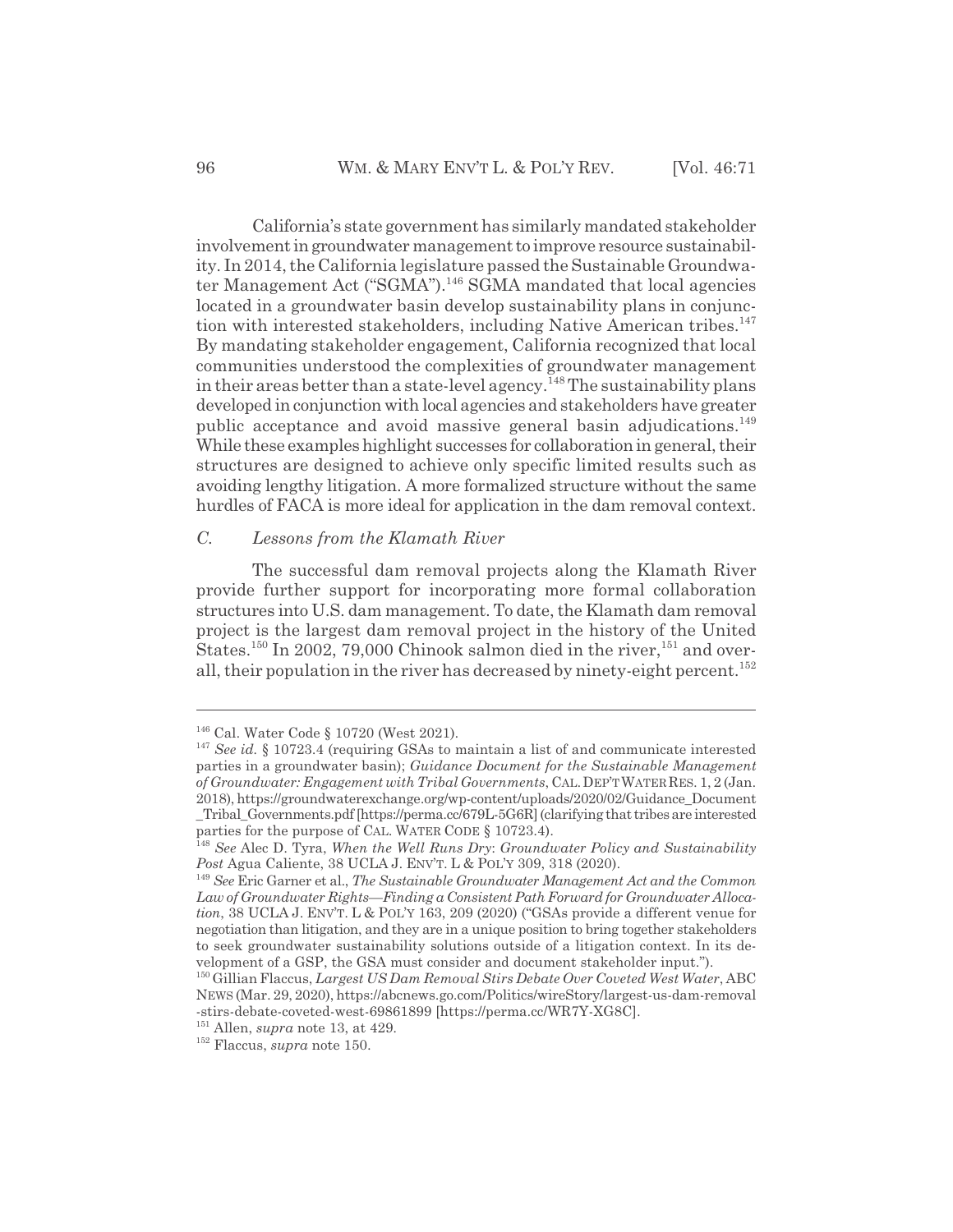California's state government has similarly mandated stakeholder involvement in groundwater management to improve resource sustainability. In 2014, the California legislature passed the Sustainable Groundwater Management Act ("SGMA").<sup>146</sup> SGMA mandated that local agencies located in a groundwater basin develop sustainability plans in conjunction with interested stakeholders, including Native American tribes.<sup>147</sup> By mandating stakeholder engagement, California recognized that local communities understood the complexities of groundwater management in their areas better than a state-level agency.<sup>148</sup> The sustainability plans developed in conjunction with local agencies and stakeholders have greater public acceptance and avoid massive general basin adjudications.<sup>149</sup> While these examples highlight successes for collaboration in general, their structures are designed to achieve only specific limited results such as avoiding lengthy litigation. A more formalized structure without the same hurdles of FACA is more ideal for application in the dam removal context.

#### *C. Lessons from the Klamath River*

The successful dam removal projects along the Klamath River provide further support for incorporating more formal collaboration structures into U.S. dam management. To date, the Klamath dam removal project is the largest dam removal project in the history of the United States.<sup>150</sup> In 2002, 79,000 Chinook salmon died in the river,<sup>151</sup> and overall, their population in the river has decreased by ninety-eight percent.<sup>152</sup>

<sup>146</sup> Cal. Water Code § 10720 (West 2021).

<sup>147</sup> *See id.* § 10723.4 (requiring GSAs to maintain a list of and communicate interested parties in a groundwater basin); *Guidance Document for the Sustainable Management of Groundwater: Engagement with Tribal Governments*, CAL.DEP'TWATERRES. 1, 2 (Jan. 2018), https://groundwaterexchange.org/wp-content/uploads/2020/02/Guidance\_Document \_Tribal\_Governments.pdf [https://perma.cc/679L-5G6R] (clarifying that tribes are interested

parties for the purpose of CAL. WATER CODE § 10723.4).

<sup>148</sup> *See* Alec D. Tyra, *When the Well Runs Dry*: *Groundwater Policy and Sustainability* Post Agua Caliente, 38 UCLA J. ENV'T. L & POL'Y 309, 318 (2020).

<sup>149</sup> *See* Eric Garner et al., *The Sustainable Groundwater Management Act and the Common Law of Groundwater Rights—Finding a Consistent Path Forward for Groundwater Allocation*, 38 UCLA J. ENV'T.L&POL'Y 163, 209 (2020) ("GSAs provide a different venue for negotiation than litigation, and they are in a unique position to bring together stakeholders to seek groundwater sustainability solutions outside of a litigation context. In its development of a GSP, the GSA must consider and document stakeholder input.").

<sup>150</sup> Gillian Flaccus, *Largest US Dam Removal Stirs Debate Over Coveted West Water*, ABC NEWS (Mar. 29, 2020), https://abcnews.go.com/Politics/wireStory/largest-us-dam-removal -stirs-debate-coveted-west-69861899 [https://perma.cc/WR7Y-XG8C].

<sup>151</sup> Allen, *supra* note 13, at 429.

<sup>152</sup> Flaccus, *supra* note 150.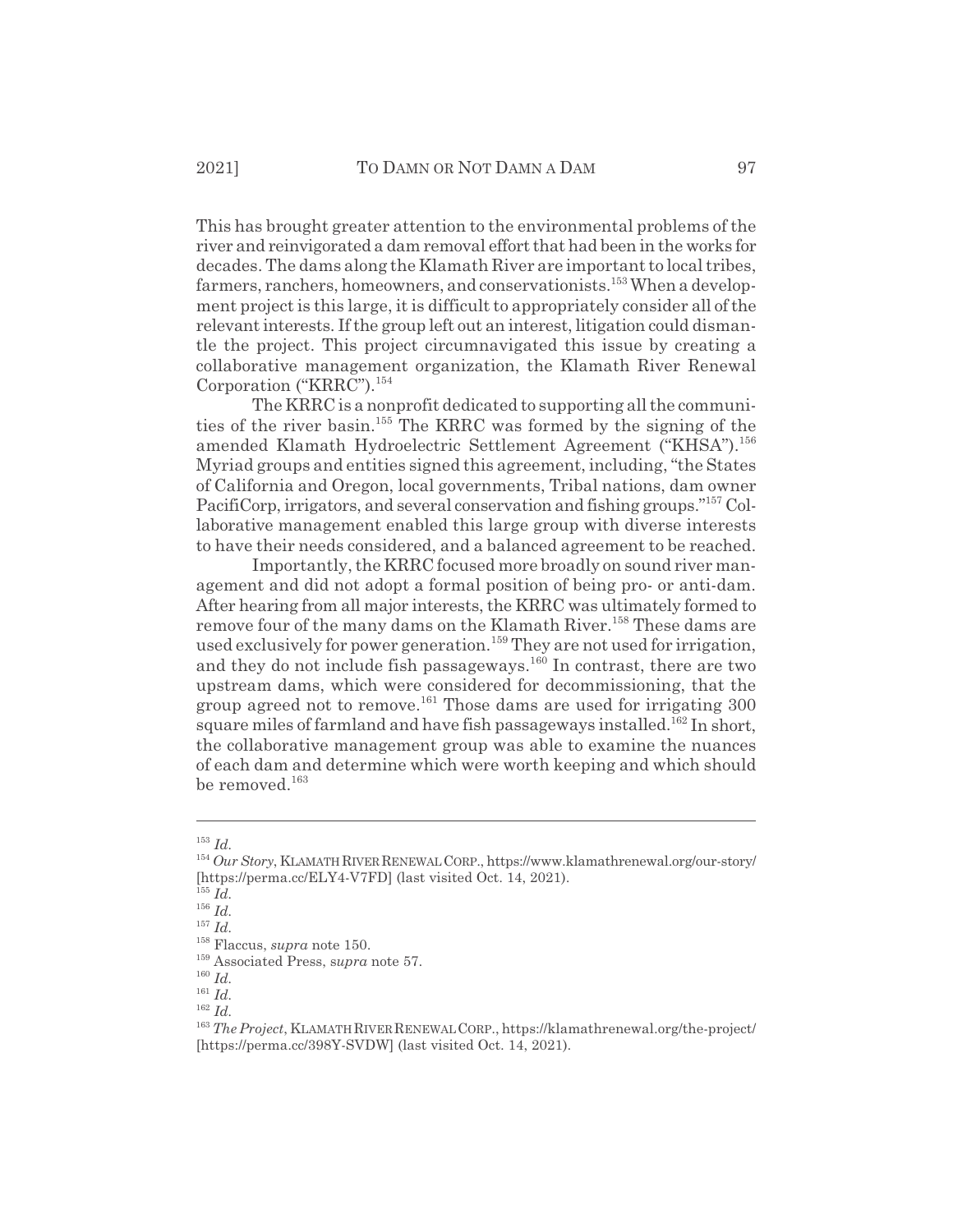This has brought greater attention to the environmental problems of the river and reinvigorated a dam removal effort that had been in the works for decades. The dams along the Klamath River are important to local tribes, farmers, ranchers, homeowners, and conservationists.<sup>153</sup> When a development project is this large, it is difficult to appropriately consider all of the relevant interests. If the group left out an interest, litigation could dismantle the project. This project circumnavigated this issue by creating a collaborative management organization, the Klamath River Renewal Corporation ("KRRC").<sup>154</sup>

The KRRC is a nonprofit dedicated to supporting all the communities of the river basin.155 The KRRC was formed by the signing of the amended Klamath Hydroelectric Settlement Agreement ("KHSA").<sup>156</sup> Myriad groups and entities signed this agreement, including, "the States of California and Oregon, local governments, Tribal nations, dam owner PacifiCorp, irrigators, and several conservation and fishing groups."157 Collaborative management enabled this large group with diverse interests to have their needs considered, and a balanced agreement to be reached.

Importantly, the KRRC focused more broadly on sound river management and did not adopt a formal position of being pro- or anti-dam. After hearing from all major interests, the KRRC was ultimately formed to remove four of the many dams on the Klamath River.<sup>158</sup> These dams are used exclusively for power generation.<sup>159</sup> They are not used for irrigation, and they do not include fish passageways.<sup>160</sup> In contrast, there are two upstream dams, which were considered for decommissioning, that the group agreed not to remove.<sup>161</sup> Those dams are used for irrigating 300 square miles of farmland and have fish passageways installed.<sup>162</sup> In short, the collaborative management group was able to examine the nuances of each dam and determine which were worth keeping and which should be removed. $163$ 

<sup>153</sup> *Id.*

<sup>154</sup> *Our Story*, KLAMATH RIVER RENEWALCORP., https://www.klamathrenewal.org/our-story/ [https://perma.cc/ELY4-V7FD] (last visited Oct. 14, 2021).

<sup>155</sup> *Id.*

<sup>156</sup> *Id.*

<sup>157</sup> *Id.*

<sup>158</sup> Flaccus, *supra* note 150.

<sup>159</sup> Associated Press, s*upra* note 57.

<sup>160</sup> *Id.*

<sup>161</sup> *Id.*

<sup>162</sup> *Id.*

<sup>163</sup> *The Project*, KLAMATH RIVER RENEWAL CORP., https://klamathrenewal.org/the-project/ [https://perma.cc/398Y-SVDW] (last visited Oct. 14, 2021).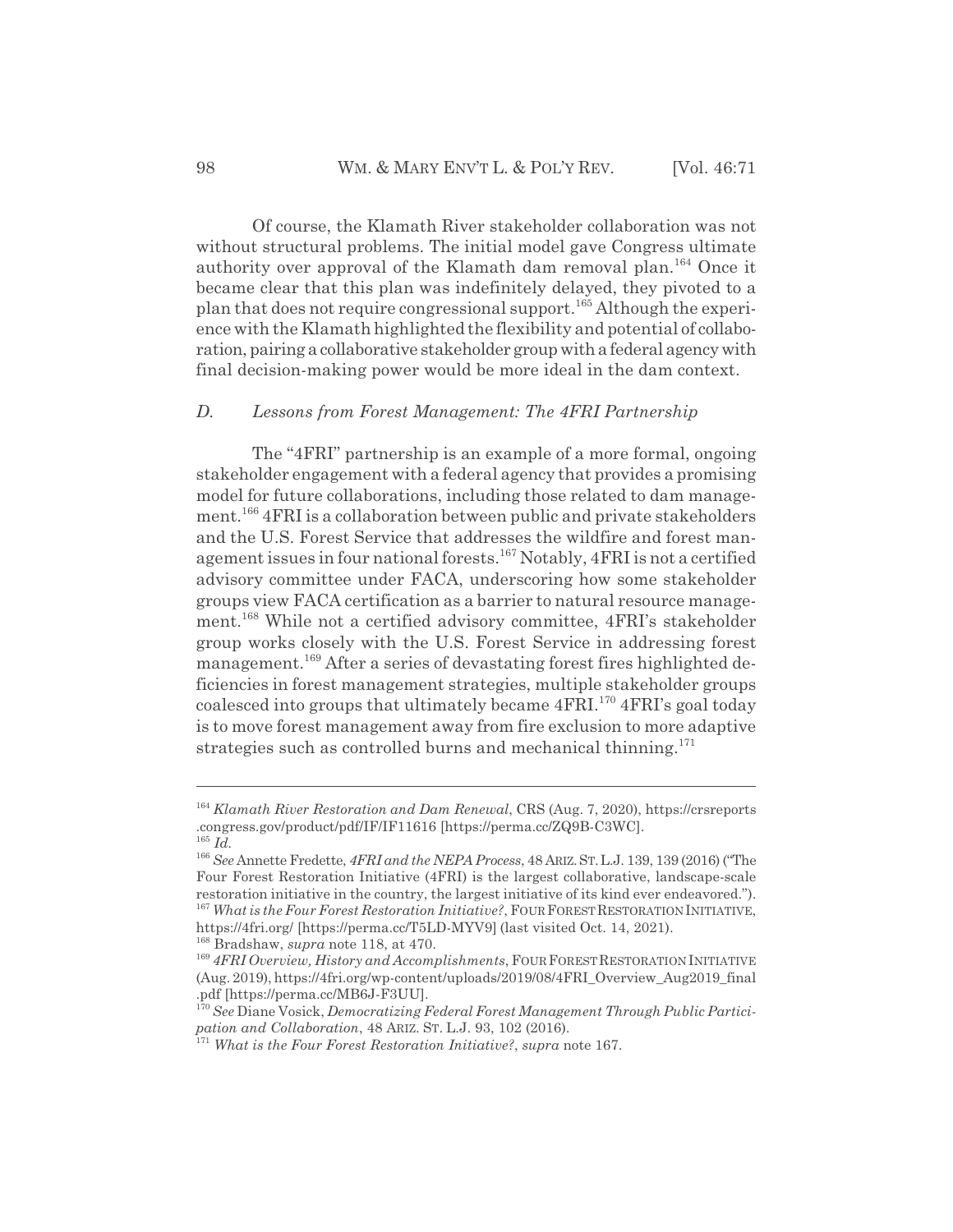Of course, the Klamath River stakeholder collaboration was not without structural problems. The initial model gave Congress ultimate authority over approval of the Klamath dam removal plan.<sup>164</sup> Once it became clear that this plan was indefinitely delayed, they pivoted to a plan that does not require congressional support.<sup>165</sup> Although the experience with the Klamath highlighted the flexibility and potential of collaboration, pairing a collaborative stakeholder group with a federal agency with final decision-making power would be more ideal in the dam context.

#### *D. Lessons from Forest Management: The 4FRI Partnership*

The "4FRI" partnership is an example of a more formal, ongoing stakeholder engagement with a federal agency that provides a promising model for future collaborations, including those related to dam management.166 4FRI is a collaboration between public and private stakeholders and the U.S. Forest Service that addresses the wildfire and forest management issues in four national forests.167 Notably, 4FRI is not a certified advisory committee under FACA, underscoring how some stakeholder groups view FACA certification as a barrier to natural resource management.168 While not a certified advisory committee, 4FRI's stakeholder group works closely with the U.S. Forest Service in addressing forest management.169 After a series of devastating forest fires highlighted deficiencies in forest management strategies, multiple stakeholder groups coalesced into groups that ultimately became 4FRI.170 4FRI's goal today is to move forest management away from fire exclusion to more adaptive strategies such as controlled burns and mechanical thinning.<sup>171</sup>

<sup>164</sup> *Klamath River Restoration and Dam Renewal*, CRS (Aug. 7, 2020), https://crsreports .congress.gov/product/pdf/IF/IF11616 [https://perma.cc/ZQ9B-C3WC]. <sup>165</sup> *Id.*

<sup>166</sup> *See* Annette Fredette, *4FRI and the NEPA Process*, 48 ARIZ.ST.L.J. 139, 139 (2016) ("The Four Forest Restoration Initiative (4FRI) is the largest collaborative, landscape-scale restoration initiative in the country, the largest initiative of its kind ever endeavored."). <sup>167</sup> What is the Four Forest Restoration Initiative?, FOUR FOREST RESTORATION INITIATIVE,

https://4fri.org/ [https://perma.cc/T5LD-MYV9] (last visited Oct. 14, 2021).

<sup>168</sup> Bradshaw, *supra* note 118, at 470.

<sup>169</sup> *4FRI Overview, History and Accomplishments*, FOUR FORESTRESTORATION INITIATIVE (Aug. 2019), https://4fri.org/wp-content/uploads/2019/08/4FRI\_Overview\_Aug2019\_final .pdf [https://perma.cc/MB6J-F3UU].

<sup>170</sup> *See* Diane Vosick, *Democratizing Federal Forest Management Through Public Participation and Collaboration*, 48 ARIZ. ST. L.J. 93, 102 (2016).

<sup>171</sup> *What is the Four Forest Restoration Initiative?*, *supra* note 167.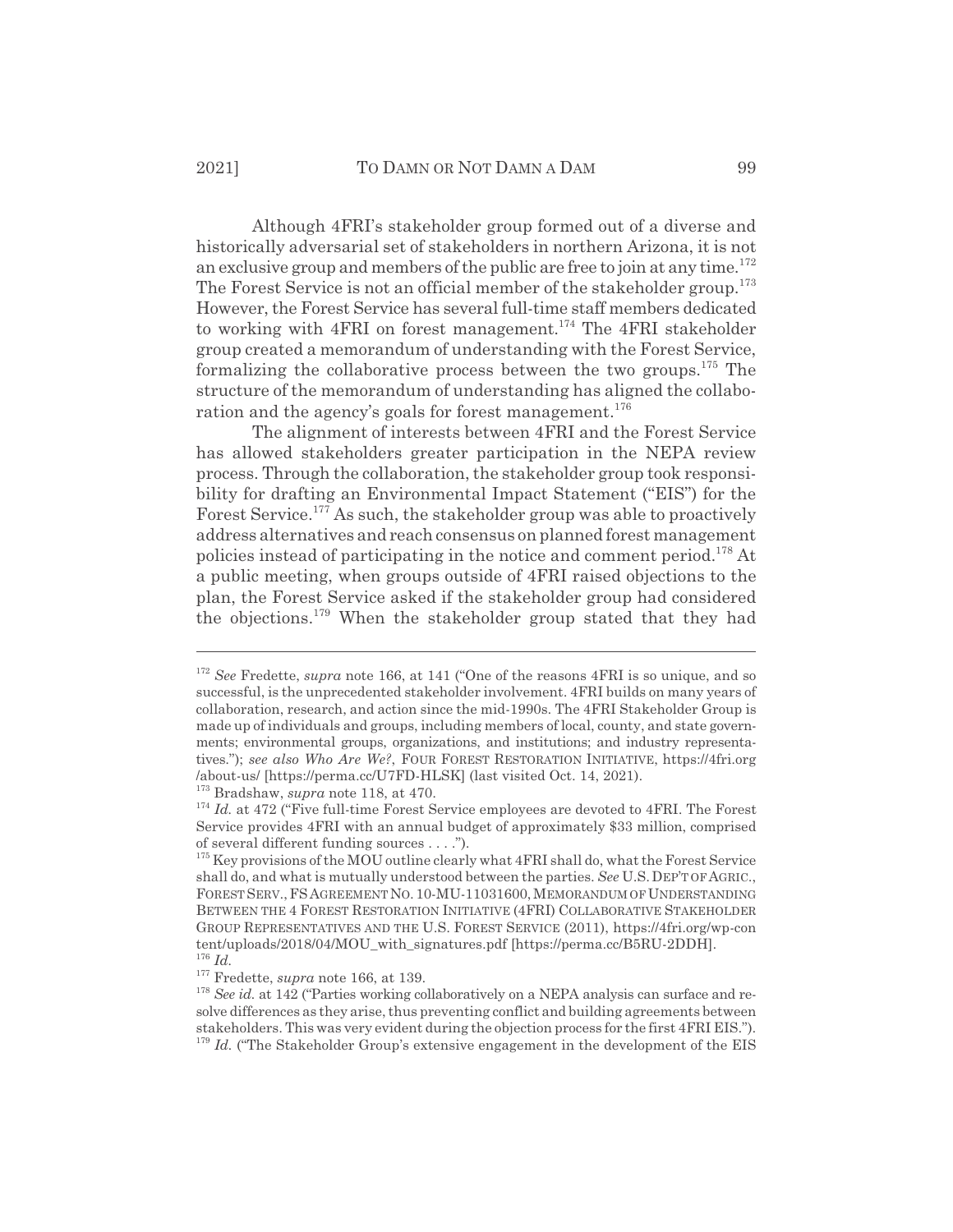Although 4FRI's stakeholder group formed out of a diverse and historically adversarial set of stakeholders in northern Arizona, it is not an exclusive group and members of the public are free to join at any time.<sup>172</sup> The Forest Service is not an official member of the stakeholder group.<sup>173</sup> However, the Forest Service has several full-time staff members dedicated to working with 4FRI on forest management.<sup>174</sup> The 4FRI stakeholder group created a memorandum of understanding with the Forest Service, formalizing the collaborative process between the two groups. $175$  The structure of the memorandum of understanding has aligned the collaboration and the agency's goals for forest management.<sup>176</sup>

The alignment of interests between 4FRI and the Forest Service has allowed stakeholders greater participation in the NEPA review process. Through the collaboration, the stakeholder group took responsibility for drafting an Environmental Impact Statement ("EIS") for the Forest Service.<sup>177</sup> As such, the stakeholder group was able to proactively address alternatives and reach consensus on planned forest management policies instead of participating in the notice and comment period.<sup>178</sup> At a public meeting, when groups outside of 4FRI raised objections to the plan, the Forest Service asked if the stakeholder group had considered the objections.<sup>179</sup> When the stakeholder group stated that they had

173 Bradshaw, *supra* note 118, at 470.

<sup>172</sup> *See* Fredette, *supra* note 166, at 141 ("One of the reasons 4FRI is so unique, and so successful, is the unprecedented stakeholder involvement. 4FRI builds on many years of collaboration, research, and action since the mid-1990s. The 4FRI Stakeholder Group is made up of individuals and groups, including members of local, county, and state governments; environmental groups, organizations, and institutions; and industry representatives."); *see also Who Are We?*, FOUR FOREST RESTORATION INITIATIVE, https://4fri.org /about-us/ [https://perma.cc/U7FD-HLSK] (last visited Oct. 14, 2021).

<sup>&</sup>lt;sup>174</sup> *Id.* at 472 ("Five full-time Forest Service employees are devoted to 4FRI. The Forest Service provides 4FRI with an annual budget of approximately \$33 million, comprised of several different funding sources . . . .").

 $175$  Key provisions of the MOU outline clearly what 4FRI shall do, what the Forest Service shall do, and what is mutually understood between the parties. *See* U.S.DEP'T OF AGRIC., FOREST SERV.,FSAGREEMENT NO. 10-MU-11031600, MEMORANDUM OF UNDERSTANDING BETWEEN THE 4 FOREST RESTORATION INITIATIVE (4FRI) COLLABORATIVE STAKEHOLDER GROUP REPRESENTATIVES AND THE U.S. FOREST SERVICE (2011), https://4fri.org/wp-con tent/uploads/2018/04/MOU with signatures.pdf [https://perma.cc/B5RU-2DDH]. <sup>176</sup> *Id.*

<sup>&</sup>lt;sup>177</sup> Fredette, *supra* note 166, at 139.

<sup>&</sup>lt;sup>178</sup> See id. at 142 ("Parties working collaboratively on a NEPA analysis can surface and resolve differences as they arise, thus preventing conflict and building agreements between stakeholders. This was very evident during the objection process for the first 4FRI EIS.").  $179$  *Id.* ("The Stakeholder Group's extensive engagement in the development of the EIS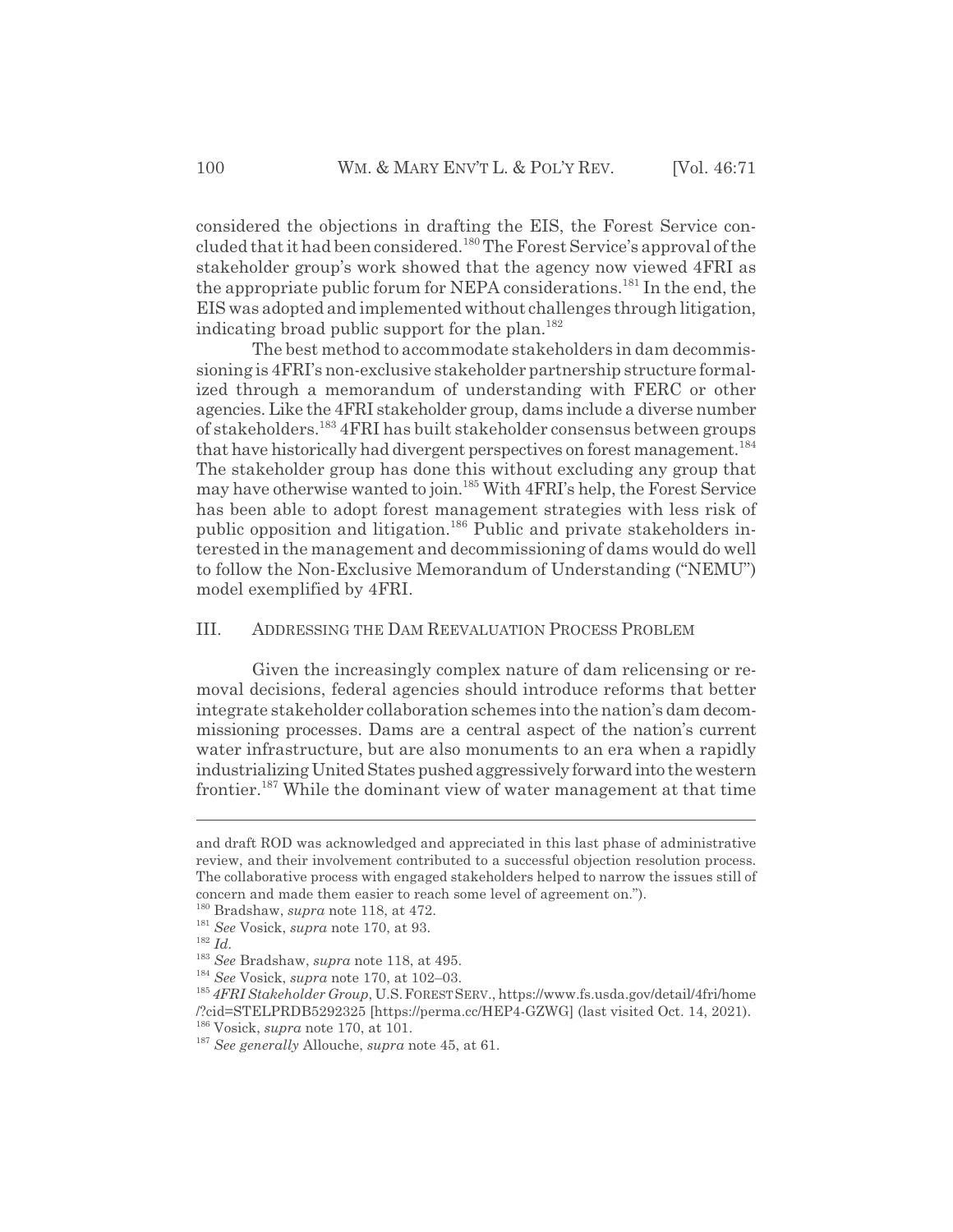considered the objections in drafting the EIS, the Forest Service concluded that it had been considered.180 The Forest Service's approval of the stakeholder group's work showed that the agency now viewed 4FRI as the appropriate public forum for NEPA considerations.<sup>181</sup> In the end, the EIS was adopted and implemented without challenges through litigation, indicating broad public support for the plan.<sup>182</sup>

The best method to accommodate stakeholders in dam decommissioning is 4FRI's non-exclusive stakeholder partnership structure formalized through a memorandum of understanding with FERC or other agencies. Like the 4FRI stakeholder group, dams include a diverse number of stakeholders.183 4FRI has built stakeholder consensus between groups that have historically had divergent perspectives on forest management.<sup>184</sup> The stakeholder group has done this without excluding any group that may have otherwise wanted to join.185 With 4FRI's help, the Forest Service has been able to adopt forest management strategies with less risk of public opposition and litigation.186 Public and private stakeholders interested in the management and decommissioning of dams would do well to follow the Non-Exclusive Memorandum of Understanding ("NEMU") model exemplified by 4FRI.

#### III. ADDRESSING THE DAM REEVALUATION PROCESS PROBLEM

Given the increasingly complex nature of dam relicensing or removal decisions, federal agencies should introduce reforms that better integrate stakeholder collaboration schemes into the nation's dam decommissioning processes. Dams are a central aspect of the nation's current water infrastructure, but are also monuments to an era when a rapidly industrializing United States pushed aggressively forward into the western frontier.187 While the dominant view of water management at that time

and draft ROD was acknowledged and appreciated in this last phase of administrative review, and their involvement contributed to a successful objection resolution process. The collaborative process with engaged stakeholders helped to narrow the issues still of concern and made them easier to reach some level of agreement on.").

<sup>180</sup> Bradshaw, *supra* note 118, at 472.

<sup>181</sup> *See* Vosick, *supra* note 170, at 93.

<sup>182</sup> *Id.*

<sup>183</sup> *See* Bradshaw, *supra* note 118, at 495.

<sup>184</sup> *See* Vosick, *supra* note 170, at 102–03.

<sup>&</sup>lt;sup>185</sup> 4FRI Stakeholder Group, U.S. FOREST SERV., https://www.fs.usda.gov/detail/4fri/home /?cid=STELPRDB5292325 [https://perma.cc/HEP4-GZWG] (last visited Oct. 14, 2021). 186 Vosick, *supra* note 170, at 101.

<sup>187</sup> *See generally* Allouche, *supra* note 45, at 61.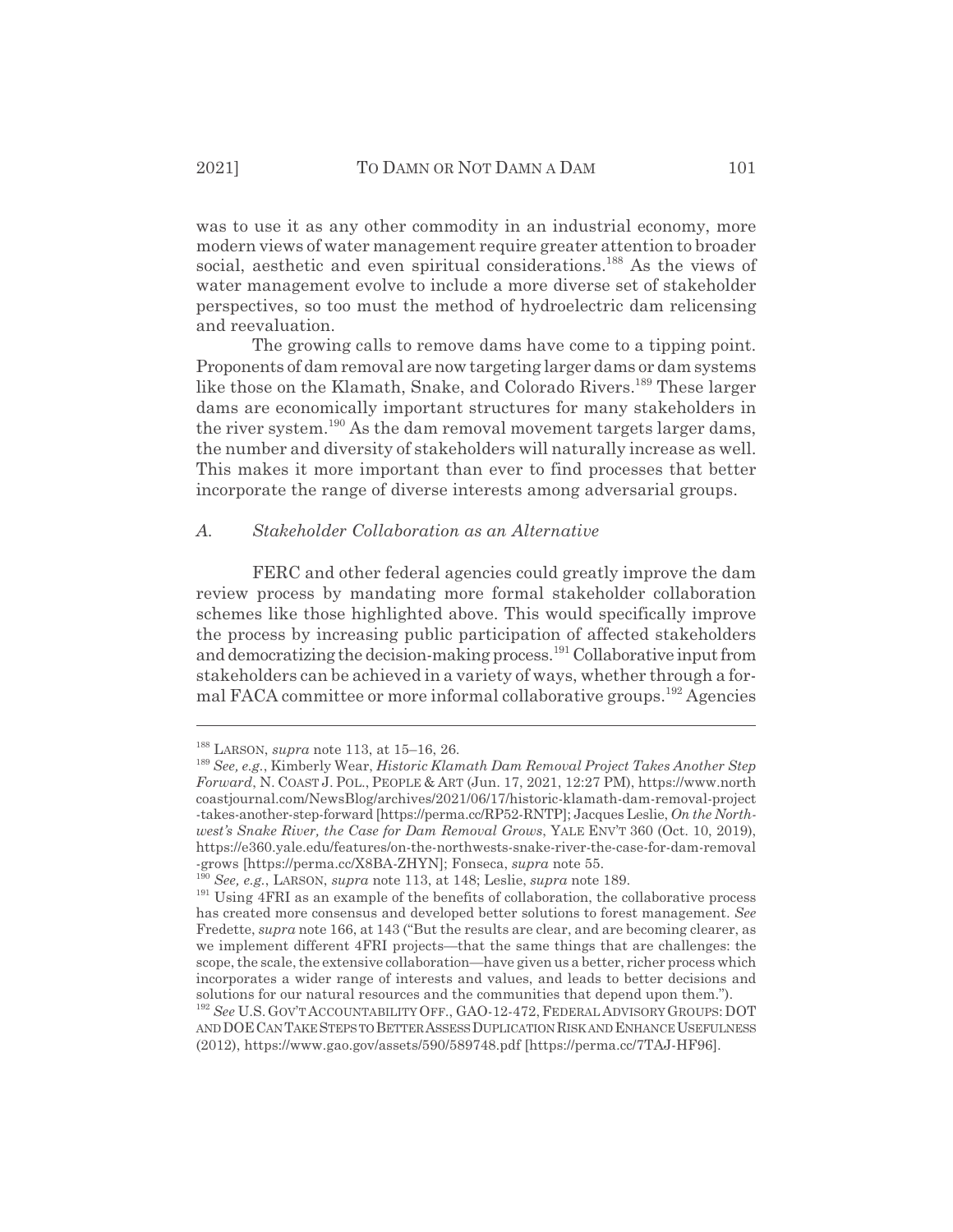was to use it as any other commodity in an industrial economy, more modern views of water management require greater attention to broader social, aesthetic and even spiritual considerations.<sup>188</sup> As the views of water management evolve to include a more diverse set of stakeholder perspectives, so too must the method of hydroelectric dam relicensing and reevaluation.

The growing calls to remove dams have come to a tipping point. Proponents of dam removal are now targeting larger dams or dam systems like those on the Klamath, Snake, and Colorado Rivers.<sup>189</sup> These larger dams are economically important structures for many stakeholders in the river system.<sup>190</sup> As the dam removal movement targets larger dams, the number and diversity of stakeholders will naturally increase as well. This makes it more important than ever to find processes that better incorporate the range of diverse interests among adversarial groups.

#### *A. Stakeholder Collaboration as an Alternative*

FERC and other federal agencies could greatly improve the dam review process by mandating more formal stakeholder collaboration schemes like those highlighted above. This would specifically improve the process by increasing public participation of affected stakeholders and democratizing the decision-making process.<sup>191</sup> Collaborative input from stakeholders can be achieved in a variety of ways, whether through a formal FACA committee or more informal collaborative groups.<sup>192</sup> Agencies

<sup>188</sup> LARSON, *supra* note 113, at 15–16, 26.

<sup>189</sup> *See, e.g.*, Kimberly Wear, *Historic Klamath Dam Removal Project Takes Another Step Forward*, N. COAST J. POL., PEOPLE & ART (Jun. 17, 2021, 12:27 PM), https://www.north coastjournal.com/NewsBlog/archives/2021/06/17/historic-klamath-dam-removal-project -takes-another-step-forward [https://perma.cc/RP52-RNTP]; Jacques Leslie, *On the Northwest's Snake River, the Case for Dam Removal Grows*, YALE ENV'T 360 (Oct. 10, 2019), https://e360.yale.edu/features/on-the-northwests-snake-river-the-case-for-dam-removal -grows [https://perma.cc/X8BA-ZHYN]; Fonseca, *supra* note 55.

<sup>190</sup> *See, e.g.*, LARSON, *supra* note 113, at 148; Leslie, *supra* note 189.

<sup>&</sup>lt;sup>191</sup> Using 4FRI as an example of the benefits of collaboration, the collaborative process has created more consensus and developed better solutions to forest management. *See* Fredette, *supra* note 166, at 143 ("But the results are clear, and are becoming clearer, as we implement different 4FRI projects—that the same things that are challenges: the scope, the scale, the extensive collaboration—have given us a better, richer process which incorporates a wider range of interests and values, and leads to better decisions and solutions for our natural resources and the communities that depend upon them.").

<sup>192</sup> *See* U.S. GOV'T ACCOUNTABILITY OFF., GAO-12-472, FEDERAL ADVISORY GROUPS: DOT AND DOE CAN TAKE STEPS TO BETTER ASSESS DUPLICATION RISK AND ENHANCE USEFULNESS (2012), https://www.gao.gov/assets/590/589748.pdf [https://perma.cc/7TAJ-HF96].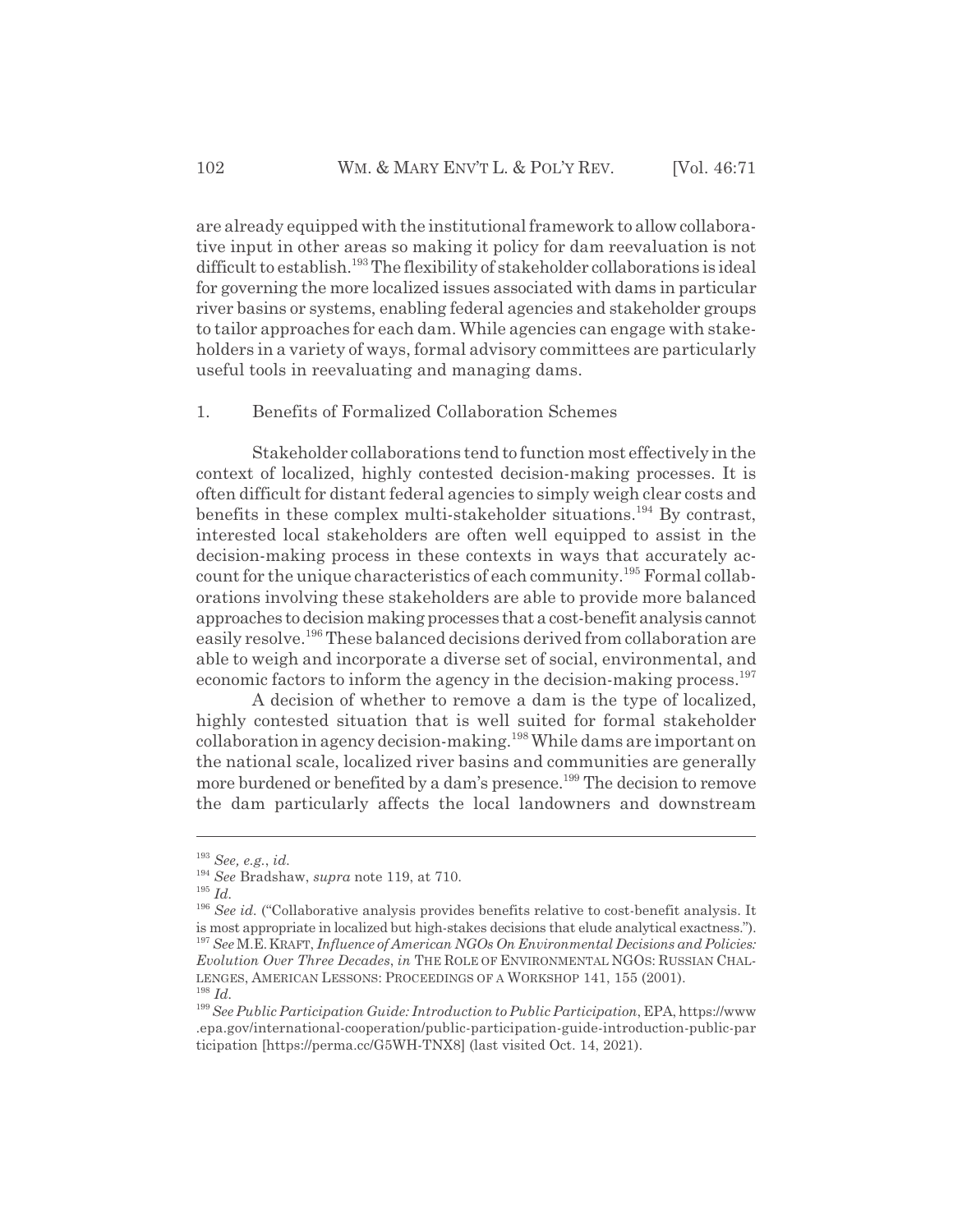are already equipped with the institutional framework to allow collaborative input in other areas so making it policy for dam reevaluation is not difficult to establish.<sup>193</sup> The flexibility of stakeholder collaborations is ideal for governing the more localized issues associated with dams in particular river basins or systems, enabling federal agencies and stakeholder groups to tailor approaches for each dam. While agencies can engage with stakeholders in a variety of ways, formal advisory committees are particularly useful tools in reevaluating and managing dams.

#### 1. Benefits of Formalized Collaboration Schemes

Stakeholder collaborations tend to function most effectively in the context of localized, highly contested decision-making processes. It is often difficult for distant federal agencies to simply weigh clear costs and benefits in these complex multi-stakeholder situations.<sup>194</sup> By contrast, interested local stakeholders are often well equipped to assist in the decision-making process in these contexts in ways that accurately account for the unique characteristics of each community.195 Formal collaborations involving these stakeholders are able to provide more balanced approaches to decision making processes that a cost-benefit analysis cannot easily resolve.196 These balanced decisions derived from collaboration are able to weigh and incorporate a diverse set of social, environmental, and economic factors to inform the agency in the decision-making process.<sup>197</sup>

A decision of whether to remove a dam is the type of localized, highly contested situation that is well suited for formal stakeholder collaboration in agency decision-making.<sup>198</sup> While dams are important on the national scale, localized river basins and communities are generally more burdened or benefited by a dam's presence.<sup>199</sup> The decision to remove the dam particularly affects the local landowners and downstream

<sup>193</sup> *See, e.g.*, *id.*

<sup>194</sup> *See* Bradshaw, *supra* note 119, at 710.

<sup>195</sup> *Id.*

<sup>&</sup>lt;sup>196</sup> See id. ("Collaborative analysis provides benefits relative to cost-benefit analysis. It is most appropriate in localized but high-stakes decisions that elude analytical exactness."). <sup>197</sup> *See* M.E.KRAFT, *Influence of American NGOs On Environmental Decisions and Policies: Evolution Over Three Decades*, *in* THE ROLE OF ENVIRONMENTAL NGOS: RUSSIAN CHAL-LENGES, AMERICAN LESSONS: PROCEEDINGS OF A WORKSHOP 141, 155 (2001). <sup>198</sup> *Id.*

<sup>199</sup>*See Public Participation Guide: Introduction to Public Participation*, EPA, https://www .epa.gov/international-cooperation/public-participation-guide-introduction-public-par ticipation [https://perma.cc/G5WH-TNX8] (last visited Oct. 14, 2021).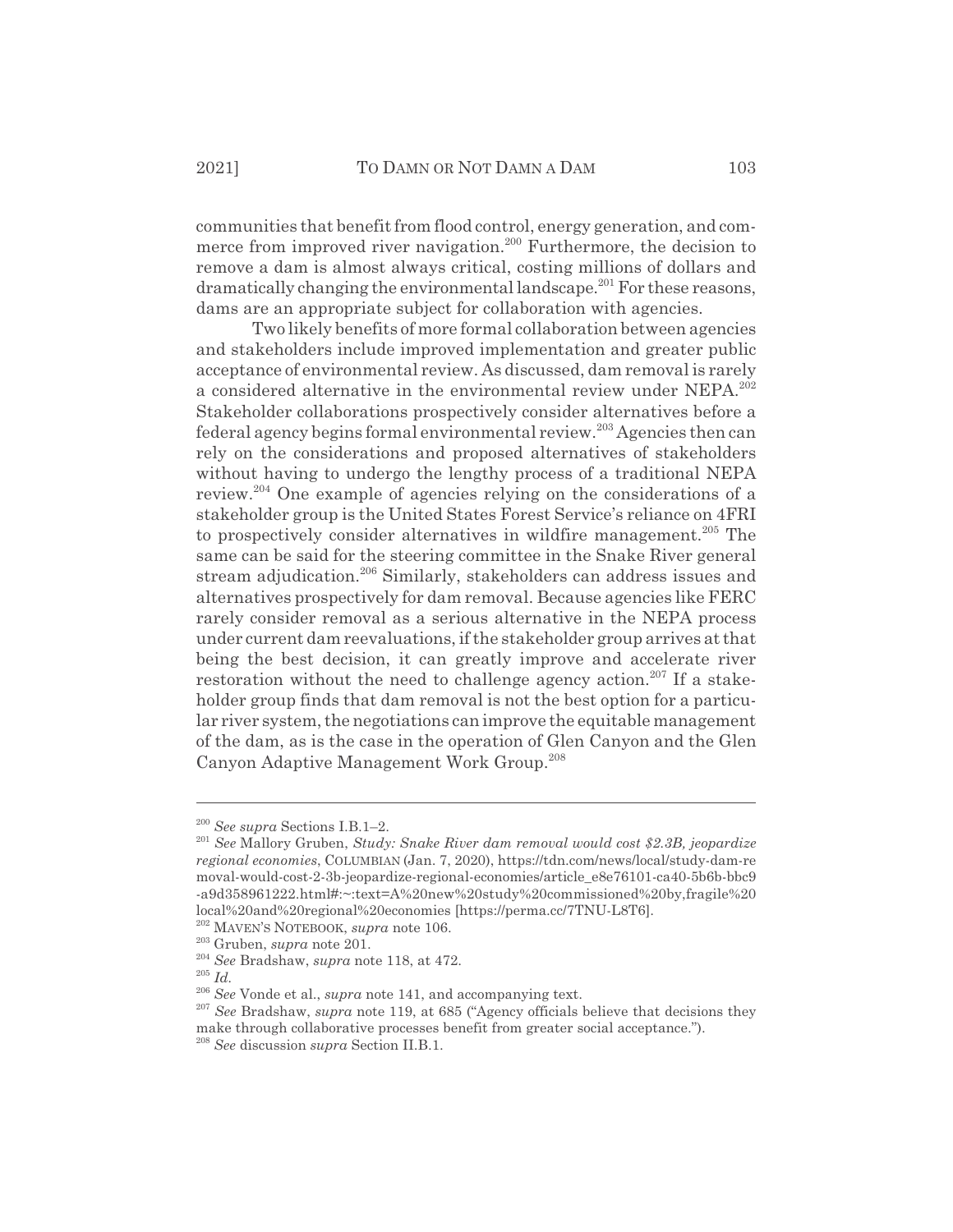communities that benefit from flood control, energy generation, and commerce from improved river navigation.<sup>200</sup> Furthermore, the decision to remove a dam is almost always critical, costing millions of dollars and dramatically changing the environmental landscape.<sup>201</sup> For these reasons, dams are an appropriate subject for collaboration with agencies.

Two likely benefits of more formal collaboration between agencies and stakeholders include improved implementation and greater public acceptance of environmental review. As discussed, dam removal is rarely a considered alternative in the environmental review under NEPA.<sup>202</sup> Stakeholder collaborations prospectively consider alternatives before a federal agency begins formal environmental review.203 Agencies then can rely on the considerations and proposed alternatives of stakeholders without having to undergo the lengthy process of a traditional NEPA review.<sup>204</sup> One example of agencies relying on the considerations of a stakeholder group is the United States Forest Service's reliance on 4FRI to prospectively consider alternatives in wildfire management.<sup>205</sup> The same can be said for the steering committee in the Snake River general stream adjudication.<sup>206</sup> Similarly, stakeholders can address issues and alternatives prospectively for dam removal. Because agencies like FERC rarely consider removal as a serious alternative in the NEPA process under current dam reevaluations, if the stakeholder group arrives at that being the best decision, it can greatly improve and accelerate river restoration without the need to challenge agency action.<sup>207</sup> If a stakeholder group finds that dam removal is not the best option for a particular river system, the negotiations can improve the equitable management of the dam, as is the case in the operation of Glen Canyon and the Glen Canyon Adaptive Management Work Group.<sup>208</sup>

<sup>200</sup> *See supra* Sections I.B.1–2.

<sup>201</sup> *See* Mallory Gruben, *Study: Snake River dam removal would cost \$2.3B, jeopardize regional economies*, COLUMBIAN (Jan. 7, 2020), https://tdn.com/news/local/study-dam-re moval-would-cost-2-3b-jeopardize-regional-economies/article\_e8e76101-ca40-5b6b-bbc9 -a9d358961222.html#:~:text=A%20new%20study%20commissioned%20by,fragile%20 local%20and%20regional%20economies [https://perma.cc/7TNU-L8T6].

<sup>202</sup> MAVEN'S NOTEBOOK, *supra* note 106.

<sup>203</sup> Gruben, *supra* note 201.

<sup>204</sup> *See* Bradshaw, *supra* note 118, at 472.

<sup>205</sup> *Id.*

<sup>206</sup> *See* Vonde et al., *supra* note 141, and accompanying text.

<sup>207</sup> *See* Bradshaw, *supra* note 119, at 685 ("Agency officials believe that decisions they make through collaborative processes benefit from greater social acceptance.").

<sup>208</sup> *See* discussion *supra* Section II.B.1.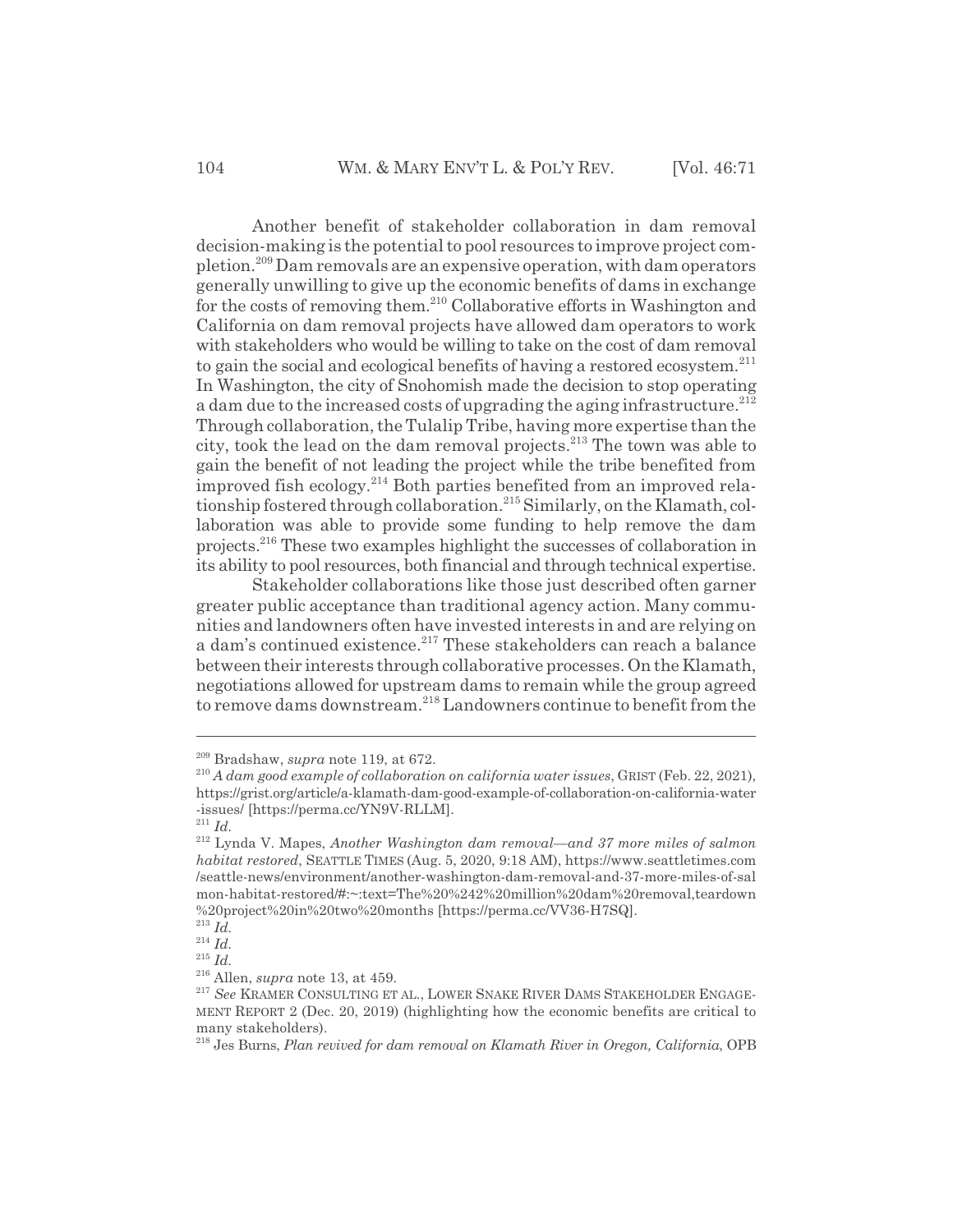Another benefit of stakeholder collaboration in dam removal decision-making is the potential to pool resources to improve project completion.209 Dam removals are an expensive operation, with dam operators generally unwilling to give up the economic benefits of dams in exchange for the costs of removing them.<sup>210</sup> Collaborative efforts in Washington and California on dam removal projects have allowed dam operators to work with stakeholders who would be willing to take on the cost of dam removal to gain the social and ecological benefits of having a restored ecosystem.<sup>211</sup> In Washington, the city of Snohomish made the decision to stop operating a dam due to the increased costs of upgrading the aging infrastructure.<sup>212</sup> Through collaboration, the Tulalip Tribe, having more expertise than the city, took the lead on the dam removal projects.<sup>213</sup> The town was able to gain the benefit of not leading the project while the tribe benefited from improved fish ecology.214 Both parties benefited from an improved relationship fostered through collaboration.<sup>215</sup> Similarly, on the Klamath, collaboration was able to provide some funding to help remove the dam projects.216 These two examples highlight the successes of collaboration in its ability to pool resources, both financial and through technical expertise.

Stakeholder collaborations like those just described often garner greater public acceptance than traditional agency action. Many communities and landowners often have invested interests in and are relying on a dam's continued existence.<sup>217</sup> These stakeholders can reach a balance between their interests through collaborative processes. On the Klamath, negotiations allowed for upstream dams to remain while the group agreed to remove dams downstream.<sup>218</sup> Landowners continue to benefit from the

<sup>211</sup> *Id.*

<sup>209</sup> Bradshaw, *supra* note 119, at 672.

<sup>210</sup> *A dam good example of collaboration on california water issues*, GRIST (Feb. 22, 2021), https://grist.org/article/a-klamath-dam-good-example-of-collaboration-on-california-water -issues/ [https://perma.cc/YN9V-RLLM].

<sup>212</sup> Lynda V. Mapes, *Another Washington dam removal*—*and 37 more miles of salmon habitat restored*, SEATTLE TIMES (Aug. 5, 2020, 9:18 AM), https://www.seattletimes.com /seattle-news/environment/another-washington-dam-removal-and-37-more-miles-of-sal mon-habitat-restored/#:~:text=The%20%242%20million%20dam%20removal,teardown %20project%20in%20two%20months [https://perma.cc/VV36-H7SQ].

<sup>213</sup> *Id.*

<sup>214</sup> *Id.*

<sup>215</sup> *Id.*

<sup>216</sup> Allen, *supra* note 13, at 459.

<sup>&</sup>lt;sup>217</sup> See KRAMER CONSULTING ET AL., LOWER SNAKE RIVER DAMS STAKEHOLDER ENGAGE-MENT REPORT 2 (Dec. 20, 2019) (highlighting how the economic benefits are critical to many stakeholders).

<sup>218</sup> Jes Burns, *Plan revived for dam removal on Klamath River in Oregon, California*, OPB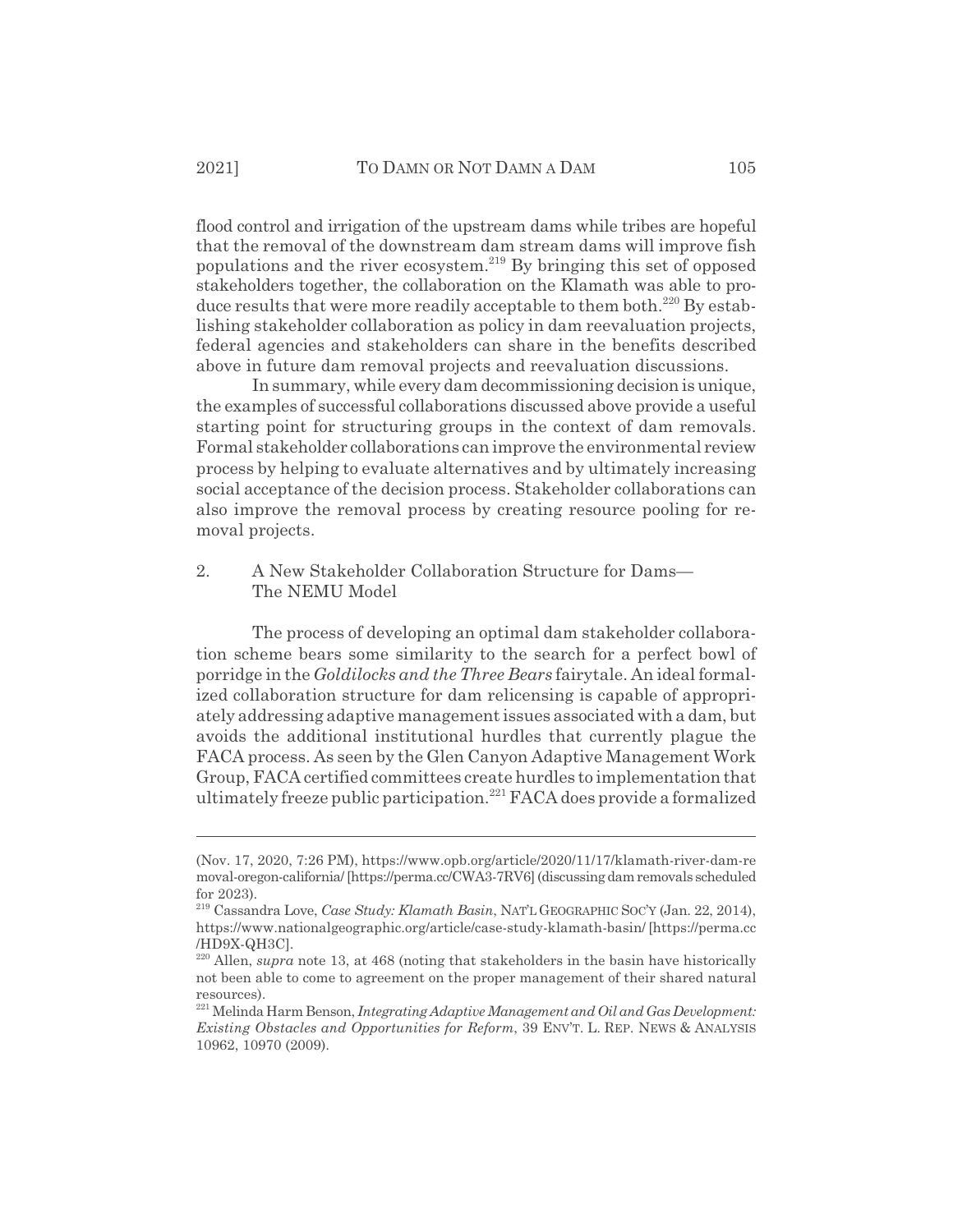flood control and irrigation of the upstream dams while tribes are hopeful that the removal of the downstream dam stream dams will improve fish populations and the river ecosystem.<sup>219</sup> By bringing this set of opposed stakeholders together, the collaboration on the Klamath was able to produce results that were more readily acceptable to them both.<sup>220</sup> By establishing stakeholder collaboration as policy in dam reevaluation projects, federal agencies and stakeholders can share in the benefits described above in future dam removal projects and reevaluation discussions.

In summary, while every dam decommissioning decision is unique, the examples of successful collaborations discussed above provide a useful starting point for structuring groups in the context of dam removals. Formal stakeholder collaborations can improve the environmental review process by helping to evaluate alternatives and by ultimately increasing social acceptance of the decision process. Stakeholder collaborations can also improve the removal process by creating resource pooling for removal projects.

#### 2. A New Stakeholder Collaboration Structure for Dams— The NEMU Model

The process of developing an optimal dam stakeholder collaboration scheme bears some similarity to the search for a perfect bowl of porridge in the *Goldilocks and the Three Bears* fairytale. An ideal formalized collaboration structure for dam relicensing is capable of appropriately addressing adaptive management issues associated with a dam, but avoids the additional institutional hurdles that currently plague the FACA process. As seen by the Glen Canyon Adaptive Management Work Group, FACA certified committees create hurdles to implementation that ultimately freeze public participation.<sup>221</sup> FACA does provide a formalized

<sup>(</sup>Nov. 17, 2020, 7:26 PM), https://www.opb.org/article/2020/11/17/klamath-river-dam-re moval-oregon-california/ [https://perma.cc/CWA3-7RV6] (discussing dam removals scheduled for 2023).

<sup>219</sup> Cassandra Love, *Case Study: Klamath Basin*, NAT'L GEOGRAPHIC SOC'Y (Jan. 22, 2014), https://www.nationalgeographic.org/article/case-study-klamath-basin/ [https://perma.cc /HD9X-QH3C].

<sup>&</sup>lt;sup>220</sup> Allen, *supra* note 13, at 468 (noting that stakeholders in the basin have historically not been able to come to agreement on the proper management of their shared natural resources).

<sup>221</sup> Melinda Harm Benson, *Integrating Adaptive Management and Oil and Gas Development: Existing Obstacles and Opportunities for Reform*, 39 ENV'T. L. REP. NEWS & ANALYSIS 10962, 10970 (2009).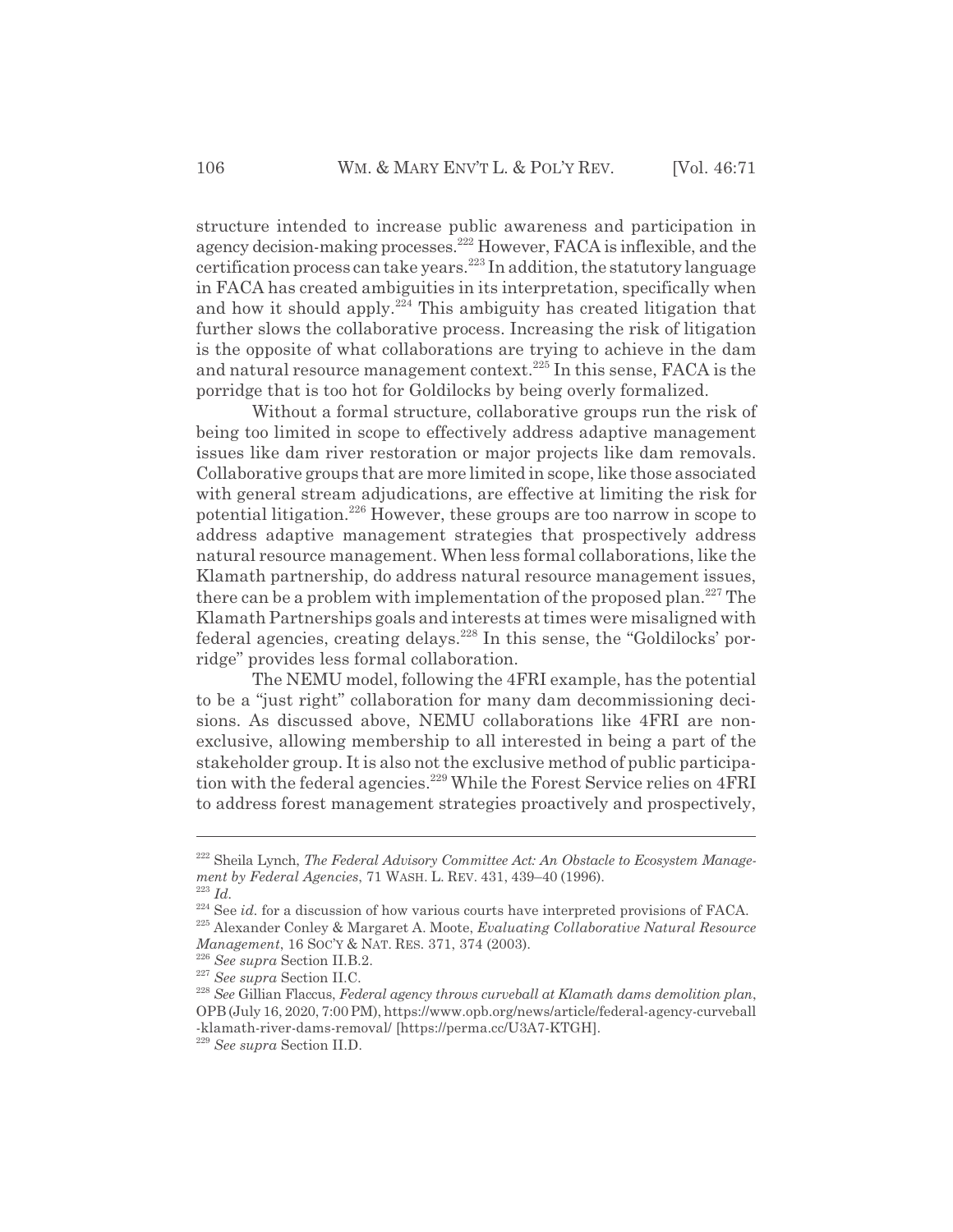structure intended to increase public awareness and participation in agency decision-making processes.222 However, FACA is inflexible, and the certification process can take years.<sup>223</sup> In addition, the statutory language in FACA has created ambiguities in its interpretation, specifically when and how it should apply.<sup>224</sup> This ambiguity has created litigation that further slows the collaborative process. Increasing the risk of litigation is the opposite of what collaborations are trying to achieve in the dam and natural resource management context.<sup>225</sup> In this sense, FACA is the porridge that is too hot for Goldilocks by being overly formalized.

Without a formal structure, collaborative groups run the risk of being too limited in scope to effectively address adaptive management issues like dam river restoration or major projects like dam removals. Collaborative groups that are more limited in scope, like those associated with general stream adjudications, are effective at limiting the risk for potential litigation.226 However, these groups are too narrow in scope to address adaptive management strategies that prospectively address natural resource management. When less formal collaborations, like the Klamath partnership, do address natural resource management issues, there can be a problem with implementation of the proposed plan.<sup>227</sup> The Klamath Partnerships goals and interests at times were misaligned with federal agencies, creating delays.<sup>228</sup> In this sense, the "Goldilocks' porridge" provides less formal collaboration.

The NEMU model, following the 4FRI example, has the potential to be a "just right" collaboration for many dam decommissioning decisions. As discussed above, NEMU collaborations like 4FRI are nonexclusive, allowing membership to all interested in being a part of the stakeholder group. It is also not the exclusive method of public participation with the federal agencies.<sup>229</sup> While the Forest Service relies on 4FRI to address forest management strategies proactively and prospectively,

<sup>&</sup>lt;sup>222</sup> Sheila Lynch, *The Federal Advisory Committee Act: An Obstacle to Ecosystem Management by Federal Agencies*, 71 WASH. L. REV. 431, 439–40 (1996).

<sup>223</sup> *Id.*

<sup>&</sup>lt;sup>224</sup> See *id*. for a discussion of how various courts have interpreted provisions of FACA. 225 Alexander Conley & Margaret A. Moote, *Evaluating Collaborative Natural Resource Management*, 16 SOC'Y & NAT. RES. 371, 374 (2003).

<sup>226</sup> *See supra* Section II.B.2.

<sup>227</sup> *See supra* Section II.C.

<sup>228</sup> *See* Gillian Flaccus, *Federal agency throws curveball at Klamath dams demolition plan*, OPB (July 16, 2020, 7:00 PM), https://www.opb.org/news/article/federal-agency-curveball -klamath-river-dams-removal/ [https://perma.cc/U3A7-KTGH].

<sup>229</sup> *See supra* Section II.D.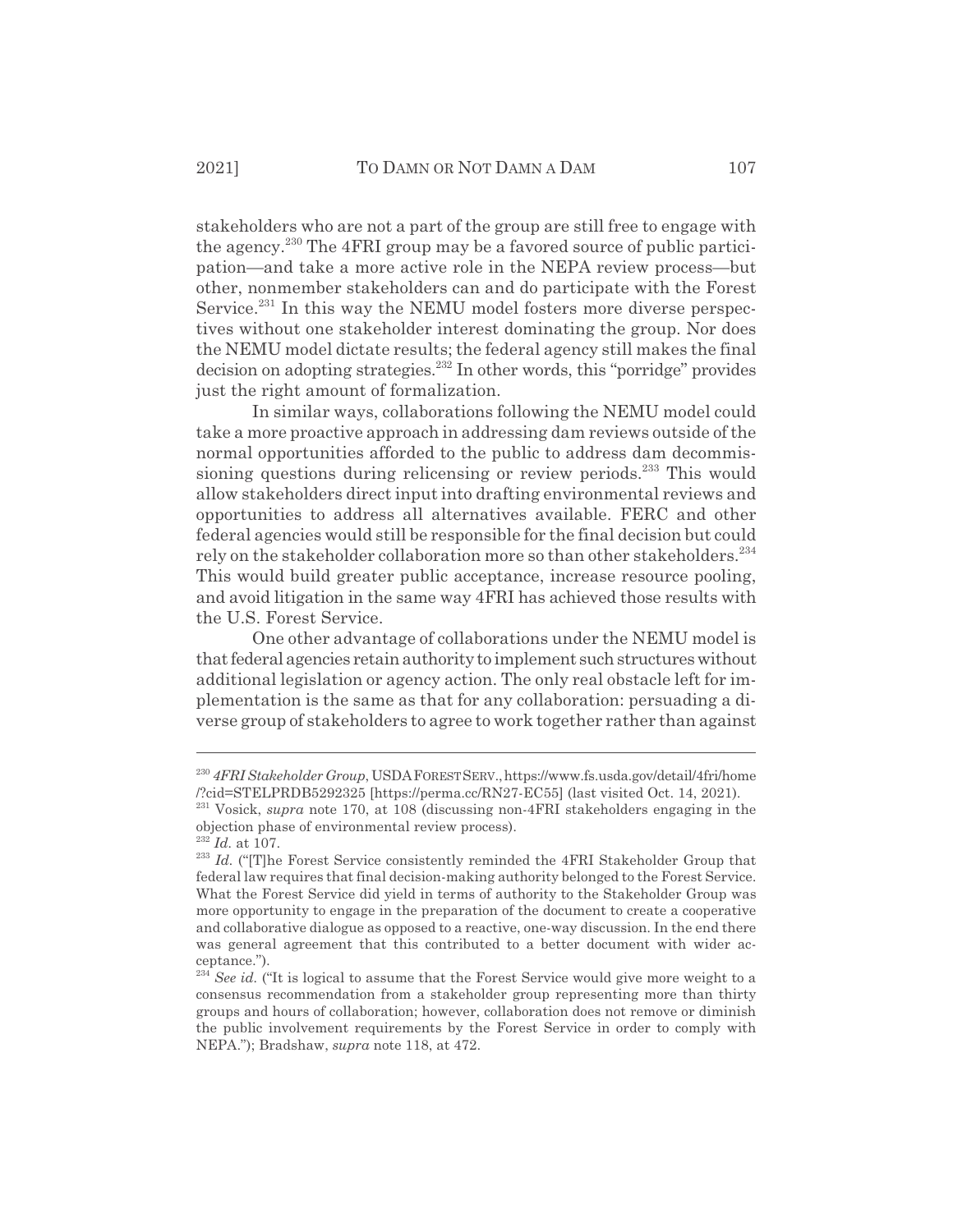stakeholders who are not a part of the group are still free to engage with the agency.<sup>230</sup> The 4FRI group may be a favored source of public participation—and take a more active role in the NEPA review process—but other, nonmember stakeholders can and do participate with the Forest Service.<sup>231</sup> In this way the NEMU model fosters more diverse perspectives without one stakeholder interest dominating the group. Nor does the NEMU model dictate results; the federal agency still makes the final  $\alpha$  decision on adopting strategies.<sup>232</sup> In other words, this "porridge" provides just the right amount of formalization.

In similar ways, collaborations following the NEMU model could take a more proactive approach in addressing dam reviews outside of the normal opportunities afforded to the public to address dam decommissioning questions during relicensing or review periods.<sup>233</sup> This would allow stakeholders direct input into drafting environmental reviews and opportunities to address all alternatives available. FERC and other federal agencies would still be responsible for the final decision but could rely on the stakeholder collaboration more so than other stakeholders.<sup>234</sup> This would build greater public acceptance, increase resource pooling, and avoid litigation in the same way 4FRI has achieved those results with the U.S. Forest Service.

One other advantage of collaborations under the NEMU model is that federal agencies retain authority to implement such structures without additional legislation or agency action. The only real obstacle left for implementation is the same as that for any collaboration: persuading a diverse group of stakeholders to agree to work together rather than against

<sup>230</sup> *4FRI Stakeholder Group*, USDAFORESTSERV.,https://www.fs.usda.gov/detail/4fri/home /?cid=STELPRDB5292325 [https://perma.cc/RN27-EC55] (last visited Oct. 14, 2021).

<sup>231</sup> Vosick, *supra* note 170, at 108 (discussing non-4FRI stakeholders engaging in the objection phase of environmental review process).

<sup>232</sup> *Id.* at 107.

<sup>&</sup>lt;sup>233</sup> *Id.* ("The Forest Service consistently reminded the 4FRI Stakeholder Group that federal law requires that final decision-making authority belonged to the Forest Service. What the Forest Service did yield in terms of authority to the Stakeholder Group was more opportunity to engage in the preparation of the document to create a cooperative and collaborative dialogue as opposed to a reactive, one-way discussion. In the end there was general agreement that this contributed to a better document with wider acceptance.").

<sup>&</sup>lt;sup>234</sup> See id. ("It is logical to assume that the Forest Service would give more weight to a consensus recommendation from a stakeholder group representing more than thirty groups and hours of collaboration; however, collaboration does not remove or diminish the public involvement requirements by the Forest Service in order to comply with NEPA."); Bradshaw, *supra* note 118, at 472.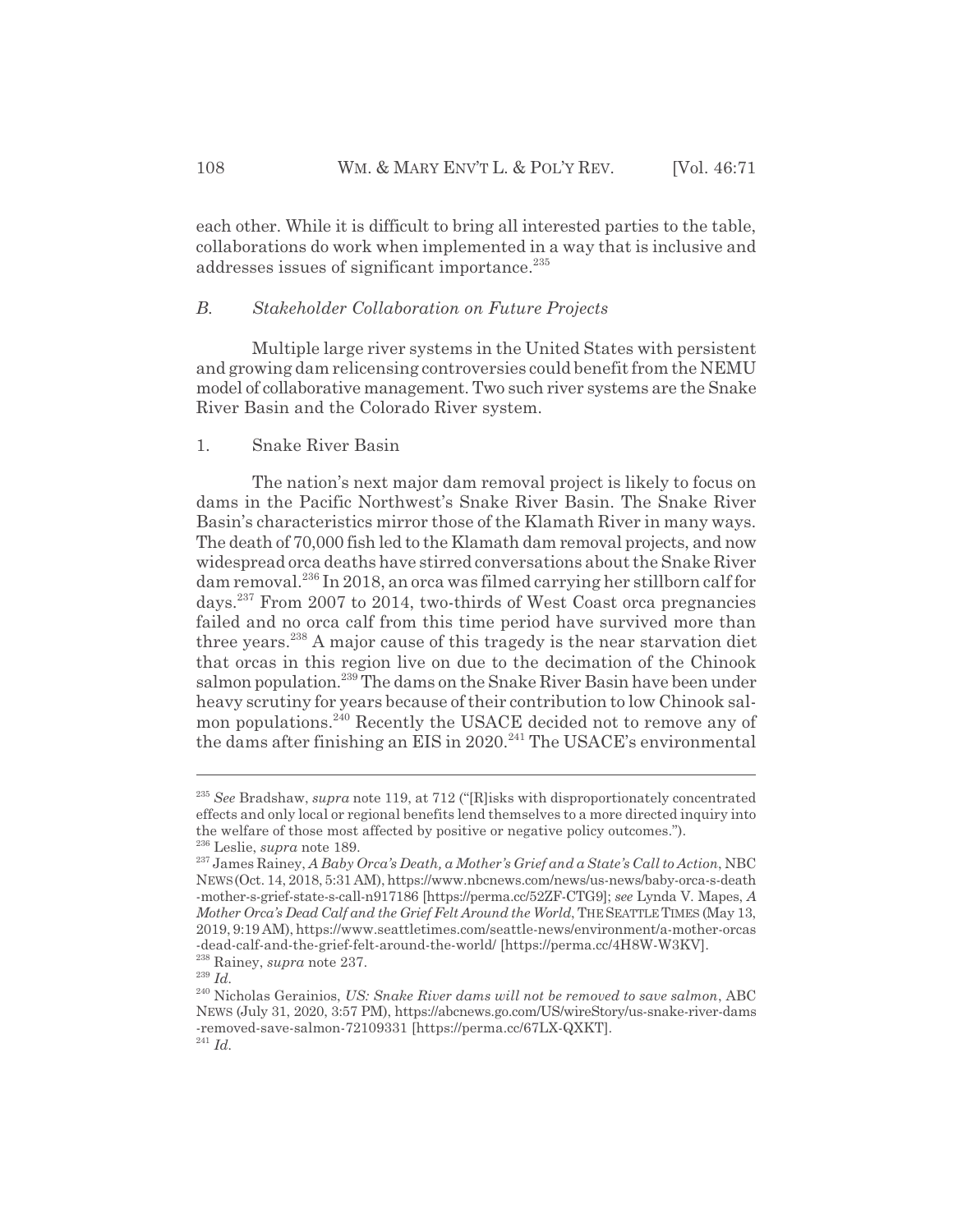each other. While it is difficult to bring all interested parties to the table, collaborations do work when implemented in a way that is inclusive and addresses issues of significant importance.<sup>235</sup>

#### *B. Stakeholder Collaboration on Future Projects*

Multiple large river systems in the United States with persistent and growing dam relicensing controversies could benefit from the NEMU model of collaborative management. Two such river systems are the Snake River Basin and the Colorado River system.

## 1. Snake River Basin

The nation's next major dam removal project is likely to focus on dams in the Pacific Northwest's Snake River Basin. The Snake River Basin's characteristics mirror those of the Klamath River in many ways. The death of 70,000 fish led to the Klamath dam removal projects, and now widespread orca deaths have stirred conversations about the Snake River dam removal.236 In 2018, an orca was filmed carrying her stillborn calf for days.237 From 2007 to 2014, two-thirds of West Coast orca pregnancies failed and no orca calf from this time period have survived more than three years.<sup>238</sup> A major cause of this tragedy is the near starvation diet that orcas in this region live on due to the decimation of the Chinook salmon population.<sup>239</sup> The dams on the Snake River Basin have been under heavy scrutiny for years because of their contribution to low Chinook salmon populations.<sup>240</sup> Recently the USACE decided not to remove any of the dams after finishing an EIS in  $2020$ <sup>241</sup> The USACE's environmental

<sup>235</sup> *See* Bradshaw, *supra* note 119, at 712 ("[R]isks with disproportionately concentrated effects and only local or regional benefits lend themselves to a more directed inquiry into the welfare of those most affected by positive or negative policy outcomes."). 236 Leslie, *supra* note 189.

<sup>237</sup> James Rainey, *A Baby Orca's Death, a Mother's Grief and a State's Call to Action*, NBC NEWS(Oct. 14, 2018, 5:31 AM), https://www.nbcnews.com/news/us-news/baby-orca-s-death -mother-s-grief-state-s-call-n917186 [https://perma.cc/52ZF-CTG9]; *see* Lynda V. Mapes, *A Mother Orca's Dead Calf and the Grief Felt Around the World*, THE SEATTLE TIMES (May 13, 2019, 9:19 AM), https://www.seattletimes.com/seattle-news/environment/a-mother-orcas

<sup>-</sup>dead-calf-and-the-grief-felt-around-the-world/ [https://perma.cc/4H8W-W3KV].

<sup>238</sup> Rainey, *supra* note 237.

<sup>239</sup> *Id.*

<sup>240</sup> Nicholas Gerainios, *US: Snake River dams will not be removed to save salmon*, ABC NEWS (July 31, 2020, 3:57 PM), https://abcnews.go.com/US/wireStory/us-snake-river-dams -removed-save-salmon-72109331 [https://perma.cc/67LX-QXKT]. <sup>241</sup> *Id.*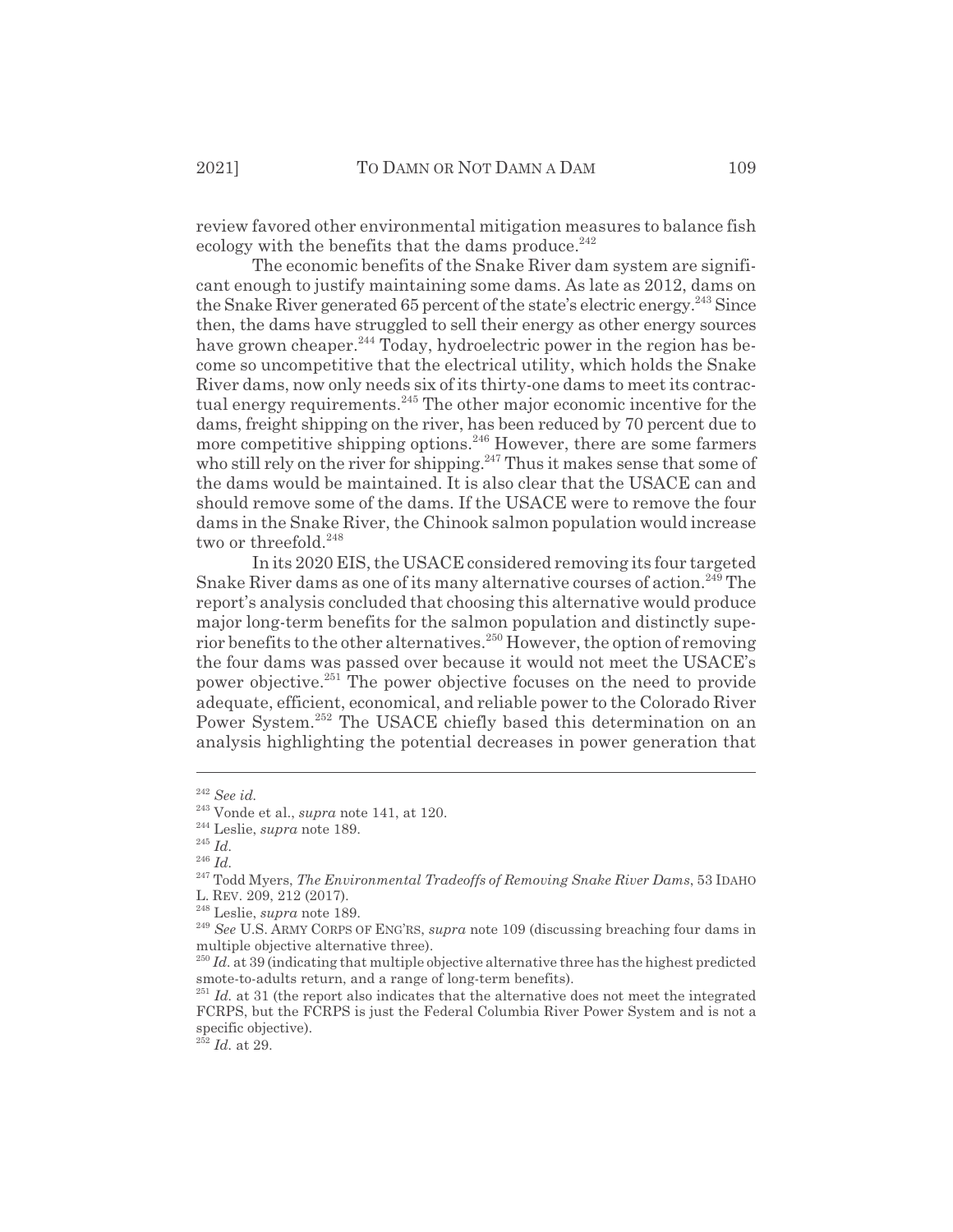review favored other environmental mitigation measures to balance fish ecology with the benefits that the dams produce. $^{242}$ 

The economic benefits of the Snake River dam system are significant enough to justify maintaining some dams. As late as 2012, dams on the Snake River generated 65 percent of the state's electric energy.<sup>243</sup> Since then, the dams have struggled to sell their energy as other energy sources have grown cheaper.<sup>244</sup> Today, hydroelectric power in the region has become so uncompetitive that the electrical utility, which holds the Snake River dams, now only needs six of its thirty-one dams to meet its contractual energy requirements.<sup>245</sup> The other major economic incentive for the dams, freight shipping on the river, has been reduced by 70 percent due to more competitive shipping options.<sup>246</sup> However, there are some farmers who still rely on the river for shipping.<sup>247</sup> Thus it makes sense that some of the dams would be maintained. It is also clear that the USACE can and should remove some of the dams. If the USACE were to remove the four dams in the Snake River, the Chinook salmon population would increase two or threefold.<sup>248</sup>

In its 2020 EIS, the USACE considered removing its four targeted Snake River dams as one of its many alternative courses of action.<sup>249</sup> The report's analysis concluded that choosing this alternative would produce major long-term benefits for the salmon population and distinctly superior benefits to the other alternatives.<sup>250</sup> However, the option of removing the four dams was passed over because it would not meet the USACE's power objective.<sup>251</sup> The power objective focuses on the need to provide adequate, efficient, economical, and reliable power to the Colorado River Power System.<sup>252</sup> The USACE chiefly based this determination on an analysis highlighting the potential decreases in power generation that

<sup>242</sup> *See id.*

<sup>243</sup> Vonde et al., *supra* note 141, at 120.

<sup>244</sup> Leslie, *supra* note 189.

<sup>245</sup> *Id.*

<sup>246</sup> *Id.*

<sup>247</sup> Todd Myers, *The Environmental Tradeoffs of Removing Snake River Dams*, 53 IDAHO L. REV. 209, 212 (2017).

<sup>248</sup> Leslie, *supra* note 189.

<sup>249</sup> *See* U.S. ARMY CORPS OF ENG'RS, *supra* note 109 (discussing breaching four dams in multiple objective alternative three).

<sup>&</sup>lt;sup>250</sup> *Id.* at 39 (indicating that multiple objective alternative three has the highest predicted smote-to-adults return, and a range of long-term benefits).

<sup>&</sup>lt;sup>251</sup> *Id.* at 31 (the report also indicates that the alternative does not meet the integrated FCRPS, but the FCRPS is just the Federal Columbia River Power System and is not a specific objective).

 $^{252}$  *Id.* at 29.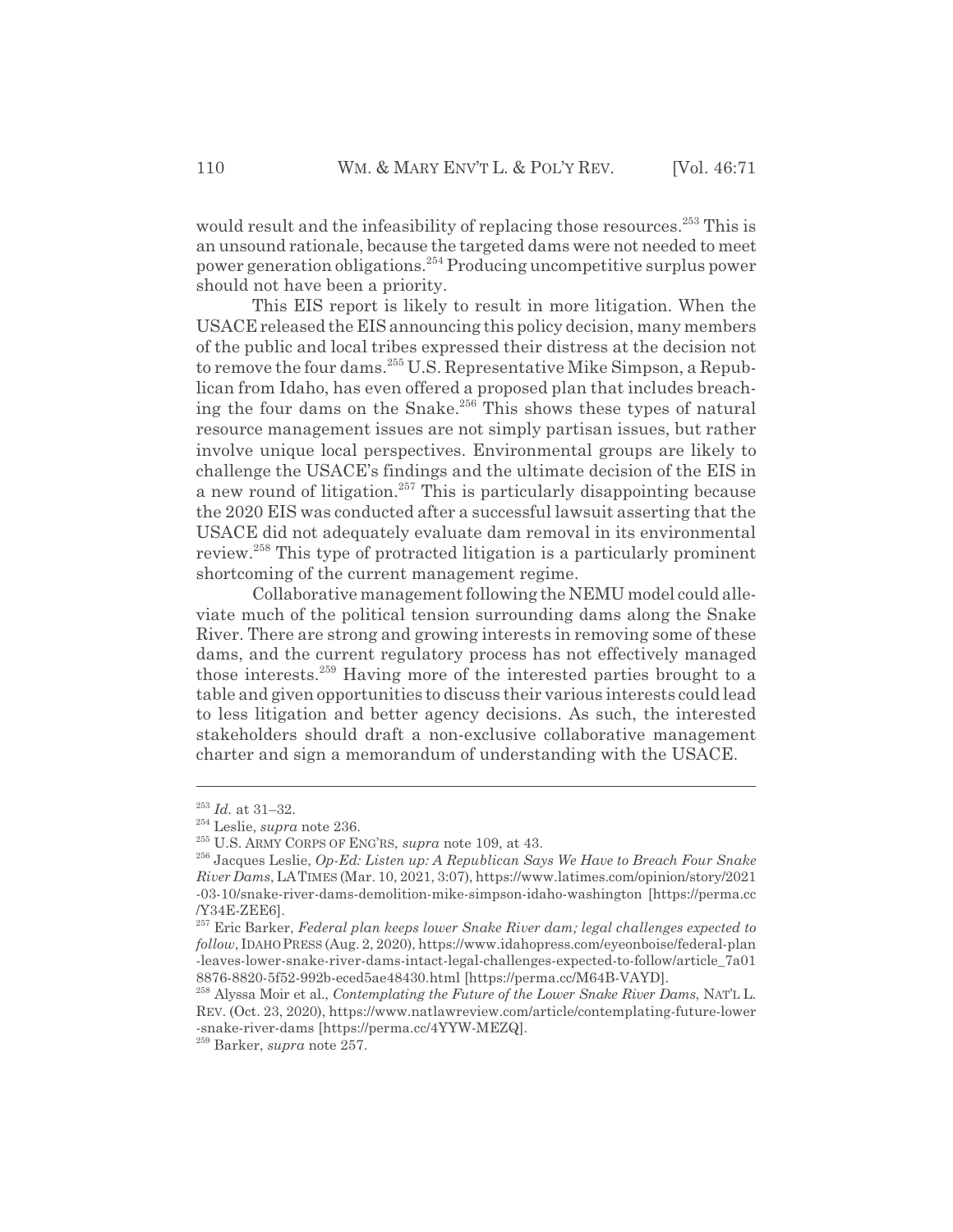would result and the infeasibility of replacing those resources.<sup>253</sup> This is an unsound rationale, because the targeted dams were not needed to meet power generation obligations.254 Producing uncompetitive surplus power should not have been a priority.

This EIS report is likely to result in more litigation. When the USACE released the EIS announcing this policy decision, many members of the public and local tribes expressed their distress at the decision not to remove the four dams.<sup>255</sup> U.S. Representative Mike Simpson, a Republican from Idaho, has even offered a proposed plan that includes breaching the four dams on the Snake.<sup>256</sup> This shows these types of natural resource management issues are not simply partisan issues, but rather involve unique local perspectives. Environmental groups are likely to challenge the USACE's findings and the ultimate decision of the EIS in a new round of litigation.<sup>257</sup> This is particularly disappointing because the 2020 EIS was conducted after a successful lawsuit asserting that the USACE did not adequately evaluate dam removal in its environmental review.258 This type of protracted litigation is a particularly prominent shortcoming of the current management regime.

Collaborative management following the NEMU model could alleviate much of the political tension surrounding dams along the Snake River. There are strong and growing interests in removing some of these dams, and the current regulatory process has not effectively managed those interests.259 Having more of the interested parties brought to a table and given opportunities to discuss their various interests could lead to less litigation and better agency decisions. As such, the interested stakeholders should draft a non-exclusive collaborative management charter and sign a memorandum of understanding with the USACE.

<sup>253</sup> *Id.* at 31–32.

<sup>254</sup> Leslie, *supra* note 236.

<sup>255</sup> U.S. ARMY CORPS OF ENG'RS, *supra* note 109, at 43.

<sup>256</sup> Jacques Leslie, *Op-Ed: Listen up: A Republican Says We Have to Breach Four Snake River Dams*, LATIMES (Mar. 10, 2021, 3:07), https://www.latimes.com/opinion/story/2021 -03-10/snake-river-dams-demolition-mike-simpson-idaho-washington [https://perma.cc /Y34E-ZEE6].

<sup>257</sup> Eric Barker, *Federal plan keeps lower Snake River dam; legal challenges expected to follow*, IDAHOPRESS (Aug. 2, 2020), https://www.idahopress.com/eyeonboise/federal-plan -leaves-lower-snake-river-dams-intact-legal-challenges-expected-to-follow/article\_7a01 8876-8820-5f52-992b-eced5ae48430.html [https://perma.cc/M64B-VAYD].

<sup>258</sup> Alyssa Moir et al., *Contemplating the Future of the Lower Snake River Dams*, NAT'L L. REV. (Oct. 23, 2020), https://www.natlawreview.com/article/contemplating-future-lower -snake-river-dams [https://perma.cc/4YYW-MEZQ].

<sup>259</sup> Barker, *supra* note 257.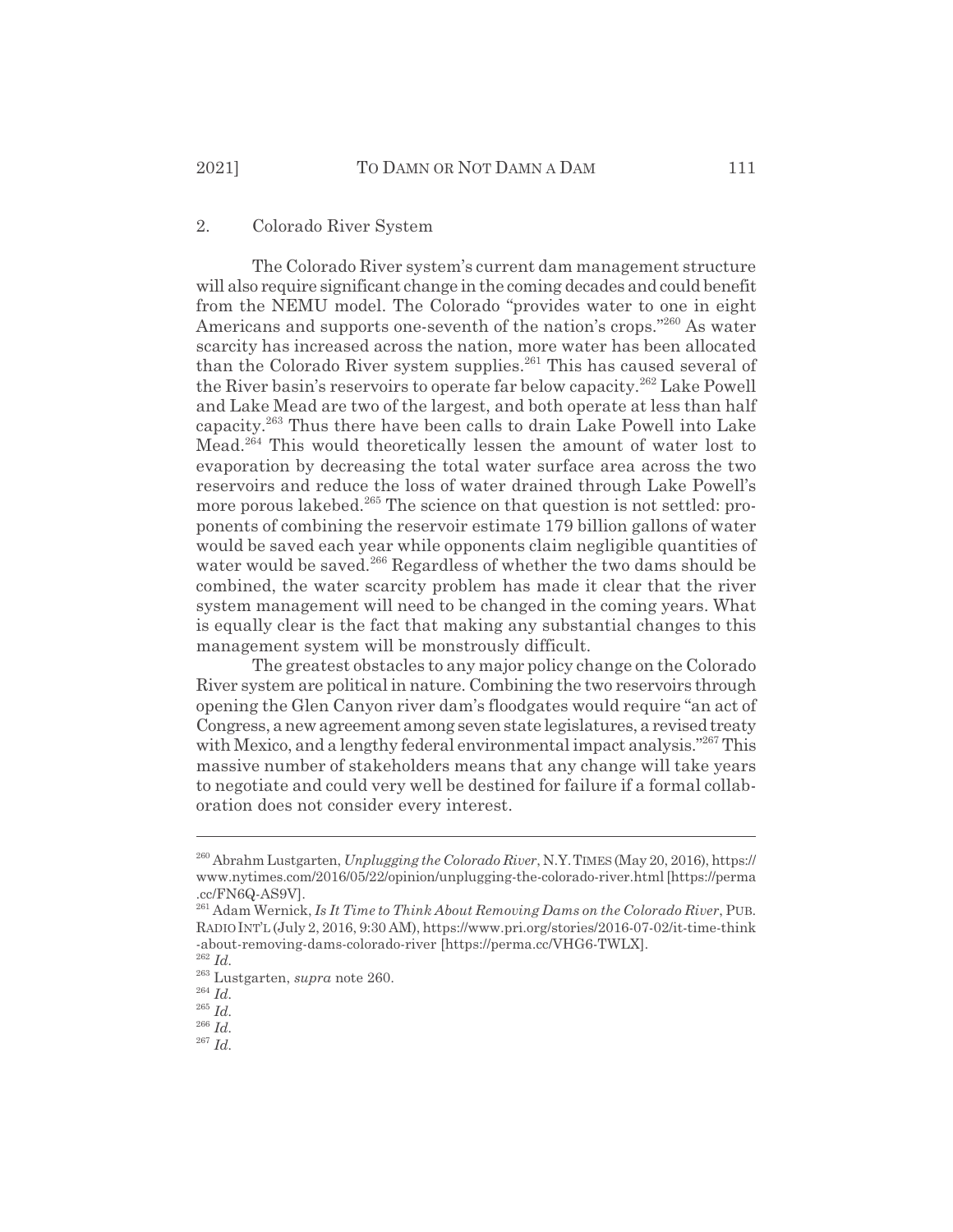#### 2. Colorado River System

The Colorado River system's current dam management structure will also require significant change in the coming decades and could benefit from the NEMU model. The Colorado "provides water to one in eight Americans and supports one-seventh of the nation's crops."<sup>260</sup> As water scarcity has increased across the nation, more water has been allocated than the Colorado River system supplies.<sup>261</sup> This has caused several of the River basin's reservoirs to operate far below capacity.<sup>262</sup> Lake Powell and Lake Mead are two of the largest, and both operate at less than half capacity.263 Thus there have been calls to drain Lake Powell into Lake Mead.264 This would theoretically lessen the amount of water lost to evaporation by decreasing the total water surface area across the two reservoirs and reduce the loss of water drained through Lake Powell's more porous lakebed.<sup>265</sup> The science on that question is not settled: proponents of combining the reservoir estimate 179 billion gallons of water would be saved each year while opponents claim negligible quantities of water would be saved.<sup>266</sup> Regardless of whether the two dams should be combined, the water scarcity problem has made it clear that the river system management will need to be changed in the coming years. What is equally clear is the fact that making any substantial changes to this management system will be monstrously difficult.

The greatest obstacles to any major policy change on the Colorado River system are political in nature. Combining the two reservoirs through opening the Glen Canyon river dam's floodgates would require "an act of Congress, a new agreement among seven state legislatures, a revised treaty with Mexico, and a lengthy federal environmental impact analysis."<sup>267</sup> This massive number of stakeholders means that any change will take years to negotiate and could very well be destined for failure if a formal collaboration does not consider every interest.

<sup>260</sup> Abrahm Lustgarten, *Unplugging the Colorado River*, N.Y.TIMES (May 20, 2016), https:// www.nytimes.com/2016/05/22/opinion/unplugging-the-colorado-river.html [https://perma .cc/FN6Q-AS9V].

<sup>261</sup> Adam Wernick, *Is It Time to Think About Removing Dams on the Colorado River*, PUB. RADIOINT'L (July 2, 2016, 9:30 AM), https://www.pri.org/stories/2016-07-02/it-time-think -about-removing-dams-colorado-river [https://perma.cc/VHG6-TWLX]. <sup>262</sup> *Id.*

<sup>263</sup> Lustgarten, *supra* note 260.

<sup>264</sup> *Id.*

<sup>265</sup> *Id.*

<sup>266</sup> *Id.*

<sup>267</sup> *Id.*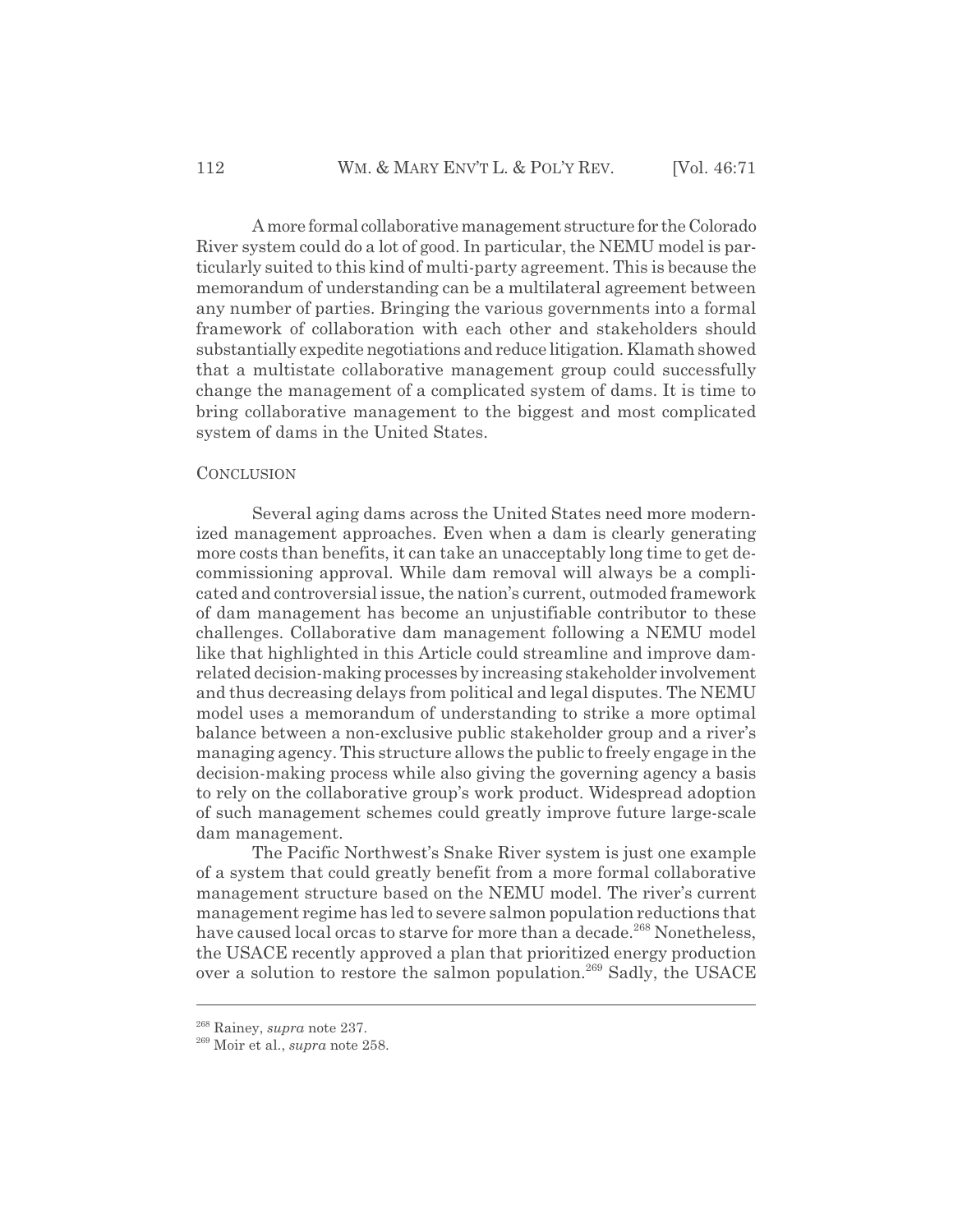A more formal collaborative management structure for the Colorado River system could do a lot of good. In particular, the NEMU model is particularly suited to this kind of multi-party agreement. This is because the memorandum of understanding can be a multilateral agreement between any number of parties. Bringing the various governments into a formal framework of collaboration with each other and stakeholders should substantially expedite negotiations and reduce litigation. Klamath showed that a multistate collaborative management group could successfully change the management of a complicated system of dams. It is time to bring collaborative management to the biggest and most complicated system of dams in the United States.

#### **CONCLUSION**

Several aging dams across the United States need more modernized management approaches. Even when a dam is clearly generating more costs than benefits, it can take an unacceptably long time to get decommissioning approval. While dam removal will always be a complicated and controversial issue, the nation's current, outmoded framework of dam management has become an unjustifiable contributor to these challenges. Collaborative dam management following a NEMU model like that highlighted in this Article could streamline and improve damrelated decision-making processes by increasing stakeholder involvement and thus decreasing delays from political and legal disputes. The NEMU model uses a memorandum of understanding to strike a more optimal balance between a non-exclusive public stakeholder group and a river's managing agency. This structure allows the public to freely engage in the decision-making process while also giving the governing agency a basis to rely on the collaborative group's work product. Widespread adoption of such management schemes could greatly improve future large-scale dam management.

The Pacific Northwest's Snake River system is just one example of a system that could greatly benefit from a more formal collaborative management structure based on the NEMU model. The river's current management regime has led to severe salmon population reductions that have caused local orcas to starve for more than a decade.<sup>268</sup> Nonetheless. the USACE recently approved a plan that prioritized energy production over a solution to restore the salmon population.<sup>269</sup> Sadly, the USACE

<sup>268</sup> Rainey, *supra* note 237.

<sup>269</sup> Moir et al., *supra* note 258.